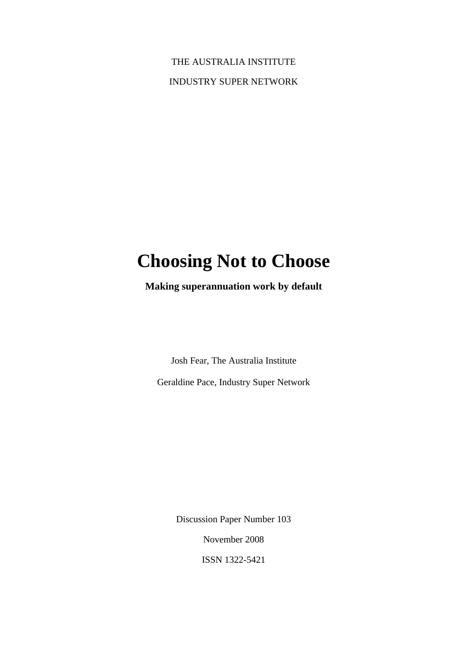# THE AUSTRALIA INSTITUTE INDUSTRY SUPER NETWORK

# **Choosing Not to Choose**

**Making superannuation work by default**

Josh Fear, The Australia Institute

Geraldine Pace, Industry Super Network

Discussion Paper Number 103

November 2008

ISSN 1322-5421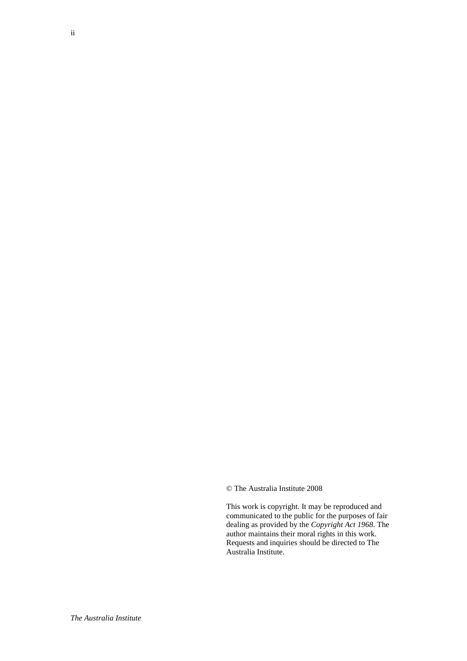© The Australia Institute 2008

This work is copyright. It may be reproduced and communicated to the public for the purposes of fair dealing as provided by the *Copyright Act 1968*. The author maintains their moral rights in this work. Requests and inquiries should be directed to The Australia Institute.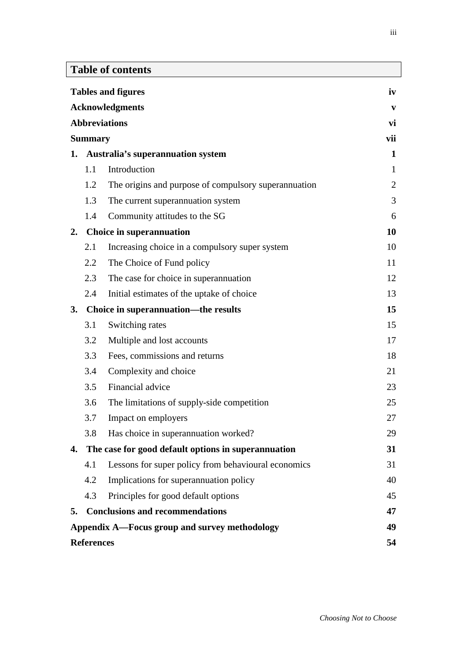| <b>Table of contents</b> |  |  |  |
|--------------------------|--|--|--|
|--------------------------|--|--|--|

|                                            |                   | <b>Tables and figures</b>                            | iv             |
|--------------------------------------------|-------------------|------------------------------------------------------|----------------|
| <b>Acknowledgments</b>                     |                   |                                                      | $\mathbf{v}$   |
| <b>Abbreviations</b>                       |                   |                                                      | vi             |
| <b>Summary</b>                             |                   |                                                      | vii            |
| 1. Australia's superannuation system       |                   |                                                      |                |
|                                            | 1.1               | Introduction                                         | $\mathbf{1}$   |
|                                            | 1.2               | The origins and purpose of compulsory superannuation | $\overline{2}$ |
|                                            | 1.3               | The current superannuation system                    | 3              |
|                                            | 1.4               | Community attitudes to the SG                        | 6              |
|                                            |                   | 2. Choice in superannuation                          | 10             |
|                                            | 2.1               | Increasing choice in a compulsory super system       | 10             |
|                                            | 2.2               | The Choice of Fund policy                            | 11             |
|                                            | 2.3               | The case for choice in superannuation                | 12             |
|                                            | 2.4               | Initial estimates of the uptake of choice            | 13             |
| 3.<br>Choice in superannuation—the results |                   | 15                                                   |                |
|                                            | 3.1               | Switching rates                                      | 15             |
|                                            | 3.2               | Multiple and lost accounts                           | 17             |
|                                            | 3.3               | Fees, commissions and returns                        | 18             |
|                                            | 3.4               | Complexity and choice                                | 21             |
|                                            | 3.5               | Financial advice                                     | 23             |
|                                            | 3.6               | The limitations of supply-side competition           | 25             |
|                                            | 3.7               | Impact on employers                                  | 27             |
|                                            | 3.8               | Has choice in superannuation worked?                 | 29             |
| 4.                                         |                   | The case for good default options in superannuation  | 31             |
|                                            | 4.1               | Lessons for super policy from behavioural economics  | 31             |
|                                            | 4.2               | Implications for superannuation policy               | 40             |
|                                            | 4.3               | Principles for good default options                  | 45             |
| 5.                                         |                   | <b>Conclusions and recommendations</b>               | 47             |
|                                            |                   | Appendix A-Focus group and survey methodology        | 49             |
|                                            | <b>References</b> |                                                      | 54             |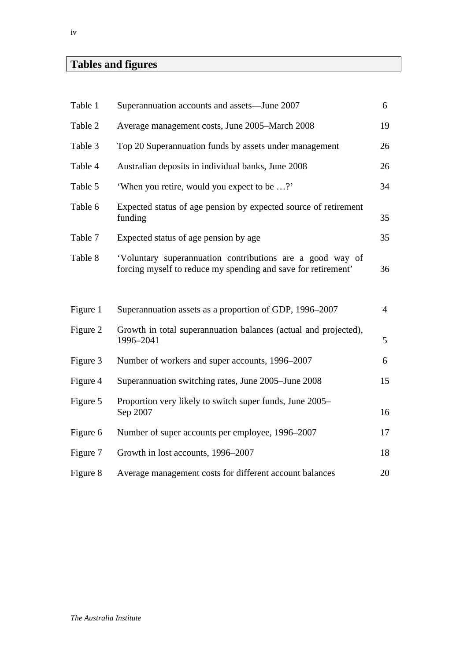# **Tables and figures**

| Table 1  | Superannuation accounts and assets—June 2007                                                                               | 6              |
|----------|----------------------------------------------------------------------------------------------------------------------------|----------------|
| Table 2  | Average management costs, June 2005–March 2008                                                                             | 19             |
| Table 3  | Top 20 Superannuation funds by assets under management                                                                     | 26             |
| Table 4  | Australian deposits in individual banks, June 2008                                                                         | 26             |
| Table 5  | 'When you retire, would you expect to be ?'                                                                                | 34             |
| Table 6  | Expected status of age pension by expected source of retirement<br>funding                                                 | 35             |
| Table 7  | Expected status of age pension by age                                                                                      | 35             |
| Table 8  | 'Voluntary superannuation contributions are a good way of<br>forcing myself to reduce my spending and save for retirement' | 36             |
| Figure 1 | Superannuation assets as a proportion of GDP, 1996-2007                                                                    | $\overline{4}$ |
| Figure 2 | Growth in total superannuation balances (actual and projected),<br>1996-2041                                               | 5              |
| Figure 3 | Number of workers and super accounts, 1996–2007                                                                            | 6              |
| Figure 4 | Superannuation switching rates, June 2005–June 2008                                                                        | 15             |
| Figure 5 | Proportion very likely to switch super funds, June 2005–<br>Sep 2007                                                       | 16             |
| Figure 6 | Number of super accounts per employee, 1996-2007                                                                           | 17             |
| Figure 7 | Growth in lost accounts, 1996–2007                                                                                         | 18             |
| Figure 8 | Average management costs for different account balances                                                                    | 20             |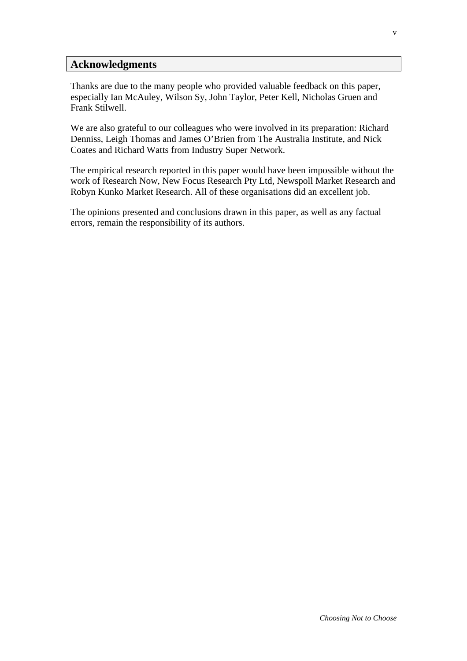# **Acknowledgments**

Thanks are due to the many people who provided valuable feedback on this paper, especially Ian McAuley, Wilson Sy, John Taylor, Peter Kell, Nicholas Gruen and Frank Stilwell.

We are also grateful to our colleagues who were involved in its preparation: Richard Denniss, Leigh Thomas and James O'Brien from The Australia Institute, and Nick Coates and Richard Watts from Industry Super Network.

The empirical research reported in this paper would have been impossible without the work of Research Now, New Focus Research Pty Ltd, Newspoll Market Research and Robyn Kunko Market Research. All of these organisations did an excellent job.

The opinions presented and conclusions drawn in this paper, as well as any factual errors, remain the responsibility of its authors.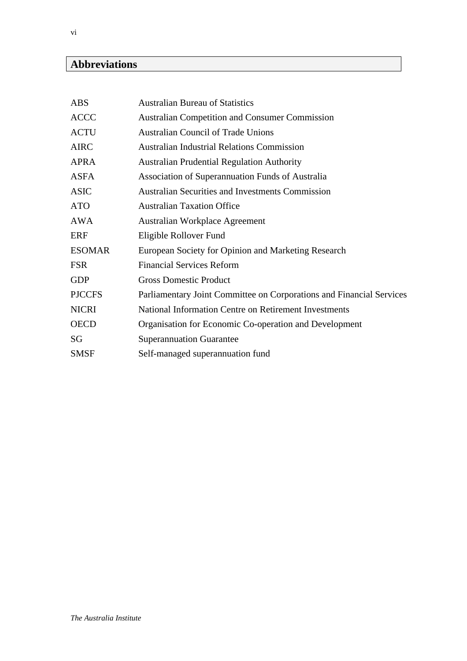# **Abbreviations**

| <b>ABS</b>    | <b>Australian Bureau of Statistics</b>                               |
|---------------|----------------------------------------------------------------------|
| <b>ACCC</b>   | <b>Australian Competition and Consumer Commission</b>                |
| <b>ACTU</b>   | <b>Australian Council of Trade Unions</b>                            |
| <b>AIRC</b>   | <b>Australian Industrial Relations Commission</b>                    |
| <b>APRA</b>   | <b>Australian Prudential Regulation Authority</b>                    |
| <b>ASFA</b>   | Association of Superannuation Funds of Australia                     |
| <b>ASIC</b>   | <b>Australian Securities and Investments Commission</b>              |
| <b>ATO</b>    | <b>Australian Taxation Office</b>                                    |
| <b>AWA</b>    | <b>Australian Workplace Agreement</b>                                |
| <b>ERF</b>    | Eligible Rollover Fund                                               |
| <b>ESOMAR</b> | European Society for Opinion and Marketing Research                  |
| <b>FSR</b>    | <b>Financial Services Reform</b>                                     |
| <b>GDP</b>    | <b>Gross Domestic Product</b>                                        |
| <b>PJCCFS</b> | Parliamentary Joint Committee on Corporations and Financial Services |
| <b>NICRI</b>  | National Information Centre on Retirement Investments                |
| <b>OECD</b>   | Organisation for Economic Co-operation and Development               |
| SG            | <b>Superannuation Guarantee</b>                                      |
| <b>SMSF</b>   | Self-managed superannuation fund                                     |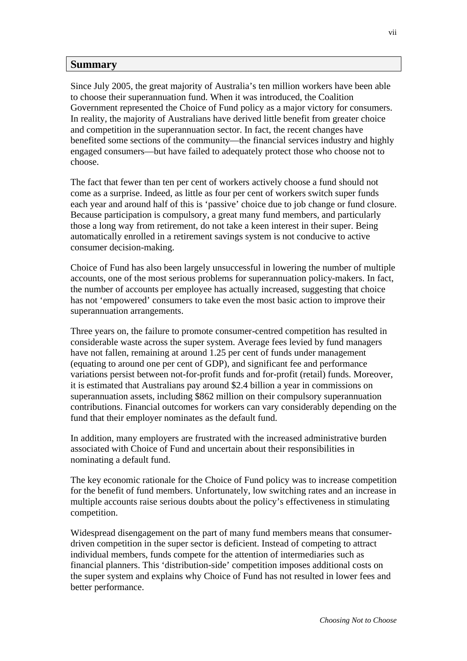#### **Summary**

Since July 2005, the great majority of Australia's ten million workers have been able to choose their superannuation fund. When it was introduced, the Coalition Government represented the Choice of Fund policy as a major victory for consumers. In reality, the majority of Australians have derived little benefit from greater choice and competition in the superannuation sector. In fact, the recent changes have benefited some sections of the community—the financial services industry and highly engaged consumers—but have failed to adequately protect those who choose not to choose.

The fact that fewer than ten per cent of workers actively choose a fund should not come as a surprise. Indeed, as little as four per cent of workers switch super funds each year and around half of this is 'passive' choice due to job change or fund closure. Because participation is compulsory, a great many fund members, and particularly those a long way from retirement, do not take a keen interest in their super. Being automatically enrolled in a retirement savings system is not conducive to active consumer decision-making.

Choice of Fund has also been largely unsuccessful in lowering the number of multiple accounts, one of the most serious problems for superannuation policy-makers. In fact, the number of accounts per employee has actually increased, suggesting that choice has not 'empowered' consumers to take even the most basic action to improve their superannuation arrangements.

Three years on, the failure to promote consumer-centred competition has resulted in considerable waste across the super system. Average fees levied by fund managers have not fallen, remaining at around 1.25 per cent of funds under management (equating to around one per cent of GDP), and significant fee and performance variations persist between not-for-profit funds and for-profit (retail) funds. Moreover, it is estimated that Australians pay around \$2.4 billion a year in commissions on superannuation assets, including \$862 million on their compulsory superannuation contributions. Financial outcomes for workers can vary considerably depending on the fund that their employer nominates as the default fund.

In addition, many employers are frustrated with the increased administrative burden associated with Choice of Fund and uncertain about their responsibilities in nominating a default fund.

The key economic rationale for the Choice of Fund policy was to increase competition for the benefit of fund members. Unfortunately, low switching rates and an increase in multiple accounts raise serious doubts about the policy's effectiveness in stimulating competition.

Widespread disengagement on the part of many fund members means that consumerdriven competition in the super sector is deficient. Instead of competing to attract individual members, funds compete for the attention of intermediaries such as financial planners. This 'distribution-side' competition imposes additional costs on the super system and explains why Choice of Fund has not resulted in lower fees and better performance.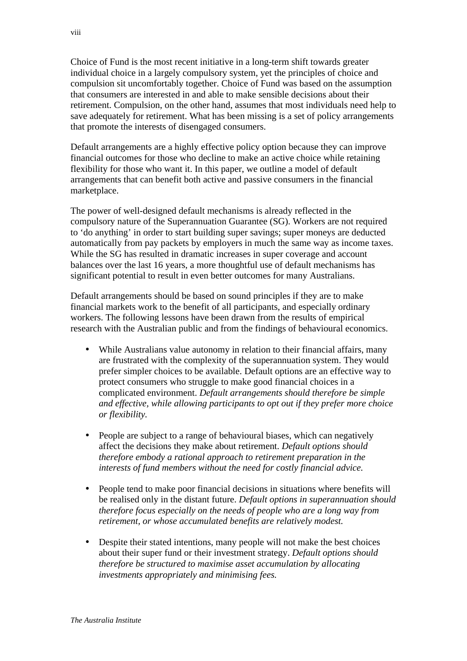Choice of Fund is the most recent initiative in a long-term shift towards greater individual choice in a largely compulsory system, yet the principles of choice and compulsion sit uncomfortably together. Choice of Fund was based on the assumption that consumers are interested in and able to make sensible decisions about their retirement. Compulsion, on the other hand, assumes that most individuals need help to save adequately for retirement. What has been missing is a set of policy arrangements that promote the interests of disengaged consumers.

Default arrangements are a highly effective policy option because they can improve financial outcomes for those who decline to make an active choice while retaining flexibility for those who want it. In this paper, we outline a model of default arrangements that can benefit both active and passive consumers in the financial marketplace.

The power of well-designed default mechanisms is already reflected in the compulsory nature of the Superannuation Guarantee (SG). Workers are not required to 'do anything' in order to start building super savings; super moneys are deducted automatically from pay packets by employers in much the same way as income taxes. While the SG has resulted in dramatic increases in super coverage and account balances over the last 16 years, a more thoughtful use of default mechanisms has significant potential to result in even better outcomes for many Australians.

Default arrangements should be based on sound principles if they are to make financial markets work to the benefit of all participants, and especially ordinary workers. The following lessons have been drawn from the results of empirical research with the Australian public and from the findings of behavioural economics.

- While Australians value autonomy in relation to their financial affairs, many are frustrated with the complexity of the superannuation system. They would prefer simpler choices to be available. Default options are an effective way to protect consumers who struggle to make good financial choices in a complicated environment. *Default arrangements should therefore be simple and effective, while allowing participants to opt out if they prefer more choice or flexibility.*
- People are subject to a range of behavioural biases, which can negatively affect the decisions they make about retirement. *Default options should therefore embody a rational approach to retirement preparation in the interests of fund members without the need for costly financial advice.*
- People tend to make poor financial decisions in situations where benefits will be realised only in the distant future. *Default options in superannuation should therefore focus especially on the needs of people who are a long way from retirement, or whose accumulated benefits are relatively modest.*
- Despite their stated intentions, many people will not make the best choices about their super fund or their investment strategy. *Default options should therefore be structured to maximise asset accumulation by allocating investments appropriately and minimising fees.*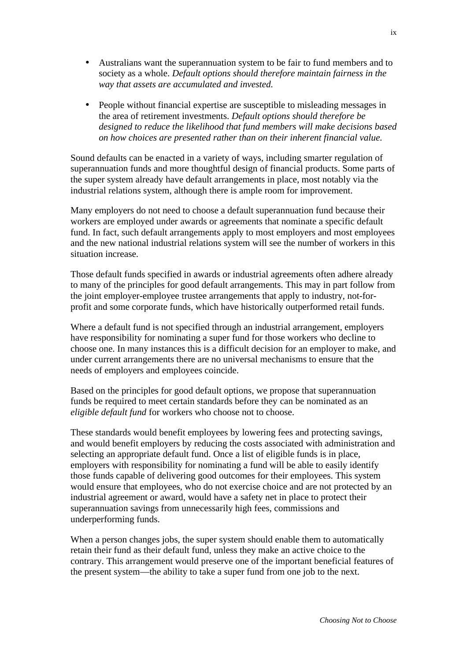- Australians want the superannuation system to be fair to fund members and to society as a whole. *Default options should therefore maintain fairness in the way that assets are accumulated and invested.*
- People without financial expertise are susceptible to misleading messages in the area of retirement investments. *Default options should therefore be designed to reduce the likelihood that fund members will make decisions based on how choices are presented rather than on their inherent financial value.*

Sound defaults can be enacted in a variety of ways, including smarter regulation of superannuation funds and more thoughtful design of financial products. Some parts of the super system already have default arrangements in place, most notably via the industrial relations system, although there is ample room for improvement.

Many employers do not need to choose a default superannuation fund because their workers are employed under awards or agreements that nominate a specific default fund. In fact, such default arrangements apply to most employers and most employees and the new national industrial relations system will see the number of workers in this situation increase.

Those default funds specified in awards or industrial agreements often adhere already to many of the principles for good default arrangements. This may in part follow from the joint employer-employee trustee arrangements that apply to industry, not-forprofit and some corporate funds, which have historically outperformed retail funds.

Where a default fund is not specified through an industrial arrangement, employers have responsibility for nominating a super fund for those workers who decline to choose one. In many instances this is a difficult decision for an employer to make, and under current arrangements there are no universal mechanisms to ensure that the needs of employers and employees coincide.

Based on the principles for good default options, we propose that superannuation funds be required to meet certain standards before they can be nominated as an *eligible default fund* for workers who choose not to choose.

These standards would benefit employees by lowering fees and protecting savings, and would benefit employers by reducing the costs associated with administration and selecting an appropriate default fund. Once a list of eligible funds is in place, employers with responsibility for nominating a fund will be able to easily identify those funds capable of delivering good outcomes for their employees. This system would ensure that employees, who do not exercise choice and are not protected by an industrial agreement or award, would have a safety net in place to protect their superannuation savings from unnecessarily high fees, commissions and underperforming funds.

When a person changes jobs, the super system should enable them to automatically retain their fund as their default fund, unless they make an active choice to the contrary. This arrangement would preserve one of the important beneficial features of the present system—the ability to take a super fund from one job to the next.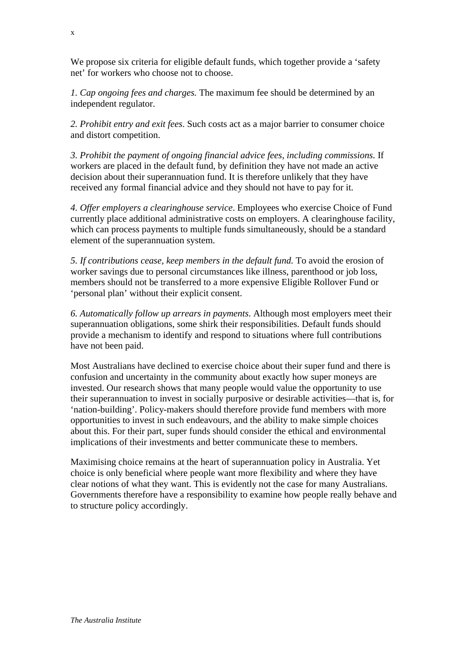We propose six criteria for eligible default funds, which together provide a 'safety' net' for workers who choose not to choose.

*1. Cap ongoing fees and charges.* The maximum fee should be determined by an independent regulator.

*2. Prohibit entry and exit fees*. Such costs act as a major barrier to consumer choice and distort competition.

*3. Prohibit the payment of ongoing financial advice fees, including commissions.* If workers are placed in the default fund, by definition they have not made an active decision about their superannuation fund. It is therefore unlikely that they have received any formal financial advice and they should not have to pay for it.

*4. Offer employers a clearinghouse service*. Employees who exercise Choice of Fund currently place additional administrative costs on employers. A clearinghouse facility, which can process payments to multiple funds simultaneously, should be a standard element of the superannuation system.

*5. If contributions cease, keep members in the default fund.* To avoid the erosion of worker savings due to personal circumstances like illness, parenthood or job loss, members should not be transferred to a more expensive Eligible Rollover Fund or 'personal plan' without their explicit consent.

*6. Automatically follow up arrears in payments*. Although most employers meet their superannuation obligations, some shirk their responsibilities. Default funds should provide a mechanism to identify and respond to situations where full contributions have not been paid.

Most Australians have declined to exercise choice about their super fund and there is confusion and uncertainty in the community about exactly how super moneys are invested. Our research shows that many people would value the opportunity to use their superannuation to invest in socially purposive or desirable activities—that is, for 'nation-building'. Policy-makers should therefore provide fund members with more opportunities to invest in such endeavours, and the ability to make simple choices about this. For their part, super funds should consider the ethical and environmental implications of their investments and better communicate these to members.

Maximising choice remains at the heart of superannuation policy in Australia. Yet choice is only beneficial where people want more flexibility and where they have clear notions of what they want. This is evidently not the case for many Australians. Governments therefore have a responsibility to examine how people really behave and to structure policy accordingly.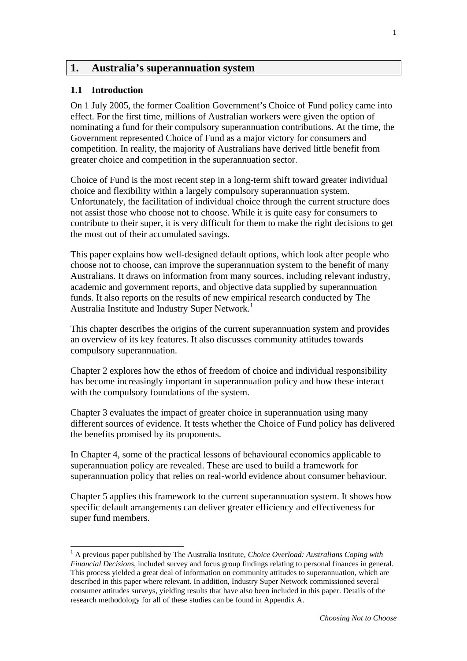# **1. Australia's superannuation system**

#### **1.1 Introduction**

l

On 1 July 2005, the former Coalition Government's Choice of Fund policy came into effect. For the first time, millions of Australian workers were given the option of nominating a fund for their compulsory superannuation contributions. At the time, the Government represented Choice of Fund as a major victory for consumers and competition. In reality, the majority of Australians have derived little benefit from greater choice and competition in the superannuation sector.

Choice of Fund is the most recent step in a long-term shift toward greater individual choice and flexibility within a largely compulsory superannuation system. Unfortunately, the facilitation of individual choice through the current structure does not assist those who choose not to choose. While it is quite easy for consumers to contribute to their super, it is very difficult for them to make the right decisions to get the most out of their accumulated savings.

This paper explains how well-designed default options, which look after people who choose not to choose, can improve the superannuation system to the benefit of many Australians. It draws on information from many sources, including relevant industry, academic and government reports, and objective data supplied by superannuation funds. It also reports on the results of new empirical research conducted by The Australia Institute and Industry Super Network. 1

This chapter describes the origins of the current superannuation system and provides an overview of its key features. It also discusses community attitudes towards compulsory superannuation.

Chapter 2 explores how the ethos of freedom of choice and individual responsibility has become increasingly important in superannuation policy and how these interact with the compulsory foundations of the system.

Chapter 3 evaluates the impact of greater choice in superannuation using many different sources of evidence. It tests whether the Choice of Fund policy has delivered the benefits promised by its proponents.

In Chapter 4, some of the practical lessons of behavioural economics applicable to superannuation policy are revealed. These are used to build a framework for superannuation policy that relies on real-world evidence about consumer behaviour.

Chapter 5 applies this framework to the current superannuation system. It shows how specific default arrangements can deliver greater efficiency and effectiveness for super fund members.

<sup>&</sup>lt;sup>1</sup> A previous paper published by The Australia Institute, *Choice Overload: Australians Coping with Financial Decisions*, included survey and focus group findings relating to personal finances in general. This process yielded a great deal of information on community attitudes to superannuation, which are described in this paper where relevant. In addition, Industry Super Network commissioned several consumer attitudes surveys, yielding results that have also been included in this paper. Details of the research methodology for all of these studies can be found in Appendix A.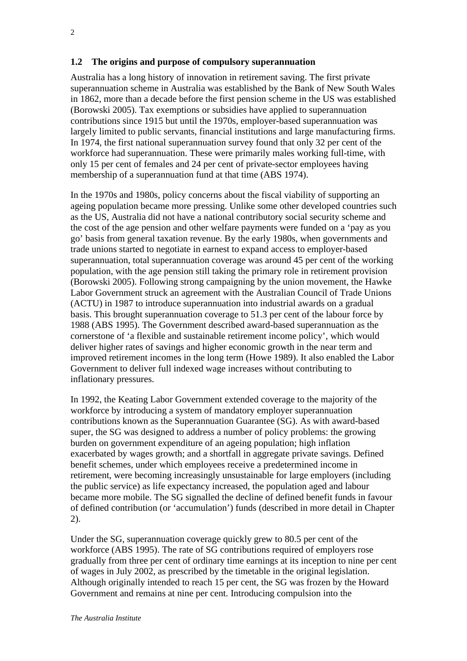Australia has a long history of innovation in retirement saving. The first private superannuation scheme in Australia was established by the Bank of New South Wales in 1862, more than a decade before the first pension scheme in the US was established (Borowski 2005). Tax exemptions or subsidies have applied to superannuation contributions since 1915 but until the 1970s, employer-based superannuation was largely limited to public servants, financial institutions and large manufacturing firms. In 1974, the first national superannuation survey found that only 32 per cent of the workforce had superannuation. These were primarily males working full-time, with only 15 per cent of females and 24 per cent of private-sector employees having membership of a superannuation fund at that time (ABS 1974).

In the 1970s and 1980s, policy concerns about the fiscal viability of supporting an ageing population became more pressing. Unlike some other developed countries such as the US, Australia did not have a national contributory social security scheme and the cost of the age pension and other welfare payments were funded on a 'pay as you go' basis from general taxation revenue. By the early 1980s, when governments and trade unions started to negotiate in earnest to expand access to employer-based superannuation, total superannuation coverage was around 45 per cent of the working population, with the age pension still taking the primary role in retirement provision (Borowski 2005). Following strong campaigning by the union movement, the Hawke Labor Government struck an agreement with the Australian Council of Trade Unions (ACTU) in 1987 to introduce superannuation into industrial awards on a gradual basis. This brought superannuation coverage to 51.3 per cent of the labour force by 1988 (ABS 1995). The Government described award-based superannuation as the cornerstone of 'a flexible and sustainable retirement income policy', which would deliver higher rates of savings and higher economic growth in the near term and improved retirement incomes in the long term (Howe 1989). It also enabled the Labor Government to deliver full indexed wage increases without contributing to inflationary pressures.

In 1992, the Keating Labor Government extended coverage to the majority of the workforce by introducing a system of mandatory employer superannuation contributions known as the Superannuation Guarantee (SG). As with award-based super, the SG was designed to address a number of policy problems: the growing burden on government expenditure of an ageing population; high inflation exacerbated by wages growth; and a shortfall in aggregate private savings. Defined benefit schemes, under which employees receive a predetermined income in retirement, were becoming increasingly unsustainable for large employers (including the public service) as life expectancy increased, the population aged and labour became more mobile. The SG signalled the decline of defined benefit funds in favour of defined contribution (or 'accumulation') funds (described in more detail in Chapter 2).

Under the SG, superannuation coverage quickly grew to 80.5 per cent of the workforce (ABS 1995). The rate of SG contributions required of employers rose gradually from three per cent of ordinary time earnings at its inception to nine per cent of wages in July 2002, as prescribed by the timetable in the original legislation. Although originally intended to reach 15 per cent, the SG was frozen by the Howard Government and remains at nine per cent. Introducing compulsion into the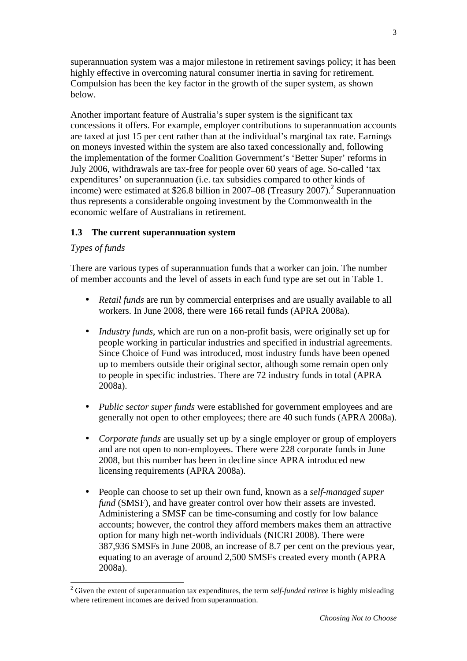superannuation system was a major milestone in retirement savings policy; it has been highly effective in overcoming natural consumer inertia in saving for retirement. Compulsion has been the key factor in the growth of the super system, as shown below.

Another important feature of Australia's super system is the significant tax concessions it offers. For example, employer contributions to superannuation accounts are taxed at just 15 per cent rather than at the individual's marginal tax rate. Earnings on moneys invested within the system are also taxed concessionally and, following the implementation of the former Coalition Government's 'Better Super' reforms in July 2006, withdrawals are tax-free for people over 60 years of age. So-called 'tax expenditures' on superannuation (i.e. tax subsidies compared to other kinds of income) were estimated at \$26.8 billion in 2007–08 (Treasury 2007).<sup>2</sup> Superannuation thus represents a considerable ongoing investment by the Commonwealth in the economic welfare of Australians in retirement.

# **1.3 The current superannuation system**

#### *Types of funds*

l

There are various types of superannuation funds that a worker can join. The number of member accounts and the level of assets in each fund type are set out in Table 1.

- *Retail funds* are run by commercial enterprises and are usually available to all workers. In June 2008, there were 166 retail funds (APRA 2008a).
- *Industry funds*, which are run on a non-profit basis, were originally set up for people working in particular industries and specified in industrial agreements. Since Choice of Fund was introduced, most industry funds have been opened up to members outside their original sector, although some remain open only to people in specific industries. There are 72 industry funds in total (APRA 2008a).
- *Public sector super funds* were established for government employees and are generally not open to other employees; there are 40 such funds (APRA 2008a).
- *Corporate funds* are usually set up by a single employer or group of employers and are not open to non-employees. There were 228 corporate funds in June 2008, but this number has been in decline since APRA introduced new licensing requirements (APRA 2008a).
- People can choose to set up their own fund, known as a *self-managed super fund* (SMSF), and have greater control over how their assets are invested. Administering a SMSF can be time-consuming and costly for low balance accounts; however, the control they afford members makes them an attractive option for many high net-worth individuals (NICRI 2008). There were 387,936 SMSFs in June 2008, an increase of 8.7 per cent on the previous year, equating to an average of around 2,500 SMSFs created every month (APRA 2008a).

<sup>2</sup> Given the extent of superannuation tax expenditures, the term *self-funded retiree* is highly misleading where retirement incomes are derived from superannuation.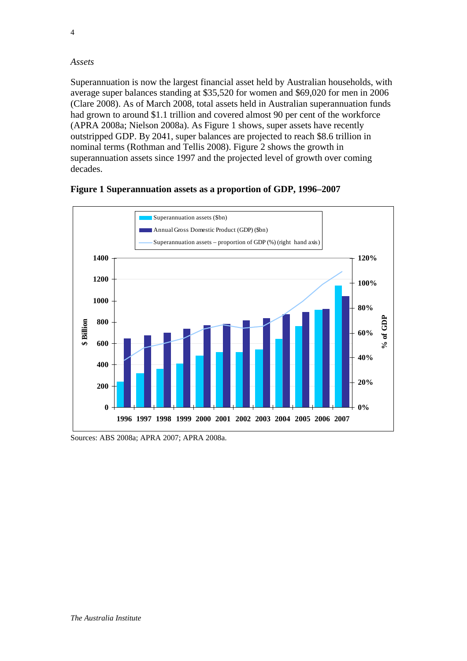#### *Assets*

Superannuation is now the largest financial asset held by Australian households, with average super balances standing at \$35,520 for women and \$69,020 for men in 2006 (Clare 2008). As of March 2008, total assets held in Australian superannuation funds had grown to around \$1.1 trillion and covered almost 90 per cent of the workforce (APRA 2008a; Nielson 2008a). As Figure 1 shows, super assets have recently outstripped GDP. By 2041, super balances are projected to reach \$8.6 trillion in nominal terms (Rothman and Tellis 2008). Figure 2 shows the growth in superannuation assets since 1997 and the projected level of growth over coming decades.



#### **Figure 1 Superannuation assets as a proportion of GDP, 1996–2007**

Sources: ABS 2008a; APRA 2007; APRA 2008a.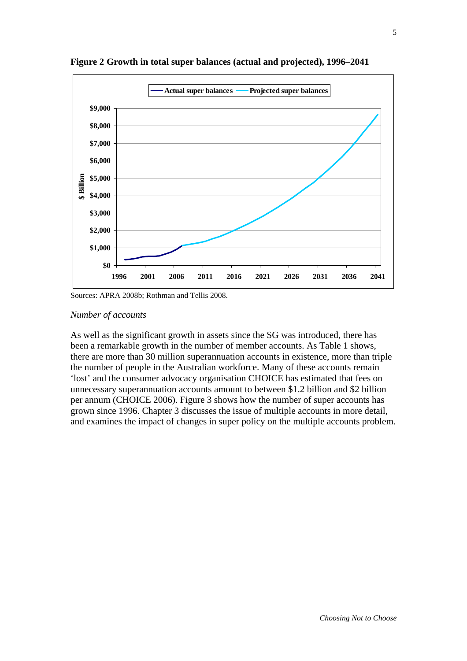

**Figure 2 Growth in total super balances (actual and projected), 1996–2041**

Sources: APRA 2008b; Rothman and Tellis 2008.

#### *Number of accounts*

As well as the significant growth in assets since the SG was introduced, there has been a remarkable growth in the number of member accounts. As Table 1 shows, there are more than 30 million superannuation accounts in existence, more than triple the number of people in the Australian workforce. Many of these accounts remain 'lost' and the consumer advocacy organisation CHOICE has estimated that fees on unnecessary superannuation accounts amount to between \$1.2 billion and \$2 billion per annum (CHOICE 2006). Figure 3 shows how the number of super accounts has grown since 1996. Chapter 3 discusses the issue of multiple accounts in more detail, and examines the impact of changes in super policy on the multiple accounts problem.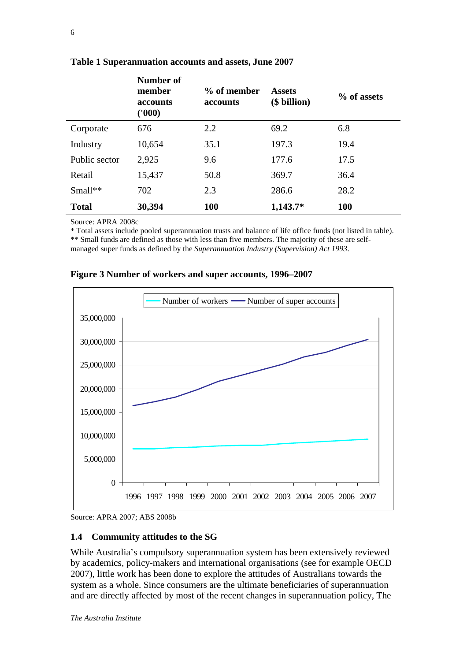|               | Number of<br>member<br>accounts<br>(000) | $\%$ of member<br>accounts | <b>Assets</b><br>(\$ billion) | % of assets |
|---------------|------------------------------------------|----------------------------|-------------------------------|-------------|
| Corporate     | 676                                      | 2.2                        | 69.2                          | 6.8         |
| Industry      | 10,654                                   | 35.1                       | 197.3                         | 19.4        |
| Public sector | 2,925                                    | 9.6                        | 177.6                         | 17.5        |
| Retail        | 15,437                                   | 50.8                       | 369.7                         | 36.4        |
| $Small**$     | 702                                      | 2.3                        | 286.6                         | 28.2        |
| <b>Total</b>  | 30,394                                   | <b>100</b>                 | $1,143.7*$                    | <b>100</b>  |

**Table 1 Superannuation accounts and assets, June 2007**

Source: APRA 2008c

\* Total assets include pooled superannuation trusts and balance of life office funds (not listed in table). \*\* Small funds are defined as those with less than five members. The majority of these are selfmanaged super funds as defined by the *Superannuation Industry (Supervision) Act 1993*.



**Figure 3 Number of workers and super accounts, 1996–2007**

Source: APRA 2007; ABS 2008b

#### **1.4 Community attitudes to the SG**

While Australia's compulsory superannuation system has been extensively reviewed by academics, policy-makers and international organisations (see for example OECD 2007), little work has been done to explore the attitudes of Australians towards the system as a whole. Since consumers are the ultimate beneficiaries of superannuation and are directly affected by most of the recent changes in superannuation policy, The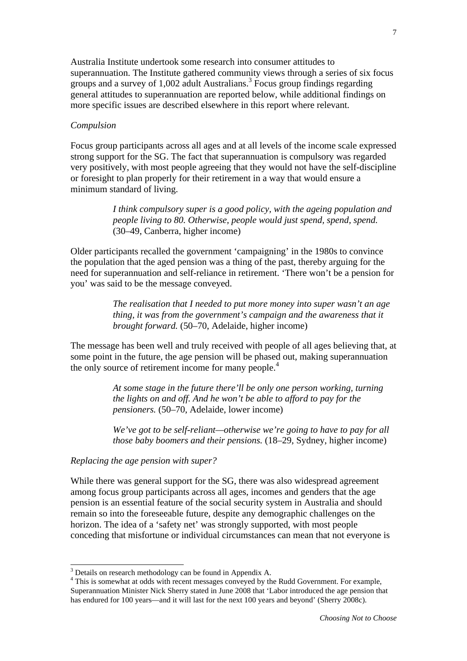Australia Institute undertook some research into consumer attitudes to superannuation. The Institute gathered community views through a series of six focus groups and a survey of 1,002 adult Australians.<sup>3</sup> Focus group findings regarding general attitudes to superannuation are reported below, while additional findings on more specific issues are described elsewhere in this report where relevant.

#### *Compulsion*

Focus group participants across all ages and at all levels of the income scale expressed strong support for the SG. The fact that superannuation is compulsory was regarded very positively, with most people agreeing that they would not have the self-discipline or foresight to plan properly for their retirement in a way that would ensure a minimum standard of living.

> *I think compulsory super is a good policy, with the ageing population and people living to 80. Otherwise, people would just spend, spend, spend.* (30–49, Canberra, higher income)

Older participants recalled the government 'campaigning' in the 1980s to convince the population that the aged pension was a thing of the past, thereby arguing for the need for superannuation and self-reliance in retirement. 'There won't be a pension for you' was said to be the message conveyed.

> *The realisation that I needed to put more money into super wasn't an age thing, it was from the government's campaign and the awareness that it brought forward.* (50–70, Adelaide, higher income)

The message has been well and truly received with people of all ages believing that, at some point in the future, the age pension will be phased out, making superannuation the only source of retirement income for many people.<sup>4</sup>

> *At some stage in the future there'll be only one person working, turning the lights on and off. And he won't be able to afford to pay for the pensioners.* (50–70, Adelaide, lower income)

*We've got to be self-reliant—otherwise we're going to have to pay for all those baby boomers and their pensions.* (18–29, Sydney, higher income)

#### *Replacing the age pension with super?*

l

While there was general support for the SG, there was also widespread agreement among focus group participants across all ages, incomes and genders that the age pension is an essential feature of the social security system in Australia and should remain so into the foreseeable future, despite any demographic challenges on the horizon. The idea of a 'safety net' was strongly supported, with most people conceding that misfortune or individual circumstances can mean that not everyone is

 $3$  Details on research methodology can be found in Appendix A.

<sup>&</sup>lt;sup>4</sup> This is somewhat at odds with recent messages conveyed by the Rudd Government. For example, Superannuation Minister Nick Sherry stated in June 2008 that 'Labor introduced the age pension that has endured for 100 years—and it will last for the next 100 years and beyond' (Sherry 2008c).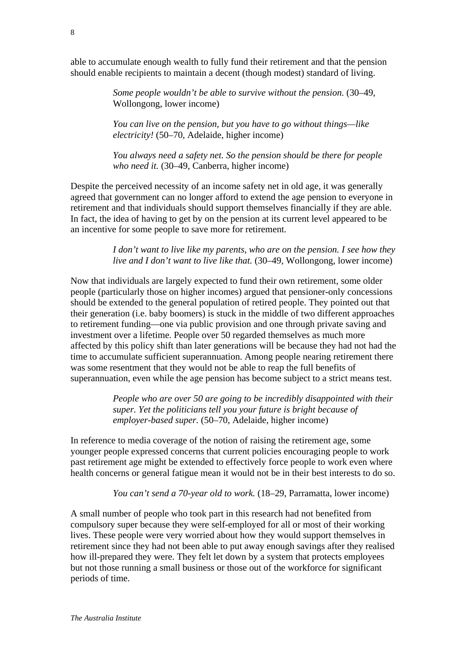able to accumulate enough wealth to fully fund their retirement and that the pension should enable recipients to maintain a decent (though modest) standard of living.

> *Some people wouldn't be able to survive without the pension.* (30–49, Wollongong, lower income)

*You can live on the pension, but you have to go without things—like electricity!* (50–70, Adelaide, higher income)

*You always need a safety net. So the pension should be there for people who need it.* (30–49, Canberra, higher income)

Despite the perceived necessity of an income safety net in old age, it was generally agreed that government can no longer afford to extend the age pension to everyone in retirement and that individuals should support themselves financially if they are able. In fact, the idea of having to get by on the pension at its current level appeared to be an incentive for some people to save more for retirement.

> *I don't want to live like my parents, who are on the pension. I see how they live and I don't want to live like that.* (30–49, Wollongong, lower income)

Now that individuals are largely expected to fund their own retirement, some older people (particularly those on higher incomes) argued that pensioner-only concessions should be extended to the general population of retired people. They pointed out that their generation (i.e. baby boomers) is stuck in the middle of two different approaches to retirement funding—one via public provision and one through private saving and investment over a lifetime. People over 50 regarded themselves as much more affected by this policy shift than later generations will be because they had not had the time to accumulate sufficient superannuation. Among people nearing retirement there was some resentment that they would not be able to reap the full benefits of superannuation, even while the age pension has become subject to a strict means test.

> *People who are over 50 are going to be incredibly disappointed with their super. Yet the politicians tell you your future is bright because of employer-based super.* (50–70, Adelaide, higher income)

In reference to media coverage of the notion of raising the retirement age, some younger people expressed concerns that current policies encouraging people to work past retirement age might be extended to effectively force people to work even where health concerns or general fatigue mean it would not be in their best interests to do so.

*You can't send a 70-year old to work.* (18–29, Parramatta, lower income)

A small number of people who took part in this research had not benefited from compulsory super because they were self-employed for all or most of their working lives. These people were very worried about how they would support themselves in retirement since they had not been able to put away enough savings after they realised how ill-prepared they were. They felt let down by a system that protects employees but not those running a small business or those out of the workforce for significant periods of time.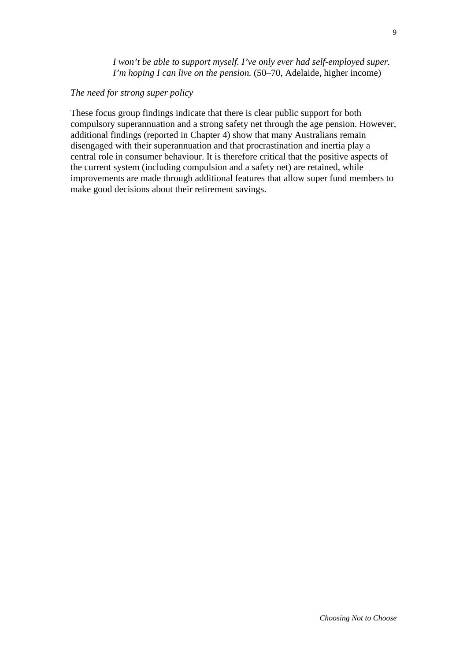*I won't be able to support myself. I've only ever had self-employed super. I'm hoping I can live on the pension.* (50–70, Adelaide, higher income)

*The need for strong super policy*

These focus group findings indicate that there is clear public support for both compulsory superannuation and a strong safety net through the age pension. However, additional findings (reported in Chapter 4) show that many Australians remain disengaged with their superannuation and that procrastination and inertia play a central role in consumer behaviour. It is therefore critical that the positive aspects of the current system (including compulsion and a safety net) are retained, while improvements are made through additional features that allow super fund members to make good decisions about their retirement savings.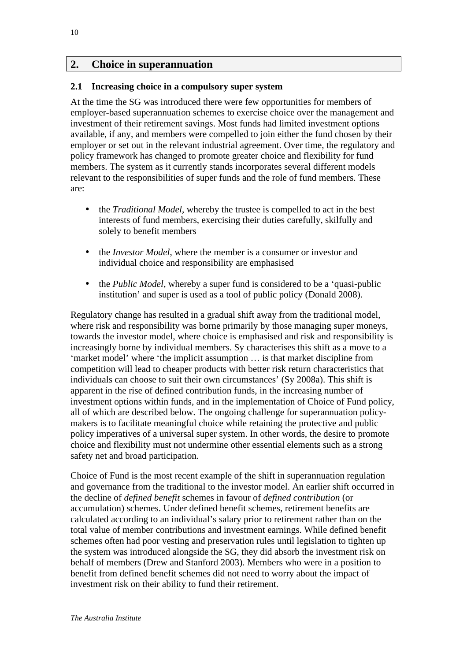# **2. Choice in superannuation**

#### **2.1 Increasing choice in a compulsory super system**

At the time the SG was introduced there were few opportunities for members of employer-based superannuation schemes to exercise choice over the management and investment of their retirement savings. Most funds had limited investment options available, if any, and members were compelled to join either the fund chosen by their employer or set out in the relevant industrial agreement. Over time, the regulatory and policy framework has changed to promote greater choice and flexibility for fund members. The system as it currently stands incorporates several different models relevant to the responsibilities of super funds and the role of fund members. These are:

- the *Traditional Model*, whereby the trustee is compelled to act in the best interests of fund members, exercising their duties carefully, skilfully and solely to benefit members
- the *Investor Model*, where the member is a consumer or investor and individual choice and responsibility are emphasised
- the *Public Model*, whereby a super fund is considered to be a 'quasi-public' institution' and super is used as a tool of public policy (Donald 2008).

Regulatory change has resulted in a gradual shift away from the traditional model, where risk and responsibility was borne primarily by those managing super moneys, towards the investor model, where choice is emphasised and risk and responsibility is increasingly borne by individual members. Sy characterises this shift as a move to a 'market model' where 'the implicit assumption … is that market discipline from competition will lead to cheaper products with better risk return characteristics that individuals can choose to suit their own circumstances' (Sy 2008a). This shift is apparent in the rise of defined contribution funds, in the increasing number of investment options within funds, and in the implementation of Choice of Fund policy, all of which are described below. The ongoing challenge for superannuation policymakers is to facilitate meaningful choice while retaining the protective and public policy imperatives of a universal super system. In other words, the desire to promote choice and flexibility must not undermine other essential elements such as a strong safety net and broad participation.

Choice of Fund is the most recent example of the shift in superannuation regulation and governance from the traditional to the investor model. An earlier shift occurred in the decline of *defined benefit* schemes in favour of *defined contribution* (or accumulation) schemes. Under defined benefit schemes, retirement benefits are calculated according to an individual's salary prior to retirement rather than on the total value of member contributions and investment earnings. While defined benefit schemes often had poor vesting and preservation rules until legislation to tighten up the system was introduced alongside the SG, they did absorb the investment risk on behalf of members (Drew and Stanford 2003). Members who were in a position to benefit from defined benefit schemes did not need to worry about the impact of investment risk on their ability to fund their retirement.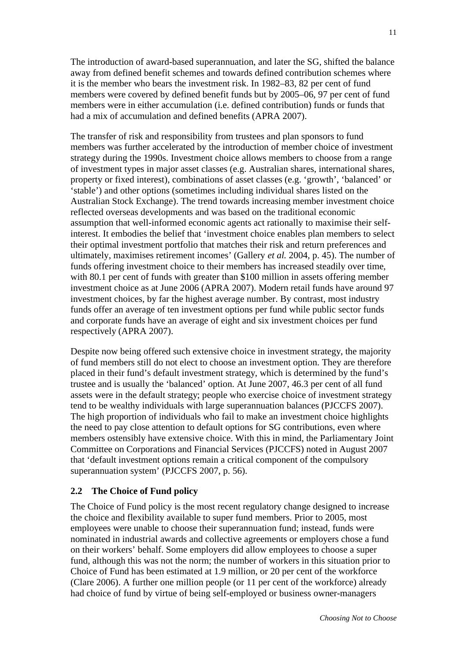The introduction of award-based superannuation, and later the SG, shifted the balance away from defined benefit schemes and towards defined contribution schemes where it is the member who bears the investment risk. In 1982–83, 82 per cent of fund members were covered by defined benefit funds but by 2005–06, 97 per cent of fund members were in either accumulation (i.e. defined contribution) funds or funds that had a mix of accumulation and defined benefits (APRA 2007).

The transfer of risk and responsibility from trustees and plan sponsors to fund members was further accelerated by the introduction of member choice of investment strategy during the 1990s. Investment choice allows members to choose from a range of investment types in major asset classes (e.g. Australian shares, international shares, property or fixed interest), combinations of asset classes (e.g. 'growth', 'balanced' or 'stable') and other options (sometimes including individual shares listed on the Australian Stock Exchange). The trend towards increasing member investment choice reflected overseas developments and was based on the traditional economic assumption that well-informed economic agents act rationally to maximise their selfinterest. It embodies the belief that 'investment choice enables plan members to select their optimal investment portfolio that matches their risk and return preferences and ultimately, maximises retirement incomes' (Gallery *et al.* 2004, p. 45). The number of funds offering investment choice to their members has increased steadily over time, with 80.1 per cent of funds with greater than \$100 million in assets offering member investment choice as at June 2006 (APRA 2007). Modern retail funds have around 97 investment choices, by far the highest average number. By contrast, most industry funds offer an average of ten investment options per fund while public sector funds and corporate funds have an average of eight and six investment choices per fund respectively (APRA 2007).

Despite now being offered such extensive choice in investment strategy, the majority of fund members still do not elect to choose an investment option. They are therefore placed in their fund's default investment strategy, which is determined by the fund's trustee and is usually the 'balanced' option. At June 2007, 46.3 per cent of all fund assets were in the default strategy; people who exercise choice of investment strategy tend to be wealthy individuals with large superannuation balances (PJCCFS 2007). The high proportion of individuals who fail to make an investment choice highlights the need to pay close attention to default options for SG contributions, even where members ostensibly have extensive choice. With this in mind, the Parliamentary Joint Committee on Corporations and Financial Services (PJCCFS) noted in August 2007 that 'default investment options remain a critical component of the compulsory superannuation system' (PJCCFS 2007, p. 56).

#### **2.2 The Choice of Fund policy**

The Choice of Fund policy is the most recent regulatory change designed to increase the choice and flexibility available to super fund members. Prior to 2005, most employees were unable to choose their superannuation fund; instead, funds were nominated in industrial awards and collective agreements or employers chose a fund on their workers' behalf. Some employers did allow employees to choose a super fund, although this was not the norm; the number of workers in this situation prior to Choice of Fund has been estimated at 1.9 million, or 20 per cent of the workforce (Clare 2006). A further one million people (or 11 per cent of the workforce) already had choice of fund by virtue of being self-employed or business owner-managers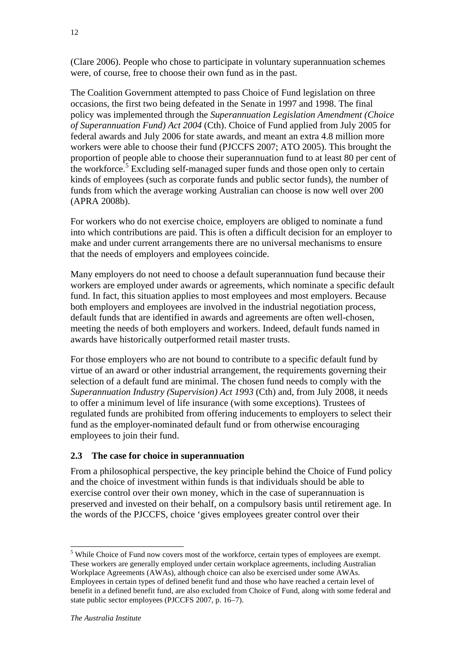(Clare 2006). People who chose to participate in voluntary superannuation schemes were, of course, free to choose their own fund as in the past.

The Coalition Government attempted to pass Choice of Fund legislation on three occasions, the first two being defeated in the Senate in 1997 and 1998. The final policy was implemented through the *Superannuation Legislation Amendment (Choice of Superannuation Fund) Act 2004* (Cth). Choice of Fund applied from July 2005 for federal awards and July 2006 for state awards, and meant an extra 4.8 million more workers were able to choose their fund (PJCCFS 2007; ATO 2005). This brought the proportion of people able to choose their superannuation fund to at least 80 per cent of the workforce.<sup>5</sup> Excluding self-managed super funds and those open only to certain kinds of employees (such as corporate funds and public sector funds), the number of funds from which the average working Australian can choose is now well over 200 (APRA 2008b).

For workers who do not exercise choice, employers are obliged to nominate a fund into which contributions are paid. This is often a difficult decision for an employer to make and under current arrangements there are no universal mechanisms to ensure that the needs of employers and employees coincide.

Many employers do not need to choose a default superannuation fund because their workers are employed under awards or agreements, which nominate a specific default fund. In fact, this situation applies to most employees and most employers. Because both employers and employees are involved in the industrial negotiation process, default funds that are identified in awards and agreements are often well-chosen, meeting the needs of both employers and workers. Indeed, default funds named in awards have historically outperformed retail master trusts.

For those employers who are not bound to contribute to a specific default fund by virtue of an award or other industrial arrangement, the requirements governing their selection of a default fund are minimal. The chosen fund needs to comply with the *Superannuation Industry (Supervision) Act 1993* (Cth) and, from July 2008, it needs to offer a minimum level of life insurance (with some exceptions). Trustees of regulated funds are prohibited from offering inducements to employers to select their fund as the employer-nominated default fund or from otherwise encouraging employees to join their fund.

# **2.3 The case for choice in superannuation**

From a philosophical perspective, the key principle behind the Choice of Fund policy and the choice of investment within funds is that individuals should be able to exercise control over their own money, which in the case of superannuation is preserved and invested on their behalf, on a compulsory basis until retirement age. In the words of the PJCCFS, choice 'gives employees greater control over their

l <sup>5</sup> While Choice of Fund now covers most of the workforce, certain types of employees are exempt. These workers are generally employed under certain workplace agreements, including Australian Workplace Agreements (AWAs), although choice can also be exercised under some AWAs. Employees in certain types of defined benefit fund and those who have reached a certain level of benefit in a defined benefit fund, are also excluded from Choice of Fund, along with some federal and state public sector employees (PJCCFS 2007, p. 16–7).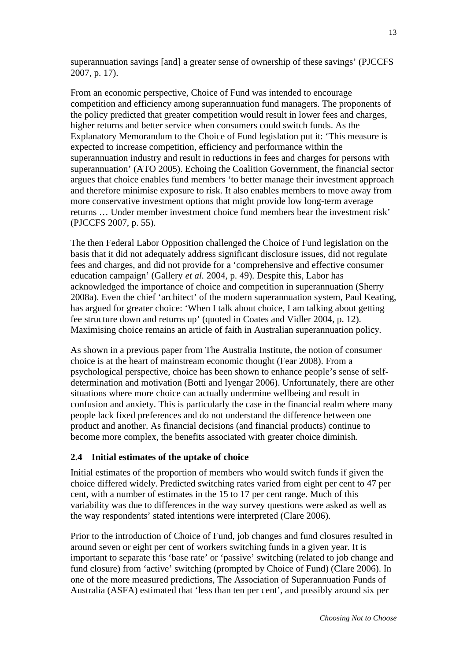superannuation savings [and] a greater sense of ownership of these savings' (PJCCFS 2007, p. 17).

From an economic perspective, Choice of Fund was intended to encourage competition and efficiency among superannuation fund managers. The proponents of the policy predicted that greater competition would result in lower fees and charges, higher returns and better service when consumers could switch funds. As the Explanatory Memorandum to the Choice of Fund legislation put it: 'This measure is expected to increase competition, efficiency and performance within the superannuation industry and result in reductions in fees and charges for persons with superannuation' (ATO 2005). Echoing the Coalition Government, the financial sector argues that choice enables fund members 'to better manage their investment approach and therefore minimise exposure to risk. It also enables members to move away from more conservative investment options that might provide low long-term average returns … Under member investment choice fund members bear the investment risk' (PJCCFS 2007, p. 55).

The then Federal Labor Opposition challenged the Choice of Fund legislation on the basis that it did not adequately address significant disclosure issues, did not regulate fees and charges, and did not provide for a 'comprehensive and effective consumer education campaign' (Gallery *et al.* 2004, p. 49). Despite this, Labor has acknowledged the importance of choice and competition in superannuation (Sherry 2008a). Even the chief 'architect' of the modern superannuation system, Paul Keating, has argued for greater choice: 'When I talk about choice, I am talking about getting fee structure down and returns up' (quoted in Coates and Vidler 2004, p. 12). Maximising choice remains an article of faith in Australian superannuation policy.

As shown in a previous paper from The Australia Institute, the notion of consumer choice is at the heart of mainstream economic thought (Fear 2008). From a psychological perspective, choice has been shown to enhance people's sense of selfdetermination and motivation (Botti and Iyengar 2006). Unfortunately, there are other situations where more choice can actually undermine wellbeing and result in confusion and anxiety. This is particularly the case in the financial realm where many people lack fixed preferences and do not understand the difference between one product and another. As financial decisions (and financial products) continue to become more complex, the benefits associated with greater choice diminish.

# **2.4 Initial estimates of the uptake of choice**

Initial estimates of the proportion of members who would switch funds if given the choice differed widely. Predicted switching rates varied from eight per cent to 47 per cent, with a number of estimates in the 15 to 17 per cent range. Much of this variability was due to differences in the way survey questions were asked as well as the way respondents' stated intentions were interpreted (Clare 2006).

Prior to the introduction of Choice of Fund, job changes and fund closures resulted in around seven or eight per cent of workers switching funds in a given year. It is important to separate this 'base rate' or 'passive' switching (related to job change and fund closure) from 'active' switching (prompted by Choice of Fund) (Clare 2006). In one of the more measured predictions, The Association of Superannuation Funds of Australia (ASFA) estimated that 'less than ten per cent', and possibly around six per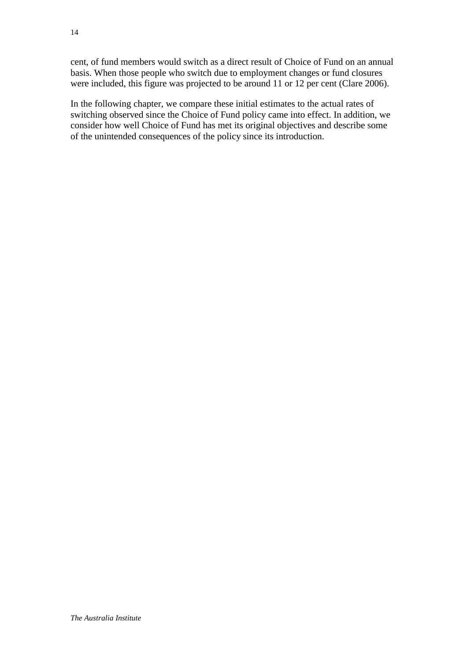cent, of fund members would switch as a direct result of Choice of Fund on an annual basis. When those people who switch due to employment changes or fund closures were included, this figure was projected to be around 11 or 12 per cent (Clare 2006).

In the following chapter, we compare these initial estimates to the actual rates of switching observed since the Choice of Fund policy came into effect. In addition, we consider how well Choice of Fund has met its original objectives and describe some of the unintended consequences of the policy since its introduction.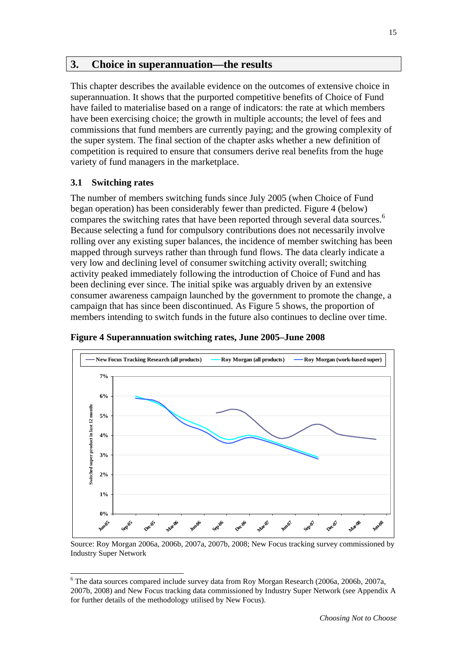# **3. Choice in superannuation—the results**

This chapter describes the available evidence on the outcomes of extensive choice in superannuation. It shows that the purported competitive benefits of Choice of Fund have failed to materialise based on a range of indicators: the rate at which members have been exercising choice; the growth in multiple accounts; the level of fees and commissions that fund members are currently paying; and the growing complexity of the super system. The final section of the chapter asks whether a new definition of competition is required to ensure that consumers derive real benefits from the huge variety of fund managers in the marketplace.

#### **3.1 Switching rates**

l

The number of members switching funds since July 2005 (when Choice of Fund began operation) has been considerably fewer than predicted. Figure 4 (below) compares the switching rates that have been reported through several data sources.<sup>6</sup> Because selecting a fund for compulsory contributions does not necessarily involve rolling over any existing super balances, the incidence of member switching has been mapped through surveys rather than through fund flows. The data clearly indicate a very low and declining level of consumer switching activity overall; switching activity peaked immediately following the introduction of Choice of Fund and has been declining ever since. The initial spike was arguably driven by an extensive consumer awareness campaign launched by the government to promote the change, a campaign that has since been discontinued. As Figure 5 shows, the proportion of members intending to switch funds in the future also continues to decline over time.



**Figure 4 Superannuation switching rates, June 2005–June 2008**

Source: Roy Morgan 2006a, 2006b, 2007a, 2007b, 2008; New Focus tracking survey commissioned by Industry Super Network

<sup>&</sup>lt;sup>6</sup> The data sources compared include survey data from Roy Morgan Research (2006a, 2006b, 2007a, 2007b, 2008) and New Focus tracking data commissioned by Industry Super Network (see Appendix A for further details of the methodology utilised by New Focus).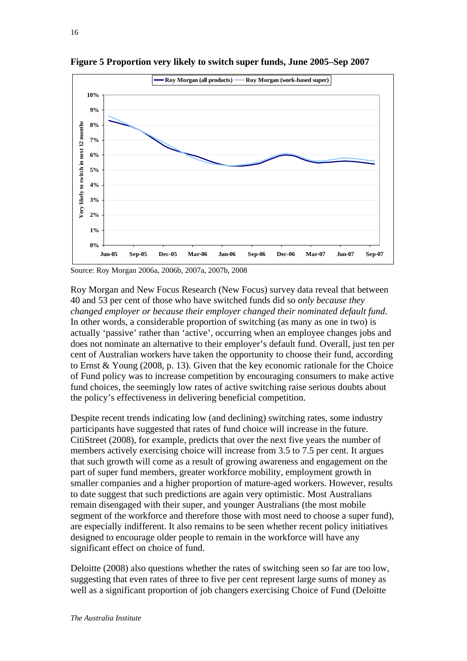

**Figure 5 Proportion very likely to switch super funds, June 2005–Sep 2007**

Source: Roy Morgan 2006a, 2006b, 2007a, 2007b, 2008

Roy Morgan and New Focus Research (New Focus) survey data reveal that between 40 and 53 per cent of those who have switched funds did so *only because they changed employer or because their employer changed their nominated default fund*. In other words, a considerable proportion of switching (as many as one in two) is actually 'passive' rather than 'active', occurring when an employee changes jobs and does not nominate an alternative to their employer's default fund. Overall, just ten per cent of Australian workers have taken the opportunity to choose their fund, according to Ernst & Young (2008, p. 13). Given that the key economic rationale for the Choice of Fund policy was to increase competition by encouraging consumers to make active fund choices, the seemingly low rates of active switching raise serious doubts about the policy's effectiveness in delivering beneficial competition.

Despite recent trends indicating low (and declining) switching rates, some industry participants have suggested that rates of fund choice will increase in the future. CitiStreet (2008), for example, predicts that over the next five years the number of members actively exercising choice will increase from 3.5 to 7.5 per cent. It argues that such growth will come as a result of growing awareness and engagement on the part of super fund members, greater workforce mobility, employment growth in smaller companies and a higher proportion of mature-aged workers. However, results to date suggest that such predictions are again very optimistic. Most Australians remain disengaged with their super, and younger Australians (the most mobile segment of the workforce and therefore those with most need to choose a super fund), are especially indifferent. It also remains to be seen whether recent policy initiatives designed to encourage older people to remain in the workforce will have any significant effect on choice of fund.

Deloitte (2008) also questions whether the rates of switching seen so far are too low, suggesting that even rates of three to five per cent represent large sums of money as well as a significant proportion of job changers exercising Choice of Fund (Deloitte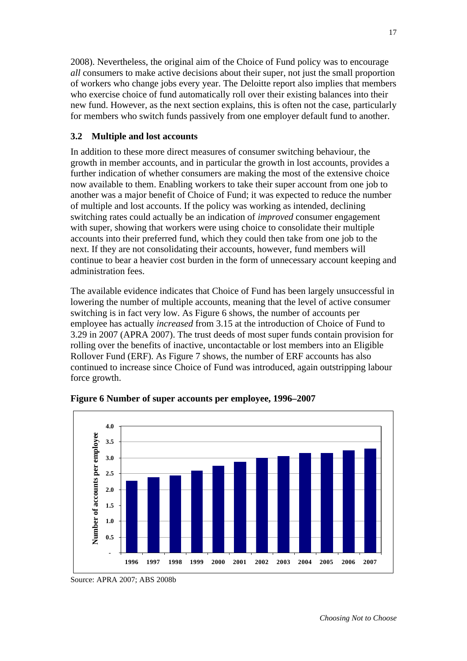2008). Nevertheless, the original aim of the Choice of Fund policy was to encourage *all* consumers to make active decisions about their super, not just the small proportion of workers who change jobs every year. The Deloitte report also implies that members who exercise choice of fund automatically roll over their existing balances into their new fund. However, as the next section explains, this is often not the case, particularly for members who switch funds passively from one employer default fund to another.

# **3.2 Multiple and lost accounts**

In addition to these more direct measures of consumer switching behaviour, the growth in member accounts, and in particular the growth in lost accounts, provides a further indication of whether consumers are making the most of the extensive choice now available to them. Enabling workers to take their super account from one job to another was a major benefit of Choice of Fund; it was expected to reduce the number of multiple and lost accounts. If the policy was working as intended, declining switching rates could actually be an indication of *improved* consumer engagement with super, showing that workers were using choice to consolidate their multiple accounts into their preferred fund, which they could then take from one job to the next. If they are not consolidating their accounts, however, fund members will continue to bear a heavier cost burden in the form of unnecessary account keeping and administration fees.

The available evidence indicates that Choice of Fund has been largely unsuccessful in lowering the number of multiple accounts, meaning that the level of active consumer switching is in fact very low. As Figure 6 shows, the number of accounts per employee has actually *increased* from 3.15 at the introduction of Choice of Fund to 3.29 in 2007 (APRA 2007). The trust deeds of most super funds contain provision for rolling over the benefits of inactive, uncontactable or lost members into an Eligible Rollover Fund (ERF). As Figure 7 shows, the number of ERF accounts has also continued to increase since Choice of Fund was introduced, again outstripping labour force growth.



**Figure 6 Number of super accounts per employee, 1996–2007**

Source: APRA 2007; ABS 2008b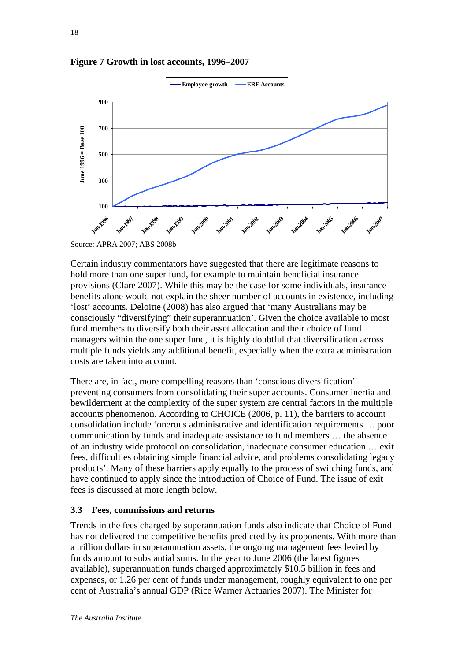



Source: APRA 2007; ABS 2008b

Certain industry commentators have suggested that there are legitimate reasons to hold more than one super fund, for example to maintain beneficial insurance provisions (Clare 2007). While this may be the case for some individuals, insurance benefits alone would not explain the sheer number of accounts in existence, including 'lost' accounts. Deloitte (2008) has also argued that 'many Australians may be consciously "diversifying" their superannuation'. Given the choice available to most fund members to diversify both their asset allocation and their choice of fund managers within the one super fund, it is highly doubtful that diversification across multiple funds yields any additional benefit, especially when the extra administration costs are taken into account.

There are, in fact, more compelling reasons than 'conscious diversification' preventing consumers from consolidating their super accounts. Consumer inertia and bewilderment at the complexity of the super system are central factors in the multiple accounts phenomenon. According to CHOICE (2006, p. 11), the barriers to account consolidation include 'onerous administrative and identification requirements … poor communication by funds and inadequate assistance to fund members … the absence of an industry wide protocol on consolidation, inadequate consumer education … exit fees, difficulties obtaining simple financial advice, and problems consolidating legacy products'. Many of these barriers apply equally to the process of switching funds, and have continued to apply since the introduction of Choice of Fund. The issue of exit fees is discussed at more length below.

# **3.3 Fees, commissions and returns**

Trends in the fees charged by superannuation funds also indicate that Choice of Fund has not delivered the competitive benefits predicted by its proponents. With more than a trillion dollars in superannuation assets, the ongoing management fees levied by funds amount to substantial sums. In the year to June 2006 (the latest figures available), superannuation funds charged approximately \$10.5 billion in fees and expenses, or 1.26 per cent of funds under management, roughly equivalent to one per cent of Australia's annual GDP (Rice Warner Actuaries 2007). The Minister for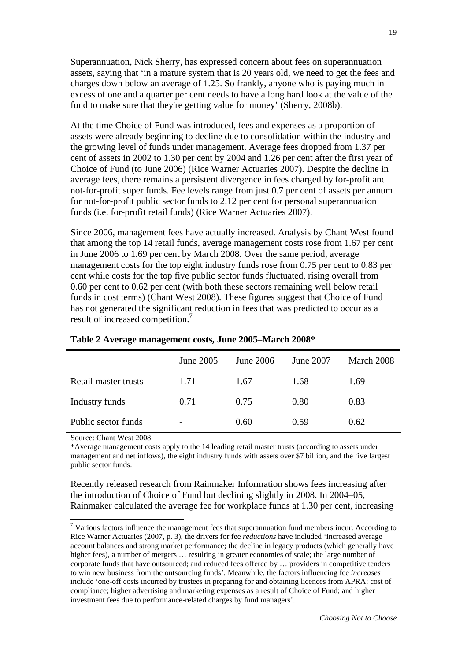Superannuation, Nick Sherry, has expressed concern about fees on superannuation assets, saying that 'in a mature system that is 20 years old, we need to get the fees and charges down below an average of 1.25. So frankly, anyone who is paying much in excess of one and a quarter per cent needs to have a long hard look at the value of the fund to make sure that they're getting value for money' (Sherry, 2008b).

At the time Choice of Fund was introduced, fees and expenses as a proportion of assets were already beginning to decline due to consolidation within the industry and the growing level of funds under management. Average fees dropped from 1.37 per cent of assets in 2002 to 1.30 per cent by 2004 and 1.26 per cent after the first year of Choice of Fund (to June 2006) (Rice Warner Actuaries 2007). Despite the decline in average fees, there remains a persistent divergence in fees charged by for-profit and not-for-profit super funds. Fee levels range from just 0.7 per cent of assets per annum for not-for-profit public sector funds to 2.12 per cent for personal superannuation funds (i.e. for-profit retail funds) (Rice Warner Actuaries 2007).

Since 2006, management fees have actually increased. Analysis by Chant West found that among the top 14 retail funds, average management costs rose from 1.67 per cent in June 2006 to 1.69 per cent by March 2008. Over the same period, average management costs for the top eight industry funds rose from 0.75 per cent to 0.83 per cent while costs for the top five public sector funds fluctuated, rising overall from 0.60 per cent to 0.62 per cent (with both these sectors remaining well below retail funds in cost terms) (Chant West 2008). These figures suggest that Choice of Fund has not generated the significant reduction in fees that was predicted to occur as a result of increased competition.<sup>7</sup>

|                      | June 2005 | June $2006$ | June 2007 | March 2008 |
|----------------------|-----------|-------------|-----------|------------|
| Retail master trusts | 1.71      | 1.67        | 1.68      | 1.69       |
| Industry funds       | 0.71      | 0.75        | 0.80      | 0.83       |
| Public sector funds  | -         | 0.60        | 0.59      | 0.62       |

#### **Table 2 Average management costs, June 2005–March 2008\***

Source: Chant West 2008

l

\*Average management costs apply to the 14 leading retail master trusts (according to assets under management and net inflows), the eight industry funds with assets over \$7 billion, and the five largest public sector funds.

Recently released research from Rainmaker Information shows fees increasing after the introduction of Choice of Fund but declining slightly in 2008. In 2004–05, Rainmaker calculated the average fee for workplace funds at 1.30 per cent, increasing

 $<sup>7</sup>$  Various factors influence the management fees that superannuation fund members incur. According to</sup> Rice Warner Actuaries (2007, p. 3), the drivers for fee *reductions* have included 'increased average account balances and strong market performance; the decline in legacy products (which generally have higher fees), a number of mergers ... resulting in greater economies of scale; the large number of corporate funds that have outsourced; and reduced fees offered by … providers in competitive tenders to win new business from the outsourcing funds'. Meanwhile, the factors influencing fee *increases* include 'one-off costs incurred by trustees in preparing for and obtaining licences from APRA; cost of compliance; higher advertising and marketing expenses as a result of Choice of Fund; and higher investment fees due to performance-related charges by fund managers'.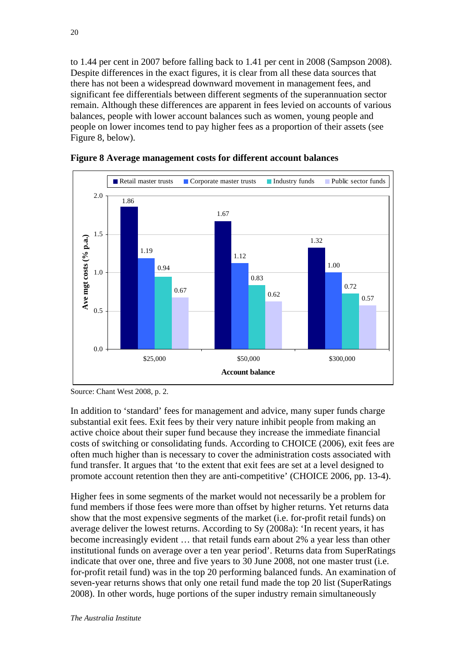to 1.44 per cent in 2007 before falling back to 1.41 per cent in 2008 (Sampson 2008). Despite differences in the exact figures, it is clear from all these data sources that there has not been a widespread downward movement in management fees, and significant fee differentials between different segments of the superannuation sector remain. Although these differences are apparent in fees levied on accounts of various balances, people with lower account balances such as women, young people and people on lower incomes tend to pay higher fees as a proportion of their assets (see Figure 8, below).





In addition to 'standard' fees for management and advice, many super funds charge substantial exit fees. Exit fees by their very nature inhibit people from making an active choice about their super fund because they increase the immediate financial costs of switching or consolidating funds. According to CHOICE (2006), exit fees are often much higher than is necessary to cover the administration costs associated with fund transfer. It argues that 'to the extent that exit fees are set at a level designed to promote account retention then they are anti-competitive' (CHOICE 2006, pp. 13-4).

Higher fees in some segments of the market would not necessarily be a problem for fund members if those fees were more than offset by higher returns. Yet returns data show that the most expensive segments of the market (i.e. for-profit retail funds) on average deliver the lowest returns. According to Sy (2008a): 'In recent years, it has become increasingly evident … that retail funds earn about 2% a year less than other institutional funds on average over a ten year period'. Returns data from SuperRatings indicate that over one, three and five years to 30 June 2008, not one master trust (i.e. for-profit retail fund) was in the top 20 performing balanced funds. An examination of seven-year returns shows that only one retail fund made the top 20 list (SuperRatings 2008). In other words, huge portions of the super industry remain simultaneously

Source: Chant West 2008, p. 2.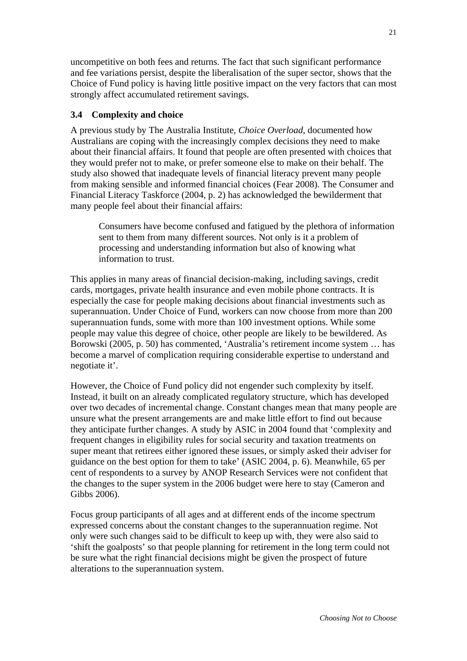uncompetitive on both fees and returns. The fact that such significant performance and fee variations persist, despite the liberalisation of the super sector, shows that the Choice of Fund policy is having little positive impact on the very factors that can most strongly affect accumulated retirement savings.

# **3.4 Complexity and choice**

A previous study by The Australia Institute, *Choice Overload*, documented how Australians are coping with the increasingly complex decisions they need to make about their financial affairs. It found that people are often presented with choices that they would prefer not to make, or prefer someone else to make on their behalf. The study also showed that inadequate levels of financial literacy prevent many people from making sensible and informed financial choices (Fear 2008). The Consumer and Financial Literacy Taskforce (2004, p. 2) has acknowledged the bewilderment that many people feel about their financial affairs:

Consumers have become confused and fatigued by the plethora of information sent to them from many different sources. Not only is it a problem of processing and understanding information but also of knowing what information to trust.

This applies in many areas of financial decision-making, including savings, credit cards, mortgages, private health insurance and even mobile phone contracts. It is especially the case for people making decisions about financial investments such as superannuation. Under Choice of Fund, workers can now choose from more than 200 superannuation funds, some with more than 100 investment options. While some people may value this degree of choice, other people are likely to be bewildered. As Borowski (2005, p. 50) has commented, 'Australia's retirement income system … has become a marvel of complication requiring considerable expertise to understand and negotiate it'.

However, the Choice of Fund policy did not engender such complexity by itself. Instead, it built on an already complicated regulatory structure, which has developed over two decades of incremental change. Constant changes mean that many people are unsure what the present arrangements are and make little effort to find out because they anticipate further changes. A study by ASIC in 2004 found that 'complexity and frequent changes in eligibility rules for social security and taxation treatments on super meant that retirees either ignored these issues, or simply asked their adviser for guidance on the best option for them to take' (ASIC 2004, p. 6). Meanwhile, 65 per cent of respondents to a survey by ANOP Research Services were not confident that the changes to the super system in the 2006 budget were here to stay (Cameron and Gibbs 2006).

Focus group participants of all ages and at different ends of the income spectrum expressed concerns about the constant changes to the superannuation regime. Not only were such changes said to be difficult to keep up with, they were also said to 'shift the goalposts' so that people planning for retirement in the long term could not be sure what the right financial decisions might be given the prospect of future alterations to the superannuation system.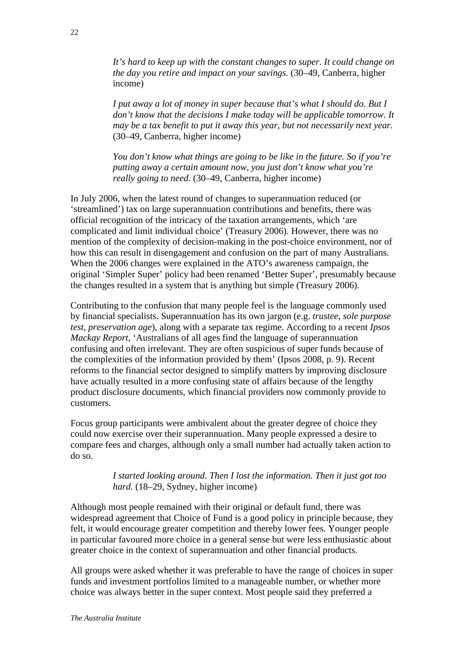*It's hard to keep up with the constant changes to super. It could change on the day you retire and impact on your savings.* (30–49, Canberra, higher income)

*I put away a lot of money in super because that's what I should do. But I don't know that the decisions I make today will be applicable tomorrow. It may be a tax benefit to put it away this year, but not necessarily next year.* (30–49, Canberra, higher income)

*You don't know what things are going to be like in the future. So if you're putting away a certain amount now, you just don't know what you're really going to need.* (30–49, Canberra, higher income)

In July 2006, when the latest round of changes to superannuation reduced (or 'streamlined') tax on large superannuation contributions and benefits, there was official recognition of the intricacy of the taxation arrangements, which 'are complicated and limit individual choice' (Treasury 2006). However, there was no mention of the complexity of decision-making in the post-choice environment, nor of how this can result in disengagement and confusion on the part of many Australians. When the 2006 changes were explained in the ATO's awareness campaign, the original 'Simpler Super' policy had been renamed 'Better Super', presumably because the changes resulted in a system that is anything but simple (Treasury 2006).

Contributing to the confusion that many people feel is the language commonly used by financial specialists. Superannuation has its own jargon (e.g. *trustee*, *sole purpose test*, *preservation age*), along with a separate tax regime. According to a recent *Ipsos Mackay Report*, 'Australians of all ages find the language of superannuation confusing and often irrelevant. They are often suspicious of super funds because of the complexities of the information provided by them' (Ipsos 2008, p. 9). Recent reforms to the financial sector designed to simplify matters by improving disclosure have actually resulted in a more confusing state of affairs because of the lengthy product disclosure documents, which financial providers now commonly provide to customers.

Focus group participants were ambivalent about the greater degree of choice they could now exercise over their superannuation. Many people expressed a desire to compare fees and charges, although only a small number had actually taken action to do so.

#### *I started looking around. Then I lost the information. Then it just got too hard.* (18–29, Sydney, higher income)

Although most people remained with their original or default fund, there was widespread agreement that Choice of Fund is a good policy in principle because, they felt, it would encourage greater competition and thereby lower fees. Younger people in particular favoured more choice in a general sense but were less enthusiastic about greater choice in the context of superannuation and other financial products.

All groups were asked whether it was preferable to have the range of choices in super funds and investment portfolios limited to a manageable number, or whether more choice was always better in the super context. Most people said they preferred a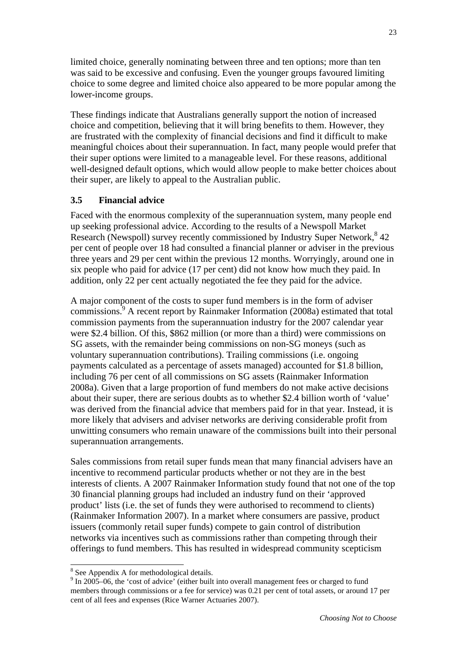limited choice, generally nominating between three and ten options; more than ten was said to be excessive and confusing. Even the younger groups favoured limiting choice to some degree and limited choice also appeared to be more popular among the lower-income groups.

These findings indicate that Australians generally support the notion of increased choice and competition, believing that it will bring benefits to them. However, they are frustrated with the complexity of financial decisions and find it difficult to make meaningful choices about their superannuation. In fact, many people would prefer that their super options were limited to a manageable level. For these reasons, additional well-designed default options, which would allow people to make better choices about their super, are likely to appeal to the Australian public.

#### **3.5 Financial advice**

Faced with the enormous complexity of the superannuation system, many people end up seeking professional advice. According to the results of a Newspoll Market Research (Newspoll) survey recently commissioned by Industry Super Network, <sup>8</sup> 42 per cent of people over 18 had consulted a financial planner or adviser in the previous three years and 29 per cent within the previous 12 months. Worryingly, around one in six people who paid for advice (17 per cent) did not know how much they paid. In addition, only 22 per cent actually negotiated the fee they paid for the advice.

A major component of the costs to super fund members is in the form of adviser commissions.<sup>9</sup> A recent report by Rainmaker Information (2008a) estimated that total commission payments from the superannuation industry for the 2007 calendar year were \$2.4 billion. Of this, \$862 million (or more than a third) were commissions on SG assets, with the remainder being commissions on non-SG moneys (such as voluntary superannuation contributions). Trailing commissions (i.e. ongoing payments calculated as a percentage of assets managed) accounted for \$1.8 billion, including 76 per cent of all commissions on SG assets (Rainmaker Information 2008a). Given that a large proportion of fund members do not make active decisions about their super, there are serious doubts as to whether \$2.4 billion worth of 'value' was derived from the financial advice that members paid for in that year. Instead, it is more likely that advisers and adviser networks are deriving considerable profit from unwitting consumers who remain unaware of the commissions built into their personal superannuation arrangements.

Sales commissions from retail super funds mean that many financial advisers have an incentive to recommend particular products whether or not they are in the best interests of clients. A 2007 Rainmaker Information study found that not one of the top 30 financial planning groups had included an industry fund on their 'approved product' lists (i.e. the set of funds they were authorised to recommend to clients) (Rainmaker Information 2007). In a market where consumers are passive, product issuers (commonly retail super funds) compete to gain control of distribution networks via incentives such as commissions rather than competing through their offerings to fund members. This has resulted in widespread community scepticism

<sup>&</sup>lt;sup>8</sup> See Appendix A for methodological details.

 $9 \text{ In } 2005-06$ , the 'cost of advice' (either built into overall management fees or charged to fund members through commissions or a fee for service) was 0.21 per cent of total assets, or around 17 per cent of all fees and expenses (Rice Warner Actuaries 2007).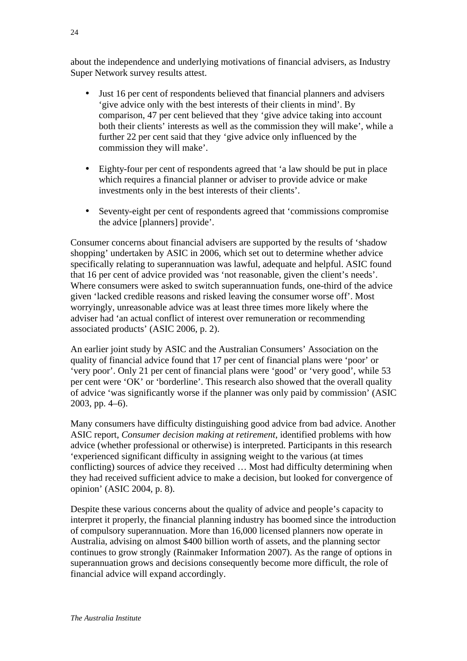about the independence and underlying motivations of financial advisers, as Industry Super Network survey results attest.

- Just 16 per cent of respondents believed that financial planners and advisers 'give advice only with the best interests of their clients in mind'. By comparison, 47 per cent believed that they 'give advice taking into account both their clients' interests as well as the commission they will make', while a further 22 per cent said that they 'give advice only influenced by the commission they will make'.
- Eighty-four per cent of respondents agreed that 'a law should be put in place which requires a financial planner or adviser to provide advice or make investments only in the best interests of their clients'.
- Seventy-eight per cent of respondents agreed that 'commissions compromise the advice [planners] provide'.

Consumer concerns about financial advisers are supported by the results of 'shadow shopping' undertaken by ASIC in 2006, which set out to determine whether advice specifically relating to superannuation was lawful, adequate and helpful. ASIC found that 16 per cent of advice provided was 'not reasonable, given the client's needs'. Where consumers were asked to switch superannuation funds, one-third of the advice given 'lacked credible reasons and risked leaving the consumer worse off'. Most worryingly, unreasonable advice was at least three times more likely where the adviser had 'an actual conflict of interest over remuneration or recommending associated products' (ASIC 2006, p. 2).

An earlier joint study by ASIC and the Australian Consumers' Association on the quality of financial advice found that 17 per cent of financial plans were 'poor' or 'very poor'. Only 21 per cent of financial plans were 'good' or 'very good', while 53 per cent were 'OK' or 'borderline'. This research also showed that the overall quality of advice 'was significantly worse if the planner was only paid by commission' (ASIC 2003, pp. 4–6).

Many consumers have difficulty distinguishing good advice from bad advice. Another ASIC report, *Consumer decision making at retirement*, identified problems with how advice (whether professional or otherwise) is interpreted. Participants in this research 'experienced significant difficulty in assigning weight to the various (at times conflicting) sources of advice they received … Most had difficulty determining when they had received sufficient advice to make a decision, but looked for convergence of opinion' (ASIC 2004, p. 8).

Despite these various concerns about the quality of advice and people's capacity to interpret it properly, the financial planning industry has boomed since the introduction of compulsory superannuation. More than 16,000 licensed planners now operate in Australia, advising on almost \$400 billion worth of assets, and the planning sector continues to grow strongly (Rainmaker Information 2007). As the range of options in superannuation grows and decisions consequently become more difficult, the role of financial advice will expand accordingly.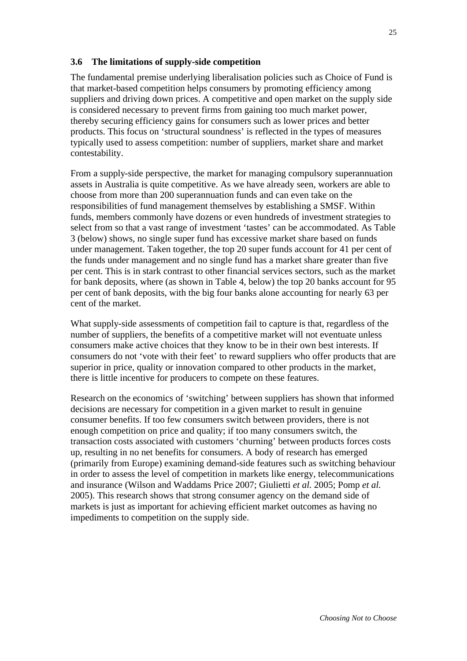#### **3.6 The limitations of supply-side competition**

The fundamental premise underlying liberalisation policies such as Choice of Fund is that market-based competition helps consumers by promoting efficiency among suppliers and driving down prices. A competitive and open market on the supply side is considered necessary to prevent firms from gaining too much market power, thereby securing efficiency gains for consumers such as lower prices and better products. This focus on 'structural soundness' is reflected in the types of measures typically used to assess competition: number of suppliers, market share and market contestability.

From a supply-side perspective, the market for managing compulsory superannuation assets in Australia is quite competitive. As we have already seen, workers are able to choose from more than 200 superannuation funds and can even take on the responsibilities of fund management themselves by establishing a SMSF. Within funds, members commonly have dozens or even hundreds of investment strategies to select from so that a vast range of investment 'tastes' can be accommodated. As Table 3 (below) shows, no single super fund has excessive market share based on funds under management. Taken together, the top 20 super funds account for 41 per cent of the funds under management and no single fund has a market share greater than five per cent. This is in stark contrast to other financial services sectors, such as the market for bank deposits, where (as shown in Table 4, below) the top 20 banks account for 95 per cent of bank deposits, with the big four banks alone accounting for nearly 63 per cent of the market.

What supply-side assessments of competition fail to capture is that, regardless of the number of suppliers, the benefits of a competitive market will not eventuate unless consumers make active choices that they know to be in their own best interests. If consumers do not 'vote with their feet' to reward suppliers who offer products that are superior in price, quality or innovation compared to other products in the market, there is little incentive for producers to compete on these features.

Research on the economics of 'switching' between suppliers has shown that informed decisions are necessary for competition in a given market to result in genuine consumer benefits. If too few consumers switch between providers, there is not enough competition on price and quality; if too many consumers switch, the transaction costs associated with customers 'churning' between products forces costs up, resulting in no net benefits for consumers. A body of research has emerged (primarily from Europe) examining demand-side features such as switching behaviour in order to assess the level of competition in markets like energy, telecommunications and insurance (Wilson and Waddams Price 2007; Giulietti *et al.* 2005; Pomp *et al.* 2005). This research shows that strong consumer agency on the demand side of markets is just as important for achieving efficient market outcomes as having no impediments to competition on the supply side.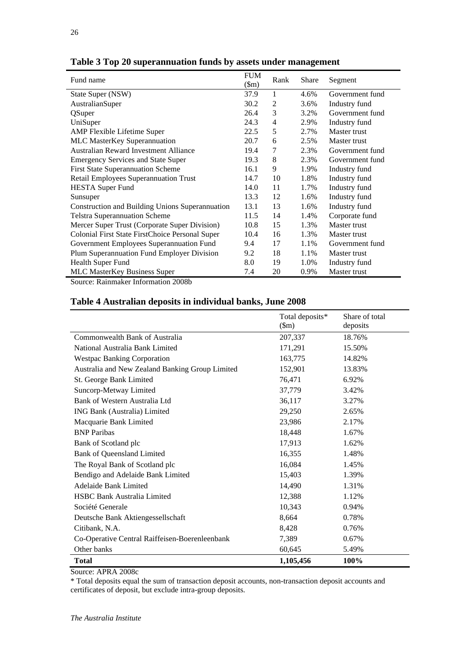| Fund name                                       |      | Rank           | Share | Segment         |
|-------------------------------------------------|------|----------------|-------|-----------------|
| State Super (NSW)                               | 37.9 | 1              | 4.6%  | Government fund |
| AustralianSuper                                 | 30.2 | $\overline{2}$ | 3.6%  | Industry fund   |
| QSuper                                          | 26.4 | 3              | 3.2%  | Government fund |
| UniSuper                                        | 24.3 | 4              | 2.9%  | Industry fund   |
| <b>AMP</b> Flexible Lifetime Super              | 22.5 | 5              | 2.7%  | Master trust    |
| MLC MasterKey Superannuation                    | 20.7 | 6              | 2.5%  | Master trust    |
| Australian Reward Investment Alliance           | 19.4 | 7              | 2.3%  | Government fund |
| <b>Emergency Services and State Super</b>       | 19.3 | 8              | 2.3%  | Government fund |
| <b>First State Superannuation Scheme</b>        | 16.1 | 9              | 1.9%  | Industry fund   |
| <b>Retail Employees Superannuation Trust</b>    | 14.7 | 10             | 1.8%  | Industry fund   |
| <b>HESTA Super Fund</b>                         |      | 11             | 1.7%  | Industry fund   |
| Sunsuper                                        | 13.3 | 12             | 1.6%  | Industry fund   |
| Construction and Building Unions Superannuation | 13.1 | 13             | 1.6%  | Industry fund   |
| <b>Telstra Superannuation Scheme</b>            | 11.5 | 14             | 1.4%  | Corporate fund  |
| Mercer Super Trust (Corporate Super Division)   | 10.8 | 15             | 1.3%  | Master trust    |
| Colonial First State FirstChoice Personal Super | 10.4 | 16             | 1.3%  | Master trust    |
| Government Employees Superannuation Fund        | 9.4  | 17             | 1.1%  | Government fund |
| Plum Superannuation Fund Employer Division      | 9.2  | 18             | 1.1%  | Master trust    |
| Health Super Fund                               | 8.0  | 19             | 1.0%  | Industry fund   |
| <b>MLC MasterKey Business Super</b>             | 7.4  | 20             | 0.9%  | Master trust    |
| Source: Rainmaker Information 2008h             |      |                |       |                 |

**Table 3 Top 20 superannuation funds by assets under management**

Source: Rainmaker Information 2008b

# **Table 4 Australian deposits in individual banks, June 2008**

|                                                 | Total deposits*<br>$(\text{Sm})$ | Share of total<br>deposits |
|-------------------------------------------------|----------------------------------|----------------------------|
| Commonwealth Bank of Australia                  | 207,337                          | 18.76%                     |
| National Australia Bank Limited                 | 171,291                          | 15.50%                     |
| <b>Westpac Banking Corporation</b>              | 163,775                          | 14.82%                     |
| Australia and New Zealand Banking Group Limited | 152,901                          | 13.83%                     |
| St. George Bank Limited                         | 76,471                           | 6.92%                      |
| Suncorp-Metway Limited                          | 37,779                           | 3.42%                      |
| Bank of Western Australia Ltd                   | 36,117                           | 3.27%                      |
| ING Bank (Australia) Limited                    | 29,250                           | 2.65%                      |
| Macquarie Bank Limited                          | 23,986                           | 2.17%                      |
| <b>BNP</b> Paribas                              | 18,448                           | 1.67%                      |
| Bank of Scotland plc                            | 17,913                           | 1.62%                      |
| <b>Bank of Queensland Limited</b>               | 16,355                           | 1.48%                      |
| The Royal Bank of Scotland plc                  | 16,084                           | 1.45%                      |
| Bendigo and Adelaide Bank Limited               | 15,403                           | 1.39%                      |
| Adelaide Bank Limited                           | 14,490                           | 1.31%                      |
| <b>HSBC Bank Australia Limited</b>              | 12,388                           | 1.12%                      |
| Société Generale                                | 10,343                           | 0.94%                      |
| Deutsche Bank Aktiengessellschaft               | 8,664                            | 0.78%                      |
| Citibank, N.A.                                  | 8,428                            | 0.76%                      |
| Co-Operative Central Raiffeisen-Boerenleenbank  | 7,389                            | 0.67%                      |
| Other banks                                     | 60,645                           | 5.49%                      |
| <b>Total</b>                                    | 1,105,456                        | 100%                       |

Source: APRA 2008c

\* Total deposits equal the sum of transaction deposit accounts, non-transaction deposit accounts and certificates of deposit, but exclude intra-group deposits.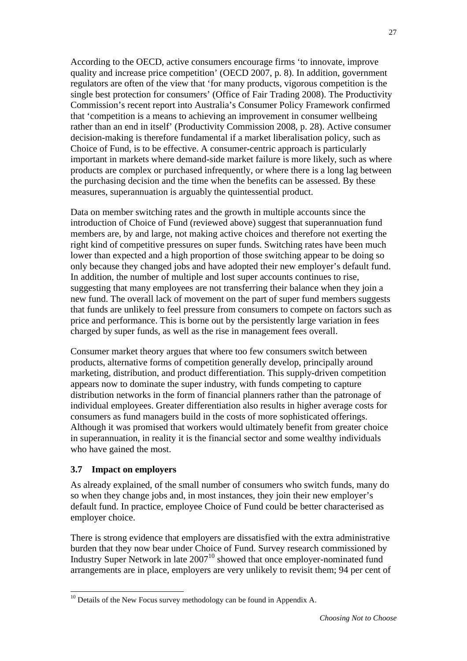According to the OECD, active consumers encourage firms 'to innovate, improve quality and increase price competition' (OECD 2007, p. 8). In addition, government regulators are often of the view that 'for many products, vigorous competition is the single best protection for consumers' (Office of Fair Trading 2008). The Productivity Commission's recent report into Australia's Consumer Policy Framework confirmed that 'competition is a means to achieving an improvement in consumer wellbeing rather than an end in itself' (Productivity Commission 2008, p. 28). Active consumer decision-making is therefore fundamental if a market liberalisation policy, such as Choice of Fund, is to be effective. A consumer-centric approach is particularly important in markets where demand-side market failure is more likely, such as where products are complex or purchased infrequently, or where there is a long lag between the purchasing decision and the time when the benefits can be assessed. By these measures, superannuation is arguably the quintessential product.

Data on member switching rates and the growth in multiple accounts since the introduction of Choice of Fund (reviewed above) suggest that superannuation fund members are, by and large, not making active choices and therefore not exerting the right kind of competitive pressures on super funds. Switching rates have been much lower than expected and a high proportion of those switching appear to be doing so only because they changed jobs and have adopted their new employer's default fund. In addition, the number of multiple and lost super accounts continues to rise, suggesting that many employees are not transferring their balance when they join a new fund. The overall lack of movement on the part of super fund members suggests that funds are unlikely to feel pressure from consumers to compete on factors such as price and performance. This is borne out by the persistently large variation in fees charged by super funds, as well as the rise in management fees overall.

Consumer market theory argues that where too few consumers switch between products, alternative forms of competition generally develop, principally around marketing, distribution, and product differentiation. This supply-driven competition appears now to dominate the super industry, with funds competing to capture distribution networks in the form of financial planners rather than the patronage of individual employees. Greater differentiation also results in higher average costs for consumers as fund managers build in the costs of more sophisticated offerings. Although it was promised that workers would ultimately benefit from greater choice in superannuation, in reality it is the financial sector and some wealthy individuals who have gained the most.

#### **3.7 Impact on employers**

l

As already explained, of the small number of consumers who switch funds, many do so when they change jobs and, in most instances, they join their new employer's default fund. In practice, employee Choice of Fund could be better characterised as employer choice.

There is strong evidence that employers are dissatisfied with the extra administrative burden that they now bear under Choice of Fund. Survey research commissioned by Industry Super Network in late  $2007<sup>10</sup>$  showed that once employer-nominated fund arrangements are in place, employers are very unlikely to revisit them; 94 per cent of

 $10$  Details of the New Focus survey methodology can be found in Appendix A.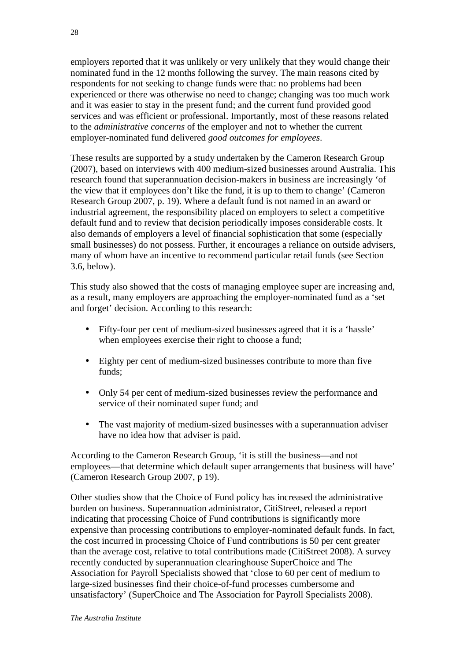employers reported that it was unlikely or very unlikely that they would change their nominated fund in the 12 months following the survey. The main reasons cited by respondents for not seeking to change funds were that: no problems had been experienced or there was otherwise no need to change; changing was too much work and it was easier to stay in the present fund; and the current fund provided good services and was efficient or professional. Importantly, most of these reasons related to the *administrative concerns* of the employer and not to whether the current employer-nominated fund delivered *good outcomes for employees*.

These results are supported by a study undertaken by the Cameron Research Group (2007), based on interviews with 400 medium-sized businesses around Australia. This research found that superannuation decision-makers in business are increasingly 'of the view that if employees don't like the fund, it is up to them to change' (Cameron Research Group 2007, p. 19). Where a default fund is not named in an award or industrial agreement, the responsibility placed on employers to select a competitive default fund and to review that decision periodically imposes considerable costs. It also demands of employers a level of financial sophistication that some (especially small businesses) do not possess. Further, it encourages a reliance on outside advisers, many of whom have an incentive to recommend particular retail funds (see Section 3.6, below).

This study also showed that the costs of managing employee super are increasing and, as a result, many employers are approaching the employer-nominated fund as a 'set and forget' decision. According to this research:

- Fifty-four per cent of medium-sized businesses agreed that it is a 'hassle' when employees exercise their right to choose a fund;
- Eighty per cent of medium-sized businesses contribute to more than five funds;
- Only 54 per cent of medium-sized businesses review the performance and service of their nominated super fund; and
- The vast majority of medium-sized businesses with a superannuation adviser have no idea how that adviser is paid.

According to the Cameron Research Group, 'it is still the business—and not employees—that determine which default super arrangements that business will have' (Cameron Research Group 2007, p 19).

Other studies show that the Choice of Fund policy has increased the administrative burden on business. Superannuation administrator, CitiStreet, released a report indicating that processing Choice of Fund contributions is significantly more expensive than processing contributions to employer-nominated default funds. In fact, the cost incurred in processing Choice of Fund contributions is 50 per cent greater than the average cost, relative to total contributions made (CitiStreet 2008). A survey recently conducted by superannuation clearinghouse SuperChoice and The Association for Payroll Specialists showed that 'close to 60 per cent of medium to large-sized businesses find their choice-of-fund processes cumbersome and unsatisfactory' (SuperChoice and The Association for Payroll Specialists 2008).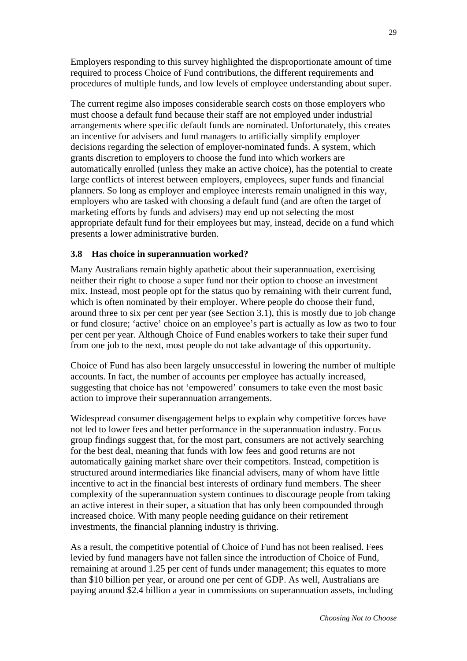Employers responding to this survey highlighted the disproportionate amount of time required to process Choice of Fund contributions, the different requirements and procedures of multiple funds, and low levels of employee understanding about super.

The current regime also imposes considerable search costs on those employers who must choose a default fund because their staff are not employed under industrial arrangements where specific default funds are nominated. Unfortunately, this creates an incentive for advisers and fund managers to artificially simplify employer decisions regarding the selection of employer-nominated funds. A system, which grants discretion to employers to choose the fund into which workers are automatically enrolled (unless they make an active choice), has the potential to create large conflicts of interest between employers, employees, super funds and financial planners. So long as employer and employee interests remain unaligned in this way, employers who are tasked with choosing a default fund (and are often the target of marketing efforts by funds and advisers) may end up not selecting the most appropriate default fund for their employees but may, instead, decide on a fund which presents a lower administrative burden.

#### **3.8 Has choice in superannuation worked?**

Many Australians remain highly apathetic about their superannuation, exercising neither their right to choose a super fund nor their option to choose an investment mix. Instead, most people opt for the status quo by remaining with their current fund, which is often nominated by their employer. Where people do choose their fund, around three to six per cent per year (see Section 3.1), this is mostly due to job change or fund closure; 'active' choice on an employee's part is actually as low as two to four per cent per year. Although Choice of Fund enables workers to take their super fund from one job to the next, most people do not take advantage of this opportunity.

Choice of Fund has also been largely unsuccessful in lowering the number of multiple accounts. In fact, the number of accounts per employee has actually increased, suggesting that choice has not 'empowered' consumers to take even the most basic action to improve their superannuation arrangements.

Widespread consumer disengagement helps to explain why competitive forces have not led to lower fees and better performance in the superannuation industry. Focus group findings suggest that, for the most part, consumers are not actively searching for the best deal, meaning that funds with low fees and good returns are not automatically gaining market share over their competitors. Instead, competition is structured around intermediaries like financial advisers, many of whom have little incentive to act in the financial best interests of ordinary fund members. The sheer complexity of the superannuation system continues to discourage people from taking an active interest in their super, a situation that has only been compounded through increased choice. With many people needing guidance on their retirement investments, the financial planning industry is thriving.

As a result, the competitive potential of Choice of Fund has not been realised. Fees levied by fund managers have not fallen since the introduction of Choice of Fund, remaining at around 1.25 per cent of funds under management; this equates to more than \$10 billion per year, or around one per cent of GDP. As well, Australians are paying around \$2.4 billion a year in commissions on superannuation assets, including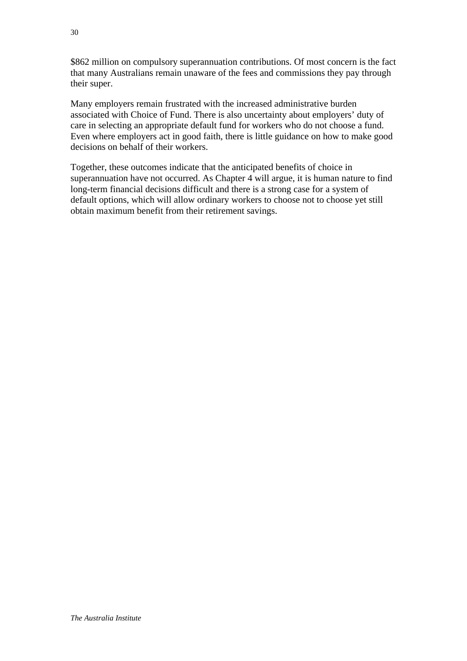\$862 million on compulsory superannuation contributions. Of most concern is the fact that many Australians remain unaware of the fees and commissions they pay through their super.

Many employers remain frustrated with the increased administrative burden associated with Choice of Fund. There is also uncertainty about employers' duty of care in selecting an appropriate default fund for workers who do not choose a fund. Even where employers act in good faith, there is little guidance on how to make good decisions on behalf of their workers.

Together, these outcomes indicate that the anticipated benefits of choice in superannuation have not occurred. As Chapter 4 will argue, it is human nature to find long-term financial decisions difficult and there is a strong case for a system of default options, which will allow ordinary workers to choose not to choose yet still obtain maximum benefit from their retirement savings.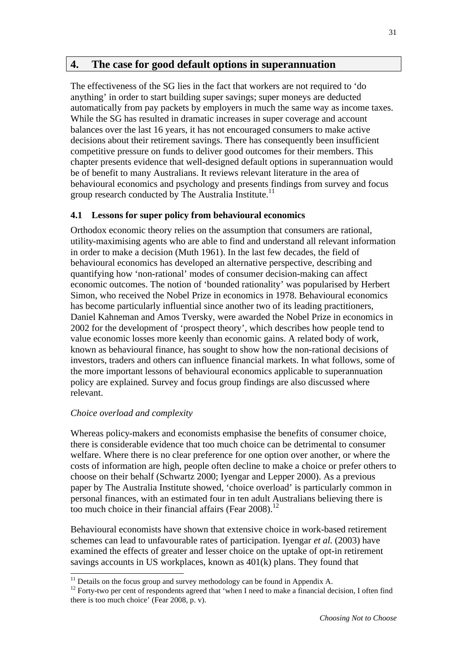# **4. The case for good default options in superannuation**

The effectiveness of the SG lies in the fact that workers are not required to 'do anything' in order to start building super savings; super moneys are deducted automatically from pay packets by employers in much the same way as income taxes. While the SG has resulted in dramatic increases in super coverage and account balances over the last 16 years, it has not encouraged consumers to make active decisions about their retirement savings. There has consequently been insufficient competitive pressure on funds to deliver good outcomes for their members. This chapter presents evidence that well-designed default options in superannuation would be of benefit to many Australians. It reviews relevant literature in the area of behavioural economics and psychology and presents findings from survey and focus group research conducted by The Australia Institute.<sup>11</sup>

# **4.1 Lessons for super policy from behavioural economics**

Orthodox economic theory relies on the assumption that consumers are rational, utility-maximising agents who are able to find and understand all relevant information in order to make a decision (Muth 1961). In the last few decades, the field of behavioural economics has developed an alternative perspective, describing and quantifying how 'non-rational' modes of consumer decision-making can affect economic outcomes. The notion of 'bounded rationality' was popularised by Herbert Simon, who received the Nobel Prize in economics in 1978. Behavioural economics has become particularly influential since another two of its leading practitioners, Daniel Kahneman and Amos Tversky, were awarded the Nobel Prize in economics in 2002 for the development of 'prospect theory', which describes how people tend to value economic losses more keenly than economic gains. A related body of work, known as behavioural finance, has sought to show how the non-rational decisions of investors, traders and others can influence financial markets. In what follows, some of the more important lessons of behavioural economics applicable to superannuation policy are explained. Survey and focus group findings are also discussed where relevant.

#### *Choice overload and complexity*

l

Whereas policy-makers and economists emphasise the benefits of consumer choice, there is considerable evidence that too much choice can be detrimental to consumer welfare. Where there is no clear preference for one option over another, or where the costs of information are high, people often decline to make a choice or prefer others to choose on their behalf (Schwartz 2000; Iyengar and Lepper 2000). As a previous paper by The Australia Institute showed, 'choice overload' is particularly common in personal finances, with an estimated four in ten adult Australians believing there is too much choice in their financial affairs (Fear  $2008$ ).<sup>12</sup>

Behavioural economists have shown that extensive choice in work-based retirement schemes can lead to unfavourable rates of participation. Iyengar *et al.* (2003) have examined the effects of greater and lesser choice on the uptake of opt-in retirement savings accounts in US workplaces, known as 401(k) plans. They found that

 $11$  Details on the focus group and survey methodology can be found in Appendix A.

<sup>&</sup>lt;sup>12</sup> Forty-two per cent of respondents agreed that 'when I need to make a financial decision, I often find there is too much choice' (Fear 2008, p. v).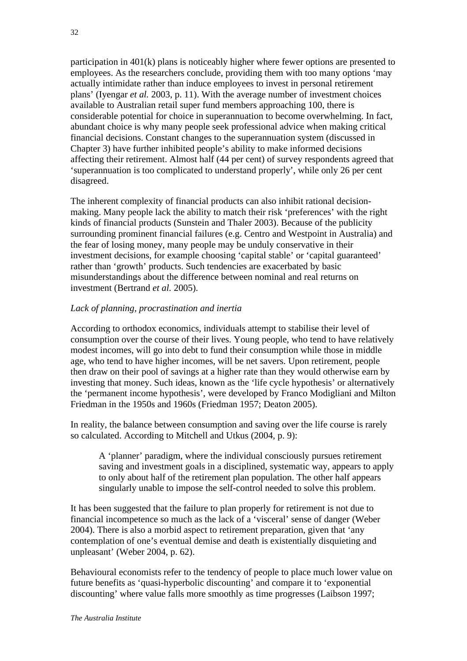participation in 401(k) plans is noticeably higher where fewer options are presented to employees. As the researchers conclude, providing them with too many options 'may actually intimidate rather than induce employees to invest in personal retirement plans' (Iyengar *et al.* 2003, p. 11). With the average number of investment choices available to Australian retail super fund members approaching 100, there is considerable potential for choice in superannuation to become overwhelming. In fact, abundant choice is why many people seek professional advice when making critical financial decisions. Constant changes to the superannuation system (discussed in Chapter 3) have further inhibited people's ability to make informed decisions affecting their retirement. Almost half (44 per cent) of survey respondents agreed that 'superannuation is too complicated to understand properly', while only 26 per cent disagreed.

The inherent complexity of financial products can also inhibit rational decisionmaking. Many people lack the ability to match their risk 'preferences' with the right kinds of financial products (Sunstein and Thaler 2003). Because of the publicity surrounding prominent financial failures (e.g. Centro and Westpoint in Australia) and the fear of losing money, many people may be unduly conservative in their investment decisions, for example choosing 'capital stable' or 'capital guaranteed' rather than 'growth' products. Such tendencies are exacerbated by basic misunderstandings about the difference between nominal and real returns on investment (Bertrand *et al.* 2005).

# *Lack of planning, procrastination and inertia*

According to orthodox economics, individuals attempt to stabilise their level of consumption over the course of their lives. Young people, who tend to have relatively modest incomes, will go into debt to fund their consumption while those in middle age, who tend to have higher incomes, will be net savers. Upon retirement, people then draw on their pool of savings at a higher rate than they would otherwise earn by investing that money. Such ideas, known as the 'life cycle hypothesis' or alternatively the 'permanent income hypothesis', were developed by Franco Modigliani and Milton Friedman in the 1950s and 1960s (Friedman 1957; Deaton 2005).

In reality, the balance between consumption and saving over the life course is rarely so calculated. According to Mitchell and Utkus (2004, p. 9):

A 'planner' paradigm, where the individual consciously pursues retirement saving and investment goals in a disciplined, systematic way, appears to apply to only about half of the retirement plan population. The other half appears singularly unable to impose the self-control needed to solve this problem.

It has been suggested that the failure to plan properly for retirement is not due to financial incompetence so much as the lack of a 'visceral' sense of danger (Weber 2004). There is also a morbid aspect to retirement preparation, given that 'any contemplation of one's eventual demise and death is existentially disquieting and unpleasant' (Weber 2004, p. 62).

Behavioural economists refer to the tendency of people to place much lower value on future benefits as 'quasi-hyperbolic discounting' and compare it to 'exponential discounting' where value falls more smoothly as time progresses (Laibson 1997;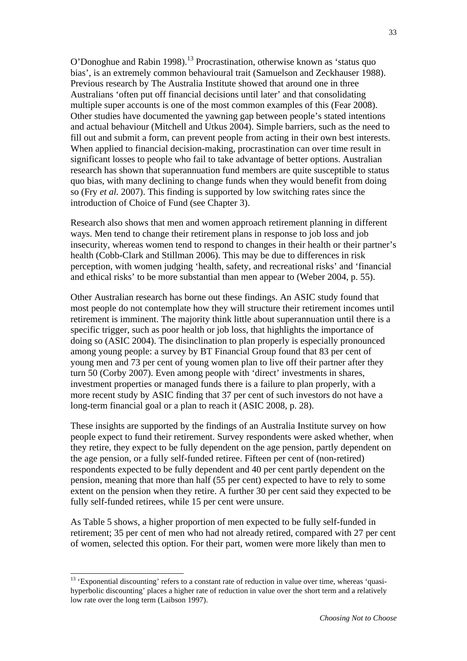O'Donoghue and Rabin 1998).<sup>13</sup> Procrastination, otherwise known as 'status quo bias', is an extremely common behavioural trait (Samuelson and Zeckhauser 1988). Previous research by The Australia Institute showed that around one in three Australians 'often put off financial decisions until later' and that consolidating multiple super accounts is one of the most common examples of this (Fear 2008). Other studies have documented the yawning gap between people's stated intentions and actual behaviour (Mitchell and Utkus 2004). Simple barriers, such as the need to fill out and submit a form, can prevent people from acting in their own best interests. When applied to financial decision-making, procrastination can over time result in significant losses to people who fail to take advantage of better options. Australian research has shown that superannuation fund members are quite susceptible to status quo bias, with many declining to change funds when they would benefit from doing so (Fry *et al.* 2007). This finding is supported by low switching rates since the introduction of Choice of Fund (see Chapter 3).

Research also shows that men and women approach retirement planning in different ways. Men tend to change their retirement plans in response to job loss and job insecurity, whereas women tend to respond to changes in their health or their partner's health (Cobb-Clark and Stillman 2006). This may be due to differences in risk perception, with women judging 'health, safety, and recreational risks' and 'financial and ethical risks' to be more substantial than men appear to (Weber 2004, p. 55).

Other Australian research has borne out these findings. An ASIC study found that most people do not contemplate how they will structure their retirement incomes until retirement is imminent. The majority think little about superannuation until there is a specific trigger, such as poor health or job loss, that highlights the importance of doing so (ASIC 2004). The disinclination to plan properly is especially pronounced among young people: a survey by BT Financial Group found that 83 per cent of young men and 73 per cent of young women plan to live off their partner after they turn 50 (Corby 2007). Even among people with 'direct' investments in shares, investment properties or managed funds there is a failure to plan properly, with a more recent study by ASIC finding that 37 per cent of such investors do not have a long-term financial goal or a plan to reach it (ASIC 2008, p. 28).

These insights are supported by the findings of an Australia Institute survey on how people expect to fund their retirement. Survey respondents were asked whether, when they retire, they expect to be fully dependent on the age pension, partly dependent on the age pension, or a fully self-funded retiree. Fifteen per cent of (non-retired) respondents expected to be fully dependent and 40 per cent partly dependent on the pension, meaning that more than half (55 per cent) expected to have to rely to some extent on the pension when they retire. A further 30 per cent said they expected to be fully self-funded retirees, while 15 per cent were unsure.

As Table 5 shows, a higher proportion of men expected to be fully self-funded in retirement; 35 per cent of men who had not already retired, compared with 27 per cent of women, selected this option. For their part, women were more likely than men to

l

<sup>&</sup>lt;sup>13</sup> 'Exponential discounting' refers to a constant rate of reduction in value over time, whereas 'quasihyperbolic discounting' places a higher rate of reduction in value over the short term and a relatively low rate over the long term (Laibson 1997).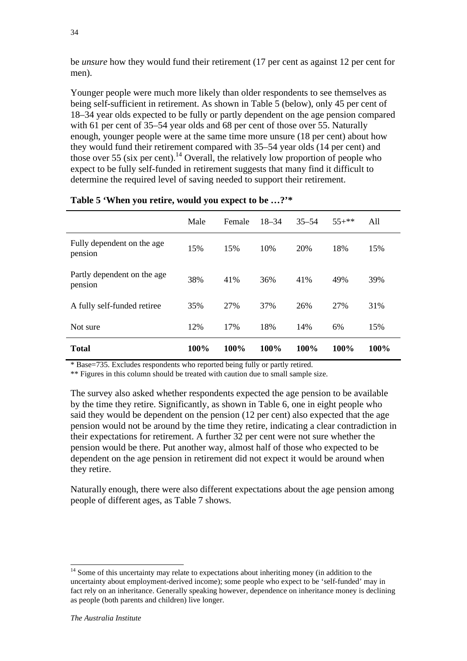be *unsure* how they would fund their retirement (17 per cent as against 12 per cent for men).

Younger people were much more likely than older respondents to see themselves as being self-sufficient in retirement. As shown in Table 5 (below), only 45 per cent of 18–34 year olds expected to be fully or partly dependent on the age pension compared with 61 per cent of 35–54 year olds and 68 per cent of those over 55. Naturally enough, younger people were at the same time more unsure (18 per cent) about how they would fund their retirement compared with 35–54 year olds (14 per cent) and those over 55 (six per cent).<sup>14</sup> Overall, the relatively low proportion of people who expect to be fully self-funded in retirement suggests that many find it difficult to determine the required level of saving needed to support their retirement.

|                                        | Male | Female | $18 - 34$ | $35 - 54$ | $55+***$ | All  |
|----------------------------------------|------|--------|-----------|-----------|----------|------|
| Fully dependent on the age<br>pension  | 15%  | 15%    | 10%       | 20%       | 18%      | 15%  |
| Partly dependent on the age<br>pension | 38%  | 41%    | 36%       | 41%       | 49%      | 39%  |
| A fully self-funded retiree            | 35%  | 27%    | 37%       | 26%       | 27%      | 31%  |
| Not sure                               | 12%  | 17%    | 18%       | 14%       | 6%       | 15%  |
| <b>Total</b>                           | 100% | 100%   | 100%      | 100%      | 100%     | 100% |

# **Table 5 'When you retire, would you expect to be …?'\***

\* Base=735. Excludes respondents who reported being fully or partly retired.

\*\* Figures in this column should be treated with caution due to small sample size.

The survey also asked whether respondents expected the age pension to be available by the time they retire. Significantly, as shown in Table 6, one in eight people who said they would be dependent on the pension (12 per cent) also expected that the age pension would not be around by the time they retire, indicating a clear contradiction in their expectations for retirement. A further 32 per cent were not sure whether the pension would be there. Put another way, almost half of those who expected to be dependent on the age pension in retirement did not expect it would be around when they retire.

Naturally enough, there were also different expectations about the age pension among people of different ages, as Table 7 shows.

l

 $14$  Some of this uncertainty may relate to expectations about inheriting money (in addition to the uncertainty about employment-derived income); some people who expect to be 'self-funded' may in fact rely on an inheritance. Generally speaking however, dependence on inheritance money is declining as people (both parents and children) live longer.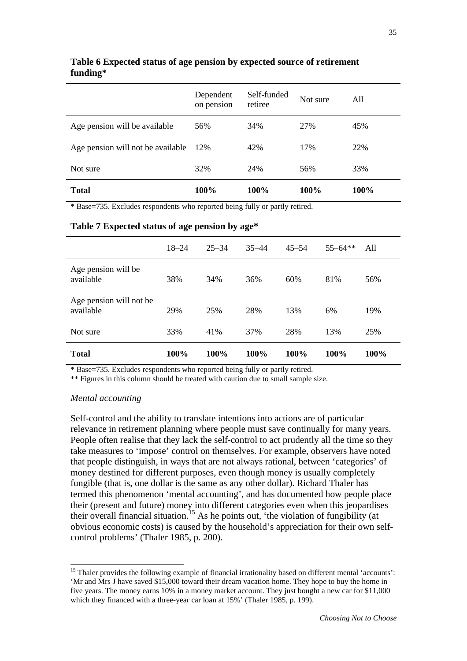|                                   | Dependent<br>on pension | Self-funded<br>retiree | Not sure | A11  |
|-----------------------------------|-------------------------|------------------------|----------|------|
| Age pension will be available     | 56%                     | 34%                    | 27%      | 45%  |
| Age pension will not be available | 12%                     | 42%                    | 17%      | 22%  |
| Not sure                          | 32%                     | 24%                    | 56%      | 33%  |
| <b>Total</b>                      | 100%                    | 100%                   | 100%     | 100% |

# **Table 6 Expected status of age pension by expected source of retirement funding\***

\* Base=735. Excludes respondents who reported being fully or partly retired.

|  |  |  |  |  |  |  |  |  | Table 7 Expected status of age pension by age* |  |  |
|--|--|--|--|--|--|--|--|--|------------------------------------------------|--|--|
|--|--|--|--|--|--|--|--|--|------------------------------------------------|--|--|

| <b>Total</b>                         | 100%      | 100%      | 100%      | 100%      | 100%        | 100% |
|--------------------------------------|-----------|-----------|-----------|-----------|-------------|------|
| Not sure                             | 33%       | 41%       | 37%       | 28%       | 13%         | 25%  |
| Age pension will not be<br>available | 29%       | 25%       | 28%       | 13%       | 6%          | 19%  |
| Age pension will be<br>available     | 38%       | 34%       | 36%       | 60%       | 81%         | 56%  |
|                                      | $18 - 24$ | $25 - 34$ | $35 - 44$ | $45 - 54$ | $55 - 64**$ | All  |

\* Base=735. Excludes respondents who reported being fully or partly retired.

\*\* Figures in this column should be treated with caution due to small sample size.

#### *Mental accounting*

l

Self-control and the ability to translate intentions into actions are of particular relevance in retirement planning where people must save continually for many years. People often realise that they lack the self-control to act prudently all the time so they take measures to 'impose' control on themselves. For example, observers have noted that people distinguish, in ways that are not always rational, between 'categories' of money destined for different purposes, even though money is usually completely fungible (that is, one dollar is the same as any other dollar). Richard Thaler has termed this phenomenon 'mental accounting', and has documented how people place their (present and future) money into different categories even when this jeopardises their overall financial situation.<sup>15</sup> As he points out, the violation of fungibility (at obvious economic costs) is caused by the household's appreciation for their own selfcontrol problems' (Thaler 1985, p. 200).

<sup>&</sup>lt;sup>15</sup> Thaler provides the following example of financial irrationality based on different mental 'accounts': 'Mr and Mrs J have saved \$15,000 toward their dream vacation home. They hope to buy the home in five years. The money earns 10% in a money market account. They just bought a new car for \$11,000 which they financed with a three-year car loan at 15%' (Thaler 1985, p. 199).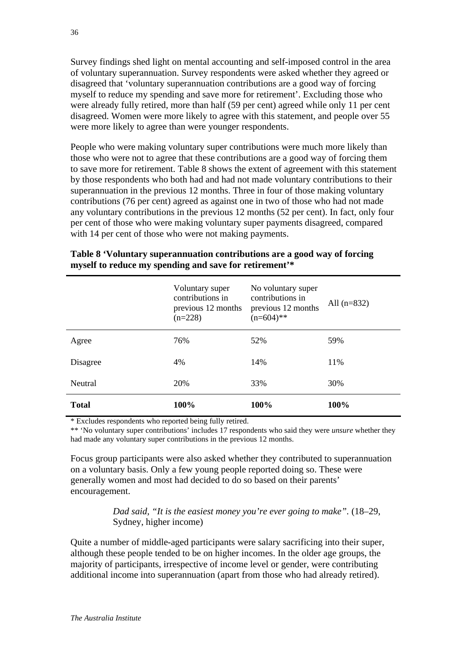Survey findings shed light on mental accounting and self-imposed control in the area of voluntary superannuation. Survey respondents were asked whether they agreed or disagreed that 'voluntary superannuation contributions are a good way of forcing myself to reduce my spending and save more for retirement'. Excluding those who were already fully retired, more than half (59 per cent) agreed while only 11 per cent disagreed. Women were more likely to agree with this statement, and people over 55 were more likely to agree than were younger respondents.

People who were making voluntary super contributions were much more likely than those who were not to agree that these contributions are a good way of forcing them to save more for retirement. Table 8 shows the extent of agreement with this statement by those respondents who both had and had not made voluntary contributions to their superannuation in the previous 12 months. Three in four of those making voluntary contributions (76 per cent) agreed as against one in two of those who had not made any voluntary contributions in the previous 12 months (52 per cent). In fact, only four per cent of those who were making voluntary super payments disagreed, compared with 14 per cent of those who were not making payments.

|              | Voluntary super<br>contributions in<br>previous 12 months<br>$(n=228)$ | No voluntary super<br>contributions in<br>previous 12 months<br>$(n=604)$ ** | All $(n=832)$ |
|--------------|------------------------------------------------------------------------|------------------------------------------------------------------------------|---------------|
| Agree        | 76%                                                                    | 52%                                                                          | 59%           |
| Disagree     | 4%                                                                     | 14%                                                                          | 11%           |
| Neutral      | 20%                                                                    | 33%                                                                          | 30%           |
| <b>Total</b> | 100%                                                                   | 100%                                                                         | 100%          |

**Table 8 'Voluntary superannuation contributions are a good way of forcing myself to reduce my spending and save for retirement'\***

\* Excludes respondents who reported being fully retired.

\*\* 'No voluntary super contributions' includes 17 respondents who said they were *unsure* whether they had made any voluntary super contributions in the previous 12 months.

Focus group participants were also asked whether they contributed to superannuation on a voluntary basis. Only a few young people reported doing so. These were generally women and most had decided to do so based on their parents' encouragement.

> *Dad said, "It is the easiest money you're ever going to make".* (18–29, Sydney, higher income)

Quite a number of middle-aged participants were salary sacrificing into their super, although these people tended to be on higher incomes. In the older age groups, the majority of participants, irrespective of income level or gender, were contributing additional income into superannuation (apart from those who had already retired).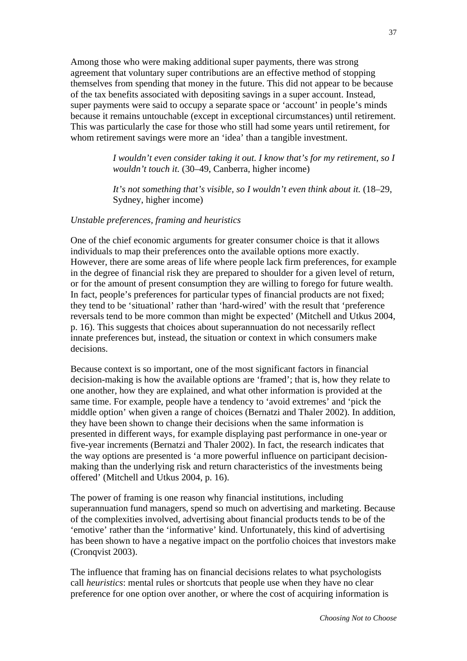Among those who were making additional super payments, there was strong agreement that voluntary super contributions are an effective method of stopping themselves from spending that money in the future. This did not appear to be because of the tax benefits associated with depositing savings in a super account. Instead, super payments were said to occupy a separate space or 'account' in people's minds because it remains untouchable (except in exceptional circumstances) until retirement. This was particularly the case for those who still had some years until retirement, for whom retirement savings were more an 'idea' than a tangible investment.

> *I wouldn't even consider taking it out. I know that's for my retirement, so I wouldn't touch it.* (30–49, Canberra, higher income)

*It's not something that's visible, so I wouldn't even think about it.* (18–29, Sydney, higher income)

#### *Unstable preferences, framing and heuristics*

One of the chief economic arguments for greater consumer choice is that it allows individuals to map their preferences onto the available options more exactly. However, there are some areas of life where people lack firm preferences, for example in the degree of financial risk they are prepared to shoulder for a given level of return, or for the amount of present consumption they are willing to forego for future wealth. In fact, people's preferences for particular types of financial products are not fixed; they tend to be 'situational' rather than 'hard-wired' with the result that 'preference reversals tend to be more common than might be expected' (Mitchell and Utkus 2004, p. 16). This suggests that choices about superannuation do not necessarily reflect innate preferences but, instead, the situation or context in which consumers make decisions.

Because context is so important, one of the most significant factors in financial decision-making is how the available options are 'framed'; that is, how they relate to one another, how they are explained, and what other information is provided at the same time. For example, people have a tendency to 'avoid extremes' and 'pick the middle option' when given a range of choices (Bernatzi and Thaler 2002). In addition, they have been shown to change their decisions when the same information is presented in different ways, for example displaying past performance in one-year or five-year increments (Bernatzi and Thaler 2002). In fact, the research indicates that the way options are presented is 'a more powerful influence on participant decisionmaking than the underlying risk and return characteristics of the investments being offered' (Mitchell and Utkus 2004, p. 16).

The power of framing is one reason why financial institutions, including superannuation fund managers, spend so much on advertising and marketing. Because of the complexities involved, advertising about financial products tends to be of the 'emotive' rather than the 'informative' kind. Unfortunately, this kind of advertising has been shown to have a negative impact on the portfolio choices that investors make (Cronqvist 2003).

The influence that framing has on financial decisions relates to what psychologists call *heuristics*: mental rules or shortcuts that people use when they have no clear preference for one option over another, or where the cost of acquiring information is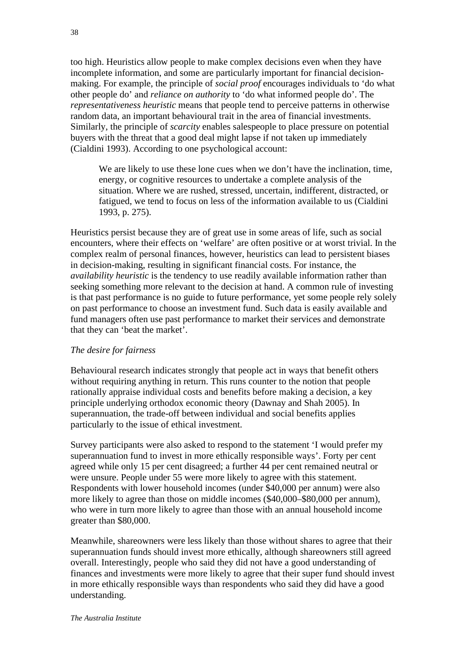too high. Heuristics allow people to make complex decisions even when they have incomplete information, and some are particularly important for financial decisionmaking. For example, the principle of *social proof* encourages individuals to 'do what other people do' and *reliance on authority* to 'do what informed people do'. The *representativeness heuristic* means that people tend to perceive patterns in otherwise random data, an important behavioural trait in the area of financial investments. Similarly, the principle of *scarcity* enables salespeople to place pressure on potential buyers with the threat that a good deal might lapse if not taken up immediately (Cialdini 1993). According to one psychological account:

We are likely to use these lone cues when we don't have the inclination, time, energy, or cognitive resources to undertake a complete analysis of the situation. Where we are rushed, stressed, uncertain, indifferent, distracted, or fatigued, we tend to focus on less of the information available to us (Cialdini 1993, p. 275).

Heuristics persist because they are of great use in some areas of life, such as social encounters, where their effects on 'welfare' are often positive or at worst trivial. In the complex realm of personal finances, however, heuristics can lead to persistent biases in decision-making, resulting in significant financial costs. For instance, the *availability heuristic* is the tendency to use readily available information rather than seeking something more relevant to the decision at hand. A common rule of investing is that past performance is no guide to future performance, yet some people rely solely on past performance to choose an investment fund. Such data is easily available and fund managers often use past performance to market their services and demonstrate that they can 'beat the market'.

#### *The desire for fairness*

Behavioural research indicates strongly that people act in ways that benefit others without requiring anything in return. This runs counter to the notion that people rationally appraise individual costs and benefits before making a decision, a key principle underlying orthodox economic theory (Dawnay and Shah 2005). In superannuation, the trade-off between individual and social benefits applies particularly to the issue of ethical investment.

Survey participants were also asked to respond to the statement 'I would prefer my superannuation fund to invest in more ethically responsible ways'. Forty per cent agreed while only 15 per cent disagreed; a further 44 per cent remained neutral or were unsure. People under 55 were more likely to agree with this statement. Respondents with lower household incomes (under \$40,000 per annum) were also more likely to agree than those on middle incomes (\$40,000–\$80,000 per annum), who were in turn more likely to agree than those with an annual household income greater than \$80,000.

Meanwhile, shareowners were less likely than those without shares to agree that their superannuation funds should invest more ethically, although shareowners still agreed overall. Interestingly, people who said they did not have a good understanding of finances and investments were more likely to agree that their super fund should invest in more ethically responsible ways than respondents who said they did have a good understanding.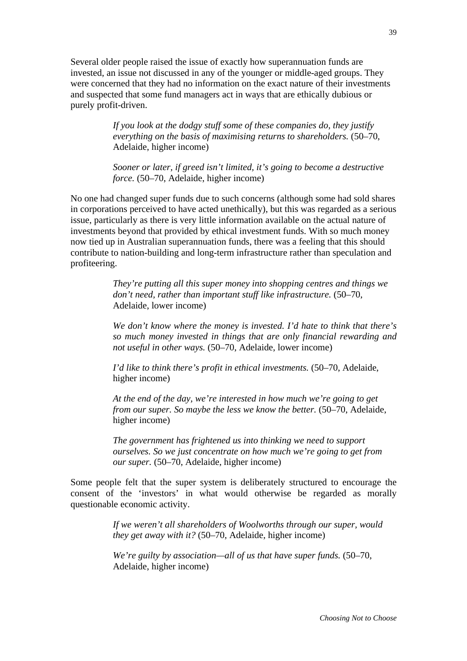Several older people raised the issue of exactly how superannuation funds are invested, an issue not discussed in any of the younger or middle-aged groups. They were concerned that they had no information on the exact nature of their investments and suspected that some fund managers act in ways that are ethically dubious or purely profit-driven.

> *If you look at the dodgy stuff some of these companies do, they justify everything on the basis of maximising returns to shareholders.* (50–70, Adelaide, higher income)

*Sooner or later, if greed isn't limited, it's going to become a destructive force.* (50–70, Adelaide, higher income)

No one had changed super funds due to such concerns (although some had sold shares in corporations perceived to have acted unethically), but this was regarded as a serious issue, particularly as there is very little information available on the actual nature of investments beyond that provided by ethical investment funds. With so much money now tied up in Australian superannuation funds, there was a feeling that this should contribute to nation-building and long-term infrastructure rather than speculation and profiteering.

> *They're putting all this super money into shopping centres and things we don't need, rather than important stuff like infrastructure.* (50–70, Adelaide, lower income)

*We don't know where the money is invested. I'd hate to think that there's so much money invested in things that are only financial rewarding and not useful in other ways.* (50–70, Adelaide, lower income)

*I'd like to think there's profit in ethical investments.* (50–70, Adelaide, higher income)

*At the end of the day, we're interested in how much we're going to get from our super. So maybe the less we know the better.* (50–70, Adelaide, higher income)

*The government has frightened us into thinking we need to support ourselves. So we just concentrate on how much we're going to get from our super.* (50–70, Adelaide, higher income)

Some people felt that the super system is deliberately structured to encourage the consent of the 'investors' in what would otherwise be regarded as morally questionable economic activity.

> *If we weren't all shareholders of Woolworths through our super, would they get away with it?* (50–70, Adelaide, higher income)

*We're guilty by association—all of us that have super funds.* (50–70, Adelaide, higher income)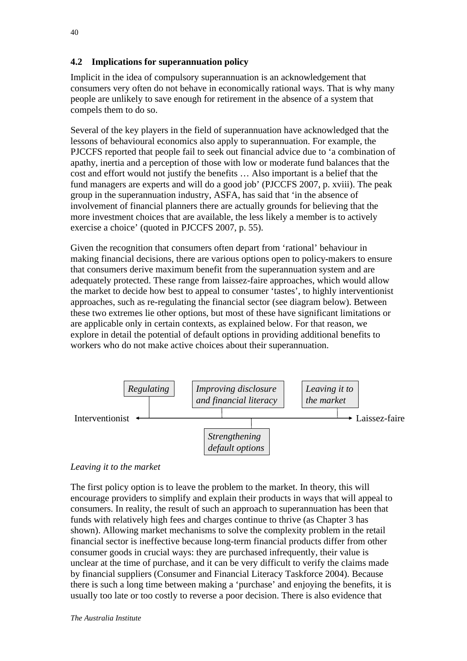# **4.2 Implications for superannuation policy**

Implicit in the idea of compulsory superannuation is an acknowledgement that consumers very often do not behave in economically rational ways. That is why many people are unlikely to save enough for retirement in the absence of a system that compels them to do so.

Several of the key players in the field of superannuation have acknowledged that the lessons of behavioural economics also apply to superannuation. For example, the PJCCFS reported that people fail to seek out financial advice due to 'a combination of apathy, inertia and a perception of those with low or moderate fund balances that the cost and effort would not justify the benefits … Also important is a belief that the fund managers are experts and will do a good job' (PJCCFS 2007, p. xviii). The peak group in the superannuation industry, ASFA, has said that 'in the absence of involvement of financial planners there are actually grounds for believing that the more investment choices that are available, the less likely a member is to actively exercise a choice' (quoted in PJCCFS 2007, p. 55).

Given the recognition that consumers often depart from 'rational' behaviour in making financial decisions, there are various options open to policy-makers to ensure that consumers derive maximum benefit from the superannuation system and are adequately protected. These range from laissez-faire approaches, which would allow the market to decide how best to appeal to consumer 'tastes', to highly interventionist approaches, such as re-regulating the financial sector (see diagram below). Between these two extremes lie other options, but most of these have significant limitations or are applicable only in certain contexts, as explained below. For that reason, we explore in detail the potential of default options in providing additional benefits to workers who do not make active choices about their superannuation.



#### *Leaving it to the market*

The first policy option is to leave the problem to the market. In theory, this will encourage providers to simplify and explain their products in ways that will appeal to consumers. In reality, the result of such an approach to superannuation has been that funds with relatively high fees and charges continue to thrive (as Chapter 3 has shown). Allowing market mechanisms to solve the complexity problem in the retail financial sector is ineffective because long-term financial products differ from other consumer goods in crucial ways: they are purchased infrequently, their value is unclear at the time of purchase, and it can be very difficult to verify the claims made by financial suppliers (Consumer and Financial Literacy Taskforce 2004). Because there is such a long time between making a 'purchase' and enjoying the benefits, it is usually too late or too costly to reverse a poor decision. There is also evidence that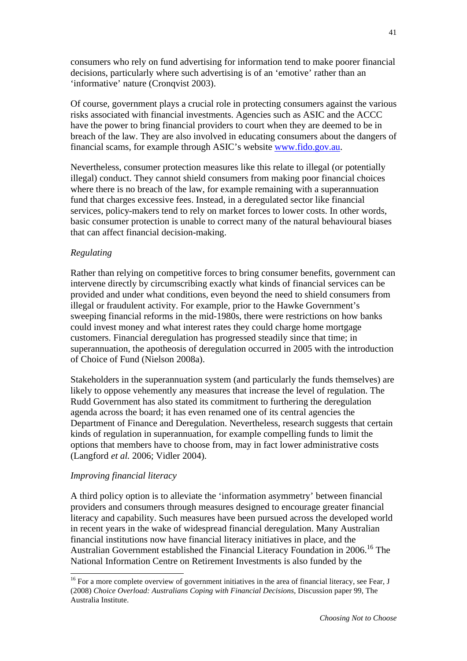consumers who rely on fund advertising for information tend to make poorer financial decisions, particularly where such advertising is of an 'emotive' rather than an 'informative' nature (Cronqvist 2003).

Of course, government plays a crucial role in protecting consumers against the various risks associated with financial investments. Agencies such as ASIC and the ACCC have the power to bring financial providers to court when they are deemed to be in breach of the law. They are also involved in educating consumers about the dangers of financial scams, for example through ASIC's website www.fido.gov.au.

Nevertheless, consumer protection measures like this relate to illegal (or potentially illegal) conduct. They cannot shield consumers from making poor financial choices where there is no breach of the law, for example remaining with a superannuation fund that charges excessive fees. Instead, in a deregulated sector like financial services, policy-makers tend to rely on market forces to lower costs. In other words, basic consumer protection is unable to correct many of the natural behavioural biases that can affect financial decision-making.

#### *Regulating*

Rather than relying on competitive forces to bring consumer benefits, government can intervene directly by circumscribing exactly what kinds of financial services can be provided and under what conditions, even beyond the need to shield consumers from illegal or fraudulent activity. For example, prior to the Hawke Government's sweeping financial reforms in the mid-1980s, there were restrictions on how banks could invest money and what interest rates they could charge home mortgage customers. Financial deregulation has progressed steadily since that time; in superannuation, the apotheosis of deregulation occurred in 2005 with the introduction of Choice of Fund (Nielson 2008a).

Stakeholders in the superannuation system (and particularly the funds themselves) are likely to oppose vehemently any measures that increase the level of regulation. The Rudd Government has also stated its commitment to furthering the deregulation agenda across the board; it has even renamed one of its central agencies the Department of Finance and Deregulation. Nevertheless, research suggests that certain kinds of regulation in superannuation, for example compelling funds to limit the options that members have to choose from, may in fact lower administrative costs (Langford *et al.* 2006; Vidler 2004).

#### *Improving financial literacy*

l

A third policy option is to alleviate the 'information asymmetry' between financial providers and consumers through measures designed to encourage greater financial literacy and capability. Such measures have been pursued across the developed world in recent years in the wake of widespread financial deregulation. Many Australian financial institutions now have financial literacy initiatives in place, and the Australian Government established the Financial Literacy Foundation in 2006.<sup>16</sup> The National Information Centre on Retirement Investments is also funded by the

<sup>&</sup>lt;sup>16</sup> For a more complete overview of government initiatives in the area of financial literacy, see Fear, J (2008) *Choice Overload: Australians Coping with Financial Decisions,* Discussion paper 99, The Australia Institute.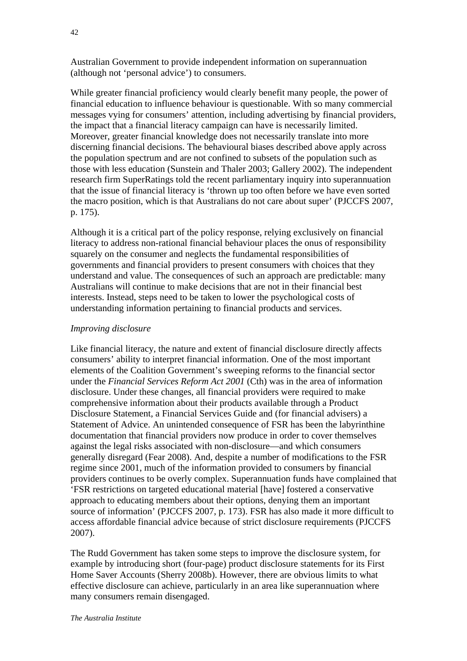Australian Government to provide independent information on superannuation (although not 'personal advice') to consumers.

While greater financial proficiency would clearly benefit many people, the power of financial education to influence behaviour is questionable. With so many commercial messages vying for consumers' attention, including advertising by financial providers, the impact that a financial literacy campaign can have is necessarily limited. Moreover, greater financial knowledge does not necessarily translate into more discerning financial decisions. The behavioural biases described above apply across the population spectrum and are not confined to subsets of the population such as those with less education (Sunstein and Thaler 2003; Gallery 2002). The independent research firm SuperRatings told the recent parliamentary inquiry into superannuation that the issue of financial literacy is 'thrown up too often before we have even sorted the macro position, which is that Australians do not care about super' (PJCCFS 2007, p. 175).

Although it is a critical part of the policy response, relying exclusively on financial literacy to address non-rational financial behaviour places the onus of responsibility squarely on the consumer and neglects the fundamental responsibilities of governments and financial providers to present consumers with choices that they understand and value. The consequences of such an approach are predictable: many Australians will continue to make decisions that are not in their financial best interests. Instead, steps need to be taken to lower the psychological costs of understanding information pertaining to financial products and services.

#### *Improving disclosure*

Like financial literacy, the nature and extent of financial disclosure directly affects consumers' ability to interpret financial information. One of the most important elements of the Coalition Government's sweeping reforms to the financial sector under the *Financial Services Reform Act 2001* (Cth) was in the area of information disclosure. Under these changes, all financial providers were required to make comprehensive information about their products available through a Product Disclosure Statement, a Financial Services Guide and (for financial advisers) a Statement of Advice. An unintended consequence of FSR has been the labyrinthine documentation that financial providers now produce in order to cover themselves against the legal risks associated with non-disclosure—and which consumers generally disregard (Fear 2008). And, despite a number of modifications to the FSR regime since 2001, much of the information provided to consumers by financial providers continues to be overly complex. Superannuation funds have complained that 'FSR restrictions on targeted educational material [have] fostered a conservative approach to educating members about their options, denying them an important source of information' (PJCCFS 2007, p. 173). FSR has also made it more difficult to access affordable financial advice because of strict disclosure requirements (PJCCFS 2007).

The Rudd Government has taken some steps to improve the disclosure system, for example by introducing short (four-page) product disclosure statements for its First Home Saver Accounts (Sherry 2008b). However, there are obvious limits to what effective disclosure can achieve, particularly in an area like superannuation where many consumers remain disengaged.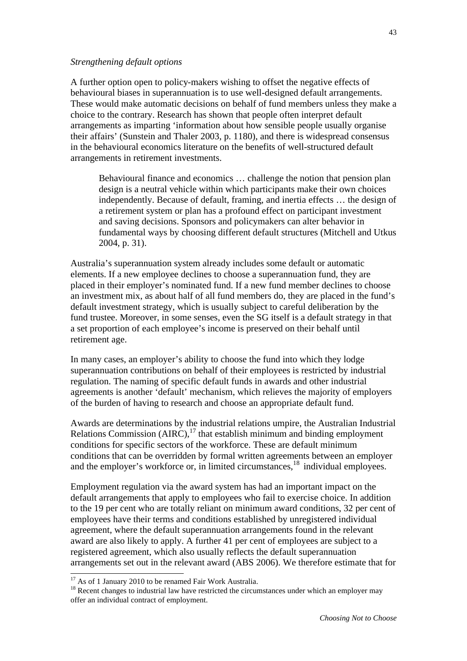#### *Strengthening default options*

A further option open to policy-makers wishing to offset the negative effects of behavioural biases in superannuation is to use well-designed default arrangements. These would make automatic decisions on behalf of fund members unless they make a choice to the contrary. Research has shown that people often interpret default arrangements as imparting 'information about how sensible people usually organise their affairs' (Sunstein and Thaler 2003, p. 1180), and there is widespread consensus in the behavioural economics literature on the benefits of well-structured default arrangements in retirement investments.

Behavioural finance and economics … challenge the notion that pension plan design is a neutral vehicle within which participants make their own choices independently. Because of default, framing, and inertia effects … the design of a retirement system or plan has a profound effect on participant investment and saving decisions. Sponsors and policymakers can alter behavior in fundamental ways by choosing different default structures (Mitchell and Utkus 2004, p. 31).

Australia's superannuation system already includes some default or automatic elements. If a new employee declines to choose a superannuation fund, they are placed in their employer's nominated fund. If a new fund member declines to choose an investment mix, as about half of all fund members do, they are placed in the fund's default investment strategy, which is usually subject to careful deliberation by the fund trustee. Moreover, in some senses, even the SG itself is a default strategy in that a set proportion of each employee's income is preserved on their behalf until retirement age.

In many cases, an employer's ability to choose the fund into which they lodge superannuation contributions on behalf of their employees is restricted by industrial regulation. The naming of specific default funds in awards and other industrial agreements is another 'default' mechanism, which relieves the majority of employers of the burden of having to research and choose an appropriate default fund.

Awards are determinations by the industrial relations umpire, the Australian Industrial Relations Commission  $(AIRC)$ ,  $^{17}$  that establish minimum and binding employment conditions for specific sectors of the workforce. These are default minimum conditions that can be overridden by formal written agreements between an employer and the employer's workforce or, in limited circumstances,<sup>18</sup> individual employees.

Employment regulation via the award system has had an important impact on the default arrangements that apply to employees who fail to exercise choice. In addition to the 19 per cent who are totally reliant on minimum award conditions, 32 per cent of employees have their terms and conditions established by unregistered individual agreement, where the default superannuation arrangements found in the relevant award are also likely to apply. A further 41 per cent of employees are subject to a registered agreement, which also usually reflects the default superannuation arrangements set out in the relevant award (ABS 2006). We therefore estimate that for

l

<sup>&</sup>lt;sup>17</sup> As of 1 January 2010 to be renamed Fair Work Australia.

<sup>&</sup>lt;sup>18</sup> Recent changes to industrial law have restricted the circumstances under which an employer may offer an individual contract of employment.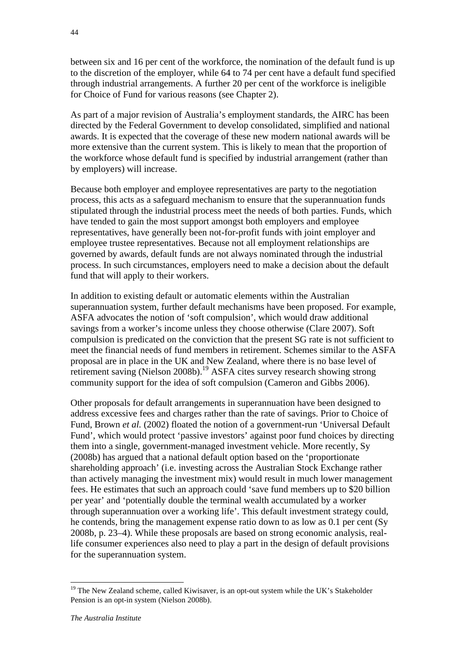between six and 16 per cent of the workforce, the nomination of the default fund is up to the discretion of the employer, while 64 to 74 per cent have a default fund specified through industrial arrangements. A further 20 per cent of the workforce is ineligible for Choice of Fund for various reasons (see Chapter 2).

As part of a major revision of Australia's employment standards, the AIRC has been directed by the Federal Government to develop consolidated, simplified and national awards. It is expected that the coverage of these new modern national awards will be more extensive than the current system. This is likely to mean that the proportion of the workforce whose default fund is specified by industrial arrangement (rather than by employers) will increase.

Because both employer and employee representatives are party to the negotiation process, this acts as a safeguard mechanism to ensure that the superannuation funds stipulated through the industrial process meet the needs of both parties. Funds, which have tended to gain the most support amongst both employers and employee representatives, have generally been not-for-profit funds with joint employer and employee trustee representatives. Because not all employment relationships are governed by awards, default funds are not always nominated through the industrial process. In such circumstances, employers need to make a decision about the default fund that will apply to their workers.

In addition to existing default or automatic elements within the Australian superannuation system, further default mechanisms have been proposed. For example, ASFA advocates the notion of 'soft compulsion', which would draw additional savings from a worker's income unless they choose otherwise (Clare 2007). Soft compulsion is predicated on the conviction that the present SG rate is not sufficient to meet the financial needs of fund members in retirement. Schemes similar to the ASFA proposal are in place in the UK and New Zealand, where there is no base level of retirement saving (Nielson 2008b).<sup>19</sup> ASFA cites survey research showing strong community support for the idea of soft compulsion (Cameron and Gibbs 2006).

Other proposals for default arrangements in superannuation have been designed to address excessive fees and charges rather than the rate of savings. Prior to Choice of Fund, Brown *et al.* (2002) floated the notion of a government-run 'Universal Default Fund', which would protect 'passive investors' against poor fund choices by directing them into a single, government-managed investment vehicle. More recently, Sy (2008b) has argued that a national default option based on the 'proportionate shareholding approach' (i.e. investing across the Australian Stock Exchange rather than actively managing the investment mix) would result in much lower management fees. He estimates that such an approach could 'save fund members up to \$20 billion per year' and 'potentially double the terminal wealth accumulated by a worker through superannuation over a working life'. This default investment strategy could, he contends, bring the management expense ratio down to as low as 0.1 per cent (Sy 2008b, p. 23–4). While these proposals are based on strong economic analysis, reallife consumer experiences also need to play a part in the design of default provisions for the superannuation system.

l

 $19$  The New Zealand scheme, called Kiwisaver, is an opt-out system while the UK's Stakeholder Pension is an opt-in system (Nielson 2008b).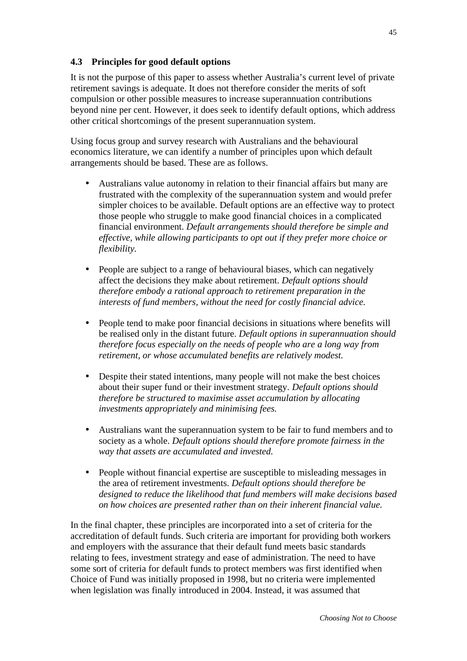# **4.3 Principles for good default options**

It is not the purpose of this paper to assess whether Australia's current level of private retirement savings is adequate. It does not therefore consider the merits of soft compulsion or other possible measures to increase superannuation contributions beyond nine per cent. However, it does seek to identify default options, which address other critical shortcomings of the present superannuation system.

Using focus group and survey research with Australians and the behavioural economics literature, we can identify a number of principles upon which default arrangements should be based. These are as follows.

- Australians value autonomy in relation to their financial affairs but many are frustrated with the complexity of the superannuation system and would prefer simpler choices to be available. Default options are an effective way to protect those people who struggle to make good financial choices in a complicated financial environment. *Default arrangements should therefore be simple and effective, while allowing participants to opt out if they prefer more choice or flexibility.*
- People are subject to a range of behavioural biases, which can negatively affect the decisions they make about retirement. *Default options should therefore embody a rational approach to retirement preparation in the interests of fund members, without the need for costly financial advice.*
- People tend to make poor financial decisions in situations where benefits will be realised only in the distant future. *Default options in superannuation should therefore focus especially on the needs of people who are a long way from retirement, or whose accumulated benefits are relatively modest.*
- Despite their stated intentions, many people will not make the best choices about their super fund or their investment strategy. *Default options should therefore be structured to maximise asset accumulation by allocating investments appropriately and minimising fees.*
- Australians want the superannuation system to be fair to fund members and to society as a whole. *Default options should therefore promote fairness in the way that assets are accumulated and invested.*
- People without financial expertise are susceptible to misleading messages in the area of retirement investments. *Default options should therefore be designed to reduce the likelihood that fund members will make decisions based on how choices are presented rather than on their inherent financial value.*

In the final chapter, these principles are incorporated into a set of criteria for the accreditation of default funds. Such criteria are important for providing both workers and employers with the assurance that their default fund meets basic standards relating to fees, investment strategy and ease of administration. The need to have some sort of criteria for default funds to protect members was first identified when Choice of Fund was initially proposed in 1998, but no criteria were implemented when legislation was finally introduced in 2004. Instead, it was assumed that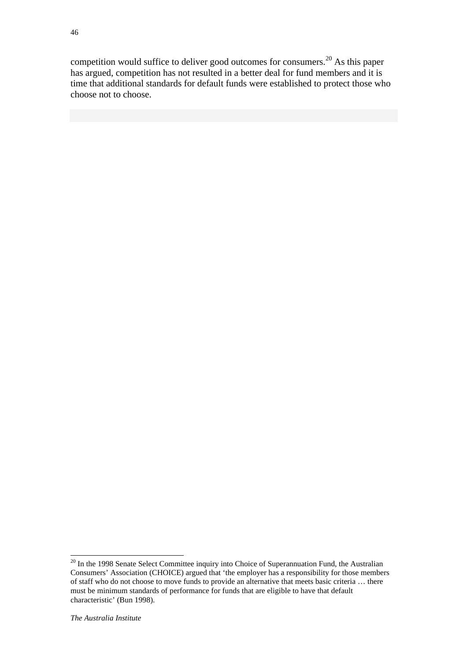competition would suffice to deliver good outcomes for consumers.<sup>20</sup> As this paper has argued, competition has not resulted in a better deal for fund members and it is time that additional standards for default funds were established to protect those who choose not to choose.

l

 $20$  In the 1998 Senate Select Committee inquiry into Choice of Superannuation Fund, the Australian Consumers' Association (CHOICE) argued that 'the employer has a responsibility for those members of staff who do not choose to move funds to provide an alternative that meets basic criteria … there must be minimum standards of performance for funds that are eligible to have that default characteristic' (Bun 1998).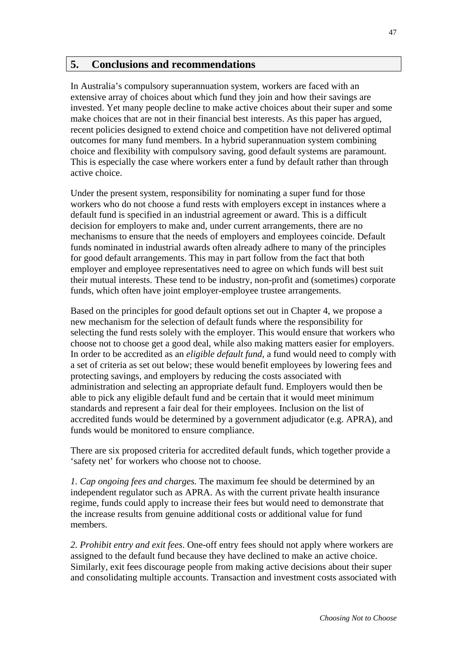# **5. Conclusions and recommendations**

In Australia's compulsory superannuation system, workers are faced with an extensive array of choices about which fund they join and how their savings are invested. Yet many people decline to make active choices about their super and some make choices that are not in their financial best interests. As this paper has argued, recent policies designed to extend choice and competition have not delivered optimal outcomes for many fund members. In a hybrid superannuation system combining choice and flexibility with compulsory saving, good default systems are paramount. This is especially the case where workers enter a fund by default rather than through active choice.

Under the present system, responsibility for nominating a super fund for those workers who do not choose a fund rests with employers except in instances where a default fund is specified in an industrial agreement or award. This is a difficult decision for employers to make and, under current arrangements, there are no mechanisms to ensure that the needs of employers and employees coincide. Default funds nominated in industrial awards often already adhere to many of the principles for good default arrangements. This may in part follow from the fact that both employer and employee representatives need to agree on which funds will best suit their mutual interests. These tend to be industry, non-profit and (sometimes) corporate funds, which often have joint employer-employee trustee arrangements.

Based on the principles for good default options set out in Chapter 4, we propose a new mechanism for the selection of default funds where the responsibility for selecting the fund rests solely with the employer. This would ensure that workers who choose not to choose get a good deal, while also making matters easier for employers. In order to be accredited as an *eligible default fund*, a fund would need to comply with a set of criteria as set out below; these would benefit employees by lowering fees and protecting savings, and employers by reducing the costs associated with administration and selecting an appropriate default fund. Employers would then be able to pick any eligible default fund and be certain that it would meet minimum standards and represent a fair deal for their employees. Inclusion on the list of accredited funds would be determined by a government adjudicator (e.g. APRA), and funds would be monitored to ensure compliance.

There are six proposed criteria for accredited default funds, which together provide a 'safety net' for workers who choose not to choose.

*1. Cap ongoing fees and charges.* The maximum fee should be determined by an independent regulator such as APRA. As with the current private health insurance regime, funds could apply to increase their fees but would need to demonstrate that the increase results from genuine additional costs or additional value for fund members.

*2. Prohibit entry and exit fees*. One-off entry fees should not apply where workers are assigned to the default fund because they have declined to make an active choice. Similarly, exit fees discourage people from making active decisions about their super and consolidating multiple accounts. Transaction and investment costs associated with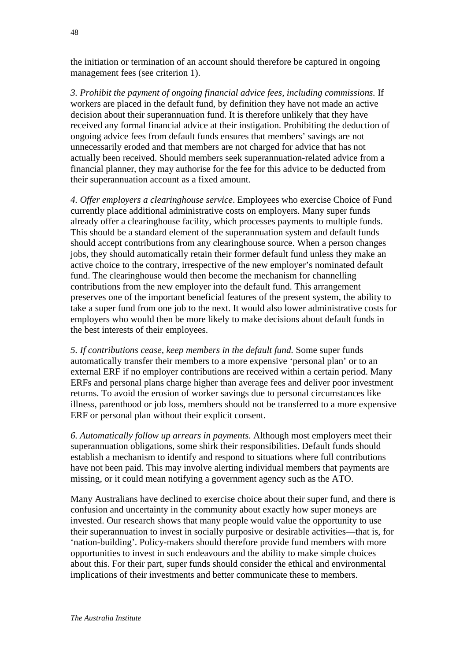the initiation or termination of an account should therefore be captured in ongoing management fees (see criterion 1).

*3. Prohibit the payment of ongoing financial advice fees, including commissions.* If workers are placed in the default fund, by definition they have not made an active decision about their superannuation fund. It is therefore unlikely that they have received any formal financial advice at their instigation. Prohibiting the deduction of ongoing advice fees from default funds ensures that members' savings are not unnecessarily eroded and that members are not charged for advice that has not actually been received. Should members seek superannuation-related advice from a financial planner, they may authorise for the fee for this advice to be deducted from their superannuation account as a fixed amount.

*4. Offer employers a clearinghouse service*. Employees who exercise Choice of Fund currently place additional administrative costs on employers. Many super funds already offer a clearinghouse facility, which processes payments to multiple funds. This should be a standard element of the superannuation system and default funds should accept contributions from any clearinghouse source. When a person changes jobs, they should automatically retain their former default fund unless they make an active choice to the contrary, irrespective of the new employer's nominated default fund. The clearinghouse would then become the mechanism for channelling contributions from the new employer into the default fund. This arrangement preserves one of the important beneficial features of the present system, the ability to take a super fund from one job to the next. It would also lower administrative costs for employers who would then be more likely to make decisions about default funds in the best interests of their employees.

*5. If contributions cease, keep members in the default fund.* Some super funds automatically transfer their members to a more expensive 'personal plan' or to an external ERF if no employer contributions are received within a certain period. Many ERFs and personal plans charge higher than average fees and deliver poor investment returns. To avoid the erosion of worker savings due to personal circumstances like illness, parenthood or job loss, members should not be transferred to a more expensive ERF or personal plan without their explicit consent.

*6. Automatically follow up arrears in payments*. Although most employers meet their superannuation obligations, some shirk their responsibilities. Default funds should establish a mechanism to identify and respond to situations where full contributions have not been paid. This may involve alerting individual members that payments are missing, or it could mean notifying a government agency such as the ATO.

Many Australians have declined to exercise choice about their super fund, and there is confusion and uncertainty in the community about exactly how super moneys are invested. Our research shows that many people would value the opportunity to use their superannuation to invest in socially purposive or desirable activities—that is, for 'nation-building'. Policy-makers should therefore provide fund members with more opportunities to invest in such endeavours and the ability to make simple choices about this. For their part, super funds should consider the ethical and environmental implications of their investments and better communicate these to members.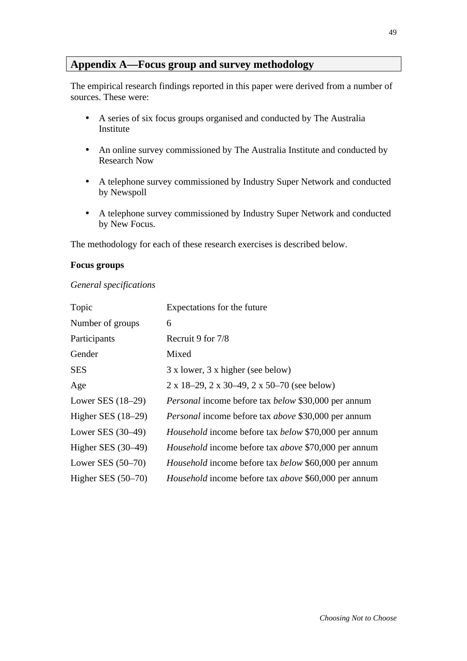# **Appendix A—Focus group and survey methodology**

The empirical research findings reported in this paper were derived from a number of sources. These were:

- A series of six focus groups organised and conducted by The Australia Institute
- An online survey commissioned by The Australia Institute and conducted by Research Now
- A telephone survey commissioned by Industry Super Network and conducted by Newspoll
- A telephone survey commissioned by Industry Super Network and conducted by New Focus.

The methodology for each of these research exercises is described below.

# **Focus groups**

*General specifications*

| Topic                | Expectations for the future                                              |
|----------------------|--------------------------------------------------------------------------|
| Number of groups     | 6                                                                        |
| Participants         | Recruit 9 for 7/8                                                        |
| Gender               | Mixed                                                                    |
| <b>SES</b>           | 3 x lower, 3 x higher (see below)                                        |
| Age                  | $2 \times 18 - 29$ , $2 \times 30 - 49$ , $2 \times 50 - 70$ (see below) |
| Lower SES $(18-29)$  | <i>Personal</i> income before tax <i>below</i> \$30,000 per annum        |
| Higher SES $(18-29)$ | <i>Personal</i> income before tax <i>above</i> \$30,000 per annum        |
| Lower SES $(30-49)$  | <i>Household</i> income before tax <i>below</i> \$70,000 per annum       |
| Higher SES $(30-49)$ | <i>Household</i> income before tax <i>above</i> \$70,000 per annum       |
| Lower SES $(50-70)$  | <i>Household</i> income before tax <i>below</i> \$60,000 per annum       |
| Higher SES $(50-70)$ | <i>Household</i> income before tax <i>above</i> \$60,000 per annum       |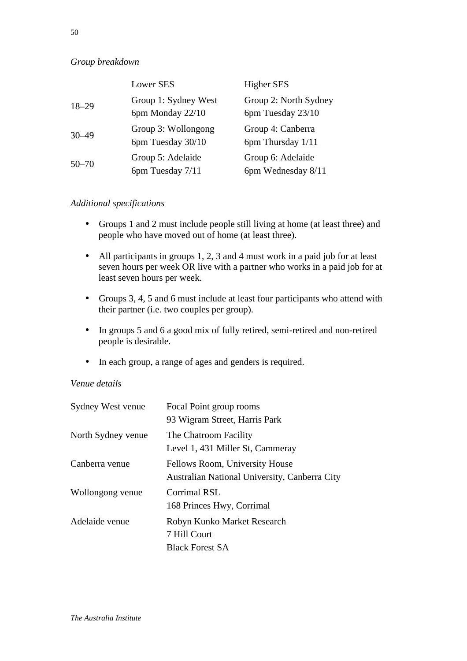# *Group breakdown*

|           | Lower SES            | Higher SES            |
|-----------|----------------------|-----------------------|
| $18 - 29$ | Group 1: Sydney West | Group 2: North Sydney |
|           | 6pm Monday 22/10     | 6pm Tuesday 23/10     |
| $30 - 49$ | Group 3: Wollongong  | Group 4: Canberra     |
|           | 6pm Tuesday 30/10    | 6pm Thursday 1/11     |
| $50 - 70$ | Group 5: Adelaide    | Group 6: Adelaide     |
|           | 6pm Tuesday 7/11     | 6pm Wednesday 8/11    |

# *Additional specifications*

- Groups 1 and 2 must include people still living at home (at least three) and people who have moved out of home (at least three).
- All participants in groups 1, 2, 3 and 4 must work in a paid job for at least seven hours per week OR live with a partner who works in a paid job for at least seven hours per week.
- Groups 3, 4, 5 and 6 must include at least four participants who attend with their partner (i.e. two couples per group).
- In groups 5 and 6 a good mix of fully retired, semi-retired and non-retired people is desirable.
- In each group, a range of ages and genders is required.

#### *Venue details*

| Sydney West venue  | Focal Point group rooms                       |
|--------------------|-----------------------------------------------|
|                    | 93 Wigram Street, Harris Park                 |
| North Sydney venue | The Chatroom Facility                         |
|                    | Level 1, 431 Miller St, Cammeray              |
| Canberra venue     | Fellows Room, University House                |
|                    | Australian National University, Canberra City |
| Wollongong venue   | <b>Corrimal RSL</b>                           |
|                    | 168 Princes Hwy, Corrimal                     |
| Adelaide venue     | Robyn Kunko Market Research                   |
|                    | 7 Hill Court                                  |
|                    | <b>Black Forest SA</b>                        |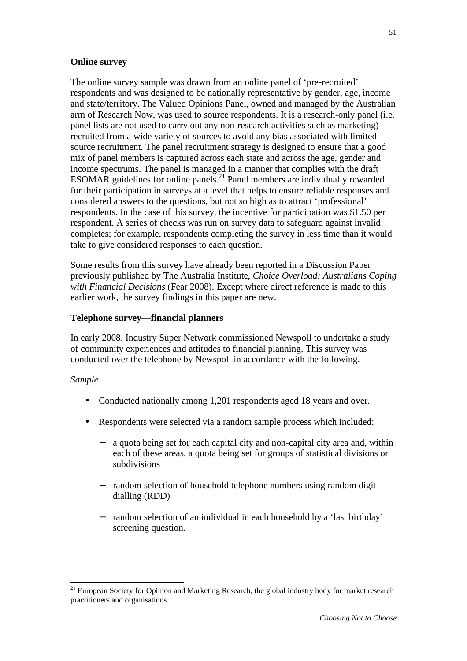#### **Online survey**

The online survey sample was drawn from an online panel of 'pre-recruited' respondents and was designed to be nationally representative by gender, age, income and state/territory. The Valued Opinions Panel, owned and managed by the Australian arm of Research Now, was used to source respondents. It is a research-only panel (i.e. panel lists are not used to carry out any non-research activities such as marketing) recruited from a wide variety of sources to avoid any bias associated with limitedsource recruitment. The panel recruitment strategy is designed to ensure that a good mix of panel members is captured across each state and across the age, gender and income spectrums. The panel is managed in a manner that complies with the draft ESOMAR guidelines for online panels.<sup>21</sup> Panel members are individually rewarded for their participation in surveys at a level that helps to ensure reliable responses and considered answers to the questions, but not so high as to attract 'professional' respondents. In the case of this survey, the incentive for participation was \$1.50 per respondent. A series of checks was run on survey data to safeguard against invalid completes; for example, respondents completing the survey in less time than it would take to give considered responses to each question.

Some results from this survey have already been reported in a Discussion Paper previously published by The Australia Institute, *Choice Overload: Australians Coping with Financial Decisions* (Fear 2008). Except where direct reference is made to this earlier work, the survey findings in this paper are new.

#### **Telephone survey—financial planners**

In early 2008, Industry Super Network commissioned Newspoll to undertake a study of community experiences and attitudes to financial planning. This survey was conducted over the telephone by Newspoll in accordance with the following.

#### *Sample*

l

- Conducted nationally among 1,201 respondents aged 18 years and over.
- Respondents were selected via a random sample process which included:
	- a quota being set for each capital city and non-capital city area and, within each of these areas, a quota being set for groups of statistical divisions or subdivisions
	- − random selection of household telephone numbers using random digit dialling (RDD)
	- − random selection of an individual in each household by a 'last birthday' screening question.

<sup>&</sup>lt;sup>21</sup> European Society for Opinion and Marketing Research, the global industry body for market research practitioners and organisations.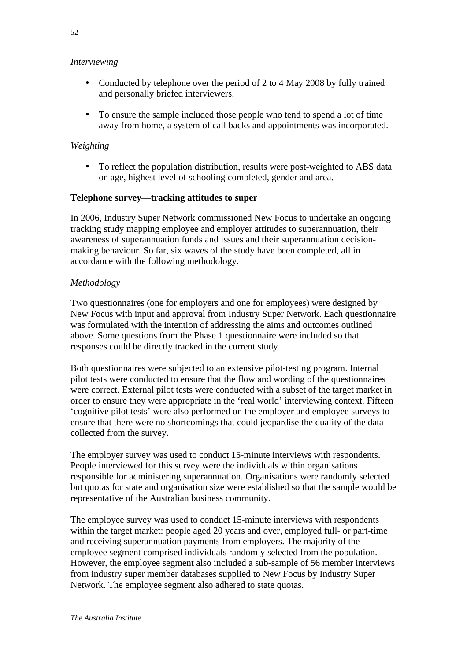# *Interviewing*

- Conducted by telephone over the period of 2 to 4 May 2008 by fully trained and personally briefed interviewers.
- To ensure the sample included those people who tend to spend a lot of time away from home, a system of call backs and appointments was incorporated.

# *Weighting*

• To reflect the population distribution, results were post-weighted to ABS data on age, highest level of schooling completed, gender and area.

#### **Telephone survey—tracking attitudes to super**

In 2006, Industry Super Network commissioned New Focus to undertake an ongoing tracking study mapping employee and employer attitudes to superannuation, their awareness of superannuation funds and issues and their superannuation decisionmaking behaviour. So far, six waves of the study have been completed, all in accordance with the following methodology.

# *Methodology*

Two questionnaires (one for employers and one for employees) were designed by New Focus with input and approval from Industry Super Network. Each questionnaire was formulated with the intention of addressing the aims and outcomes outlined above. Some questions from the Phase 1 questionnaire were included so that responses could be directly tracked in the current study.

Both questionnaires were subjected to an extensive pilot-testing program. Internal pilot tests were conducted to ensure that the flow and wording of the questionnaires were correct. External pilot tests were conducted with a subset of the target market in order to ensure they were appropriate in the 'real world' interviewing context. Fifteen 'cognitive pilot tests' were also performed on the employer and employee surveys to ensure that there were no shortcomings that could jeopardise the quality of the data collected from the survey.

The employer survey was used to conduct 15-minute interviews with respondents. People interviewed for this survey were the individuals within organisations responsible for administering superannuation. Organisations were randomly selected but quotas for state and organisation size were established so that the sample would be representative of the Australian business community.

The employee survey was used to conduct 15-minute interviews with respondents within the target market: people aged 20 years and over, employed full- or part-time and receiving superannuation payments from employers. The majority of the employee segment comprised individuals randomly selected from the population. However, the employee segment also included a sub-sample of 56 member interviews from industry super member databases supplied to New Focus by Industry Super Network. The employee segment also adhered to state quotas.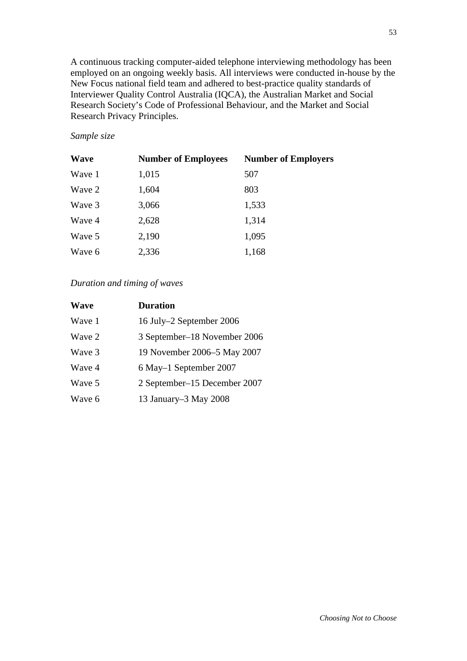A continuous tracking computer-aided telephone interviewing methodology has been employed on an ongoing weekly basis. All interviews were conducted in-house by the New Focus national field team and adhered to best-practice quality standards of Interviewer Quality Control Australia (IQCA), the Australian Market and Social Research Society's Code of Professional Behaviour, and the Market and Social Research Privacy Principles.

#### *Sample size*

| <b>Wave</b> | <b>Number of Employees</b> | <b>Number of Employers</b> |
|-------------|----------------------------|----------------------------|
| Wave 1      | 1,015                      | 507                        |
| Wave 2      | 1,604                      | 803                        |
| Wave 3      | 3,066                      | 1,533                      |
| Wave 4      | 2,628                      | 1,314                      |
| Wave 5      | 2,190                      | 1,095                      |
| Wave 6      | 2,336                      | 1,168                      |

#### *Duration and timing of waves*

| <b>Wave</b> | <b>Duration</b>              |
|-------------|------------------------------|
| Wave 1      | 16 July–2 September 2006     |
| Wave 2      | 3 September-18 November 2006 |
| Wave 3      | 19 November 2006–5 May 2007  |
| Wave 4      | 6 May–1 September 2007       |
| Wave 5      | 2 September–15 December 2007 |
| Wave 6      | 13 January-3 May 2008        |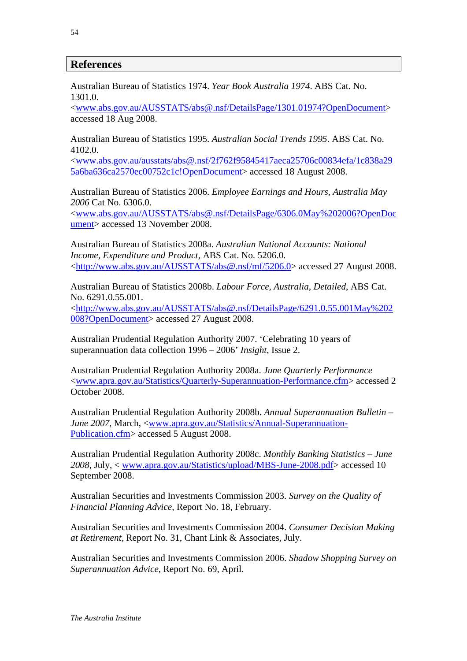# **References**

Australian Bureau of Statistics 1974. *Year Book Australia 1974*. ABS Cat. No. 1301.0.

<www.abs.gov.au/AUSSTATS/abs@.nsf/DetailsPage/1301.01974?OpenDocument> accessed 18 Aug 2008.

Australian Bureau of Statistics 1995. *Australian Social Trends 1995*. ABS Cat. No. 4102.0.

<www.abs.gov.au/ausstats/abs@.nsf/2f762f95845417aeca25706c00834efa/1c838a29 5a6ba636ca2570ec00752c1c!OpenDocument> accessed 18 August 2008.

Australian Bureau of Statistics 2006. *Employee Earnings and Hours, Australia May 2006* Cat No. 6306.0.

<www.abs.gov.au/AUSSTATS/abs@.nsf/DetailsPage/6306.0May%202006?OpenDoc ument> accessed 13 November 2008.

Australian Bureau of Statistics 2008a. *Australian National Accounts: National Income, Expenditure and Product*, ABS Cat. No. 5206.0. <http://www.abs.gov.au/AUSSTATS/abs@.nsf/mf/5206.0> accessed 27 August 2008.

Australian Bureau of Statistics 2008b. *Labour Force, Australia, Detailed*, ABS Cat. No. 6291.0.55.001.

<http://www.abs.gov.au/AUSSTATS/abs@.nsf/DetailsPage/6291.0.55.001May%202 008?OpenDocument> accessed 27 August 2008.

Australian Prudential Regulation Authority 2007. 'Celebrating 10 years of superannuation data collection 1996 – 2006' *Insight*, Issue 2.

Australian Prudential Regulation Authority 2008a. *June Quarterly Performance* <www.apra.gov.au/Statistics/Quarterly-Superannuation-Performance.cfm> accessed 2 October 2008.

Australian Prudential Regulation Authority 2008b. *Annual Superannuation Bulletin – June 2007*, March, <www.apra.gov.au/Statistics/Annual-Superannuation-Publication.cfm> accessed 5 August 2008.

Australian Prudential Regulation Authority 2008c. *Monthly Banking Statistics – June 2008*, July, < www.apra.gov.au/Statistics/upload/MBS-June-2008.pdf> accessed 10 September 2008.

Australian Securities and Investments Commission 2003. *Survey on the Quality of Financial Planning Advice*, Report No. 18, February.

Australian Securities and Investments Commission 2004. *Consumer Decision Making at Retirement*, Report No. 31, Chant Link & Associates, July.

Australian Securities and Investments Commission 2006. *Shadow Shopping Survey on Superannuation Advice*, Report No. 69, April.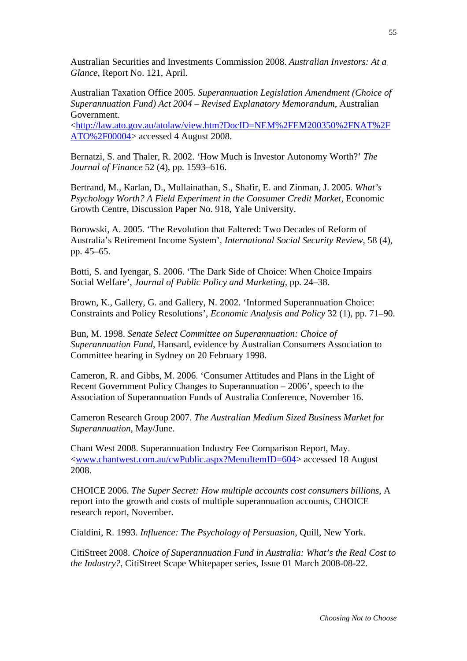Australian Securities and Investments Commission 2008. *Australian Investors: At a Glance*, Report No. 121, April.

Australian Taxation Office 2005. *Superannuation Legislation Amendment (Choice of Superannuation Fund) Act 2004 – Revised Explanatory Memorandum*, Australian Government.

<http://law.ato.gov.au/atolaw/view.htm?DocID=NEM%2FEM200350%2FNAT%2F ATO%2F00004> accessed 4 August 2008.

Bernatzi, S. and Thaler, R. 2002. 'How Much is Investor Autonomy Worth?' *The Journal of Finance* 52 (4), pp. 1593–616.

Bertrand, M., Karlan, D., Mullainathan, S., Shafir, E. and Zinman, J. 2005. *What's Psychology Worth? A Field Experiment in the Consumer Credit Market*, Economic Growth Centre, Discussion Paper No. 918, Yale University.

Borowski, A. 2005. 'The Revolution that Faltered: Two Decades of Reform of Australia's Retirement Income System', *International Social Security Review*, 58 (4), pp. 45–65.

Botti, S. and Iyengar, S. 2006. 'The Dark Side of Choice: When Choice Impairs Social Welfare', *Journal of Public Policy and Marketing*, pp. 24–38.

Brown, K., Gallery, G. and Gallery, N. 2002. 'Informed Superannuation Choice: Constraints and Policy Resolutions', *Economic Analysis and Policy* 32 (1), pp. 71–90.

Bun, M. 1998. *Senate Select Committee on Superannuation: Choice of Superannuation Fund*, Hansard, evidence by Australian Consumers Association to Committee hearing in Sydney on 20 February 1998.

Cameron, R. and Gibbs, M. 2006. 'Consumer Attitudes and Plans in the Light of Recent Government Policy Changes to Superannuation – 2006', speech to the Association of Superannuation Funds of Australia Conference, November 16.

Cameron Research Group 2007. *The Australian Medium Sized Business Market for Superannuation*, May/June.

Chant West 2008. Superannuation Industry Fee Comparison Report, May. <www.chantwest.com.au/cwPublic.aspx?MenuItemID=604> accessed 18 August 2008.

CHOICE 2006. *The Super Secret: How multiple accounts cost consumers billions*, A report into the growth and costs of multiple superannuation accounts, CHOICE research report, November.

Cialdini, R. 1993. *Influence: The Psychology of Persuasion*, Quill, New York.

CitiStreet 2008. *Choice of Superannuation Fund in Australia: What's the Real Cost to the Industry?*, CitiStreet Scape Whitepaper series, Issue 01 March 2008-08-22.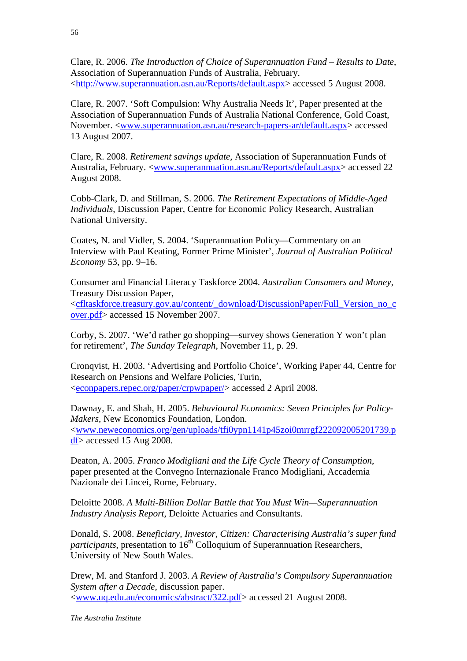Clare, R. 2006. *The Introduction of Choice of Superannuation Fund – Results to Date*, Association of Superannuation Funds of Australia, February. <http://www.superannuation.asn.au/Reports/default.aspx> accessed 5 August 2008.

Clare, R. 2007. 'Soft Compulsion: Why Australia Needs It', Paper presented at the Association of Superannuation Funds of Australia National Conference, Gold Coast, November. <www.superannuation.asn.au/research-papers-ar/default.aspx> accessed 13 August 2007.

Clare, R. 2008. *Retirement savings update*, Association of Superannuation Funds of Australia, February. <www.superannuation.asn.au/Reports/default.aspx> accessed 22 August 2008.

Cobb-Clark, D. and Stillman, S. 2006. *The Retirement Expectations of Middle-Aged Individuals*, Discussion Paper, Centre for Economic Policy Research, Australian National University.

Coates, N. and Vidler, S. 2004. 'Superannuation Policy—Commentary on an Interview with Paul Keating, Former Prime Minister', *Journal of Australian Political Economy* 53, pp. 9–16.

Consumer and Financial Literacy Taskforce 2004. *Australian Consumers and Money*, Treasury Discussion Paper,

<cfltaskforce.treasury.gov.au/content/\_download/DiscussionPaper/Full\_Version\_no\_c over.pdf> accessed 15 November 2007.

Corby, S. 2007. 'We'd rather go shopping—survey shows Generation Y won't plan for retirement', *The Sunday Telegraph*, November 11, p. 29.

Cronqvist, H. 2003. 'Advertising and Portfolio Choice', Working Paper 44, Centre for Research on Pensions and Welfare Policies, Turin, <econpapers.repec.org/paper/crpwpaper/> accessed 2 April 2008.

Dawnay, E. and Shah, H. 2005. *Behavioural Economics: Seven Principles for Policy-Makers*, New Economics Foundation, London. <www.neweconomics.org/gen/uploads/tfi0ypn1141p45zoi0mrrgf222092005201739.p df> accessed 15 Aug 2008.

Deaton, A. 2005. *Franco Modigliani and the Life Cycle Theory of Consumption*, paper presented at the Convegno Internazionale Franco Modigliani, Accademia Nazionale dei Lincei, Rome, February.

Deloitte 2008. *A Multi-Billion Dollar Battle that You Must Win—Superannuation Industry Analysis Report*, Deloitte Actuaries and Consultants.

Donald, S. 2008. *Beneficiary, Investor, Citizen: Characterising Australia's super fund participants*, presentation to 16<sup>th</sup> Colloquium of Superannuation Researchers, University of New South Wales.

Drew, M. and Stanford J. 2003. *A Review of Australia's Compulsory Superannuation System after a Decade*, discussion paper. <www.uq.edu.au/economics/abstract/322.pdf> accessed 21 August 2008.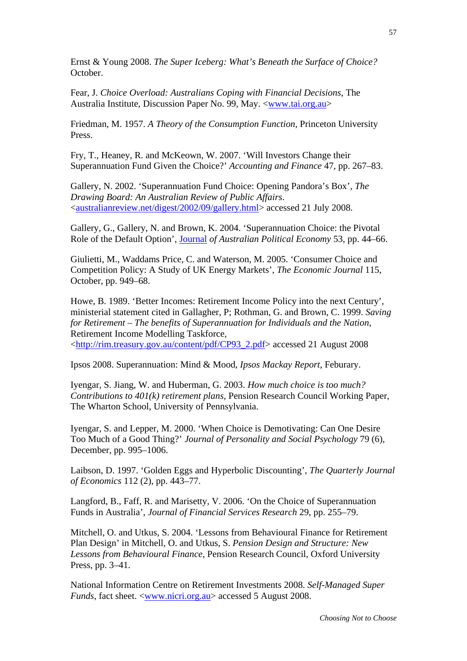Ernst & Young 2008. *The Super Iceberg: What's Beneath the Surface of Choice?* October.

Fear, J. *Choice Overload: Australians Coping with Financial Decisions*, The Australia Institute, Discussion Paper No. 99, May. <www.tai.org.au>

Friedman, M. 1957. *A Theory of the Consumption Function*, Princeton University Press.

Fry, T., Heaney, R. and McKeown, W. 2007. 'Will Investors Change their Superannuation Fund Given the Choice?' *Accounting and Finance* 47, pp. 267–83.

Gallery, N. 2002. 'Superannuation Fund Choice: Opening Pandora's Box', *The Drawing Board: An Australian Review of Public Affairs*. <australianreview.net/digest/2002/09/gallery.html> accessed 21 July 2008.

Gallery, G., Gallery, N. and Brown, K. 2004. 'Superannuation Choice: the Pivotal Role of the Default Option', Journal *of Australian Political Economy* 53, pp. 44–66.

Giulietti, M., Waddams Price, C. and Waterson, M. 2005. 'Consumer Choice and Competition Policy: A Study of UK Energy Markets', *The Economic Journal* 115, October, pp. 949–68.

Howe, B. 1989. 'Better Incomes: Retirement Income Policy into the next Century', ministerial statement cited in Gallagher, P; Rothman, G. and Brown, C. 1999. *Saving for Retirement – The benefits of Superannuation for Individuals and the Nation*, Retirement Income Modelling Taskforce,

<http://rim.treasury.gov.au/content/pdf/CP93\_2.pdf> accessed 21 August 2008

Ipsos 2008. Superannuation: Mind & Mood, *Ipsos Mackay Report*, Feburary.

Iyengar, S. Jiang, W. and Huberman, G. 2003. *How much choice is too much? Contributions to 401(k) retirement plans*, Pension Research Council Working Paper, The Wharton School, University of Pennsylvania.

Iyengar, S. and Lepper, M. 2000. 'When Choice is Demotivating: Can One Desire Too Much of a Good Thing?' *Journal of Personality and Social Psychology* 79 (6), December, pp. 995–1006.

Laibson, D. 1997. 'Golden Eggs and Hyperbolic Discounting', *The Quarterly Journal of Economics* 112 (2), pp. 443–77.

Langford, B., Faff, R. and Marisetty, V. 2006. 'On the Choice of Superannuation Funds in Australia', *Journal of Financial Services Research* 29, pp. 255–79.

Mitchell, O. and Utkus, S. 2004. 'Lessons from Behavioural Finance for Retirement Plan Design' in Mitchell, O. and Utkus, S. *Pension Design and Structure: New Lessons from Behavioural Finance*, Pension Research Council, Oxford University Press, pp. 3–41.

National Information Centre on Retirement Investments 2008. *Self-Managed Super Funds*, fact sheet. <www.nicri.org.au> accessed 5 August 2008.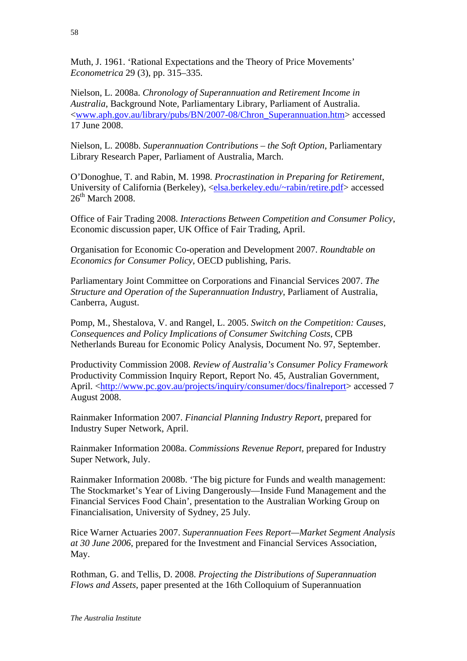Muth, J. 1961. 'Rational Expectations and the Theory of Price Movements' *Econometrica* 29 (3), pp. 315–335.

Nielson, L. 2008a. *Chronology of Superannuation and Retirement Income in Australia*, Background Note, Parliamentary Library, Parliament of Australia. <www.aph.gov.au/library/pubs/BN/2007-08/Chron\_Superannuation.htm> accessed 17 June 2008.

Nielson, L. 2008b. *Superannuation Contributions – the Soft Option*, Parliamentary Library Research Paper, Parliament of Australia, March.

O'Donoghue, T. and Rabin, M. 1998. *Procrastination in Preparing for Retirement*, University of California (Berkeley), <elsa.berkeley.edu/~rabin/retire.pdf> accessed  $26<sup>th</sup>$  March 2008.

Office of Fair Trading 2008. *Interactions Between Competition and Consumer Policy*, Economic discussion paper, UK Office of Fair Trading, April.

Organisation for Economic Co-operation and Development 2007. *Roundtable on Economics for Consumer Policy*, OECD publishing, Paris.

Parliamentary Joint Committee on Corporations and Financial Services 2007. *The Structure and Operation of the Superannuation Industry*, Parliament of Australia, Canberra, August.

Pomp, M., Shestalova, V. and Rangel, L. 2005. *Switch on the Competition: Causes, Consequences and Policy Implications of Consumer Switching Costs*, CPB Netherlands Bureau for Economic Policy Analysis, Document No. 97, September.

Productivity Commission 2008. *Review of Australia's Consumer Policy Framework* Productivity Commission Inquiry Report, Report No. 45, Australian Government, April. <http://www.pc.gov.au/projects/inquiry/consumer/docs/finalreport> accessed 7 August 2008.

Rainmaker Information 2007. *Financial Planning Industry Report*, prepared for Industry Super Network, April.

Rainmaker Information 2008a. *Commissions Revenue Report*, prepared for Industry Super Network, July.

Rainmaker Information 2008b. 'The big picture for Funds and wealth management: The Stockmarket's Year of Living Dangerously—Inside Fund Management and the Financial Services Food Chain', presentation to the Australian Working Group on Financialisation, University of Sydney, 25 July.

Rice Warner Actuaries 2007. *Superannuation Fees Report—Market Segment Analysis at 30 June 2006*, prepared for the Investment and Financial Services Association, May.

Rothman, G. and Tellis, D. 2008. *Projecting the Distributions of Superannuation Flows and Assets*, paper presented at the 16th Colloquium of Superannuation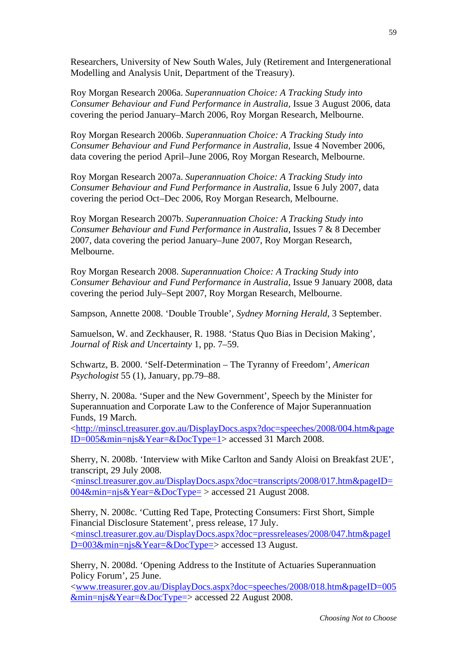Researchers, University of New South Wales, July (Retirement and Intergenerational Modelling and Analysis Unit, Department of the Treasury).

Roy Morgan Research 2006a. *Superannuation Choice: A Tracking Study into Consumer Behaviour and Fund Performance in Australia,* Issue 3 August 2006, data covering the period January–March 2006, Roy Morgan Research, Melbourne.

Roy Morgan Research 2006b. *Superannuation Choice: A Tracking Study into Consumer Behaviour and Fund Performance in Australia,* Issue 4 November 2006, data covering the period April–June 2006, Roy Morgan Research, Melbourne.

Roy Morgan Research 2007a. *Superannuation Choice: A Tracking Study into Consumer Behaviour and Fund Performance in Australia*, Issue 6 July 2007, data covering the period Oct–Dec 2006, Roy Morgan Research, Melbourne.

Roy Morgan Research 2007b. *Superannuation Choice: A Tracking Study into Consumer Behaviour and Fund Performance in Australia*, Issues 7 & 8 December 2007, data covering the period January–June 2007, Roy Morgan Research, Melbourne.

Roy Morgan Research 2008. *Superannuation Choice: A Tracking Study into Consumer Behaviour and Fund Performance in Australia*, Issue 9 January 2008, data covering the period July–Sept 2007, Roy Morgan Research, Melbourne.

Sampson, Annette 2008. 'Double Trouble', *Sydney Morning Herald*, 3 September.

Samuelson, W. and Zeckhauser, R. 1988. 'Status Quo Bias in Decision Making', *Journal of Risk and Uncertainty* 1, pp. 7–59.

Schwartz, B. 2000. 'Self-Determination – The Tyranny of Freedom', *American Psychologist* 55 (1), January, pp.79–88.

Sherry, N. 2008a. 'Super and the New Government', Speech by the Minister for Superannuation and Corporate Law to the Conference of Major Superannuation Funds, 19 March.

<http://minscl.treasurer.gov.au/DisplayDocs.aspx?doc=speeches/2008/004.htm&page ID=005&min=njs&Year=&DocType=1> accessed 31 March 2008.

Sherry, N. 2008b. 'Interview with Mike Carlton and Sandy Aloisi on Breakfast 2UE', transcript, 29 July 2008.

<minscl.treasurer.gov.au/DisplayDocs.aspx?doc=transcripts/2008/017.htm&pageID= 004&min=njs&Year=&DocType= > accessed 21 August 2008.

Sherry, N. 2008c. 'Cutting Red Tape, Protecting Consumers: First Short, Simple Financial Disclosure Statement', press release, 17 July. <minscl.treasurer.gov.au/DisplayDocs.aspx?doc=pressreleases/2008/047.htm&pageI D=003&min=njs&Year=&DocType=> accessed 13 August.

Sherry, N. 2008d. 'Opening Address to the Institute of Actuaries Superannuation Policy Forum', 25 June.

<www.treasurer.gov.au/DisplayDocs.aspx?doc=speeches/2008/018.htm&pageID=005 &min=njs&Year=&DocType=> accessed 22 August 2008.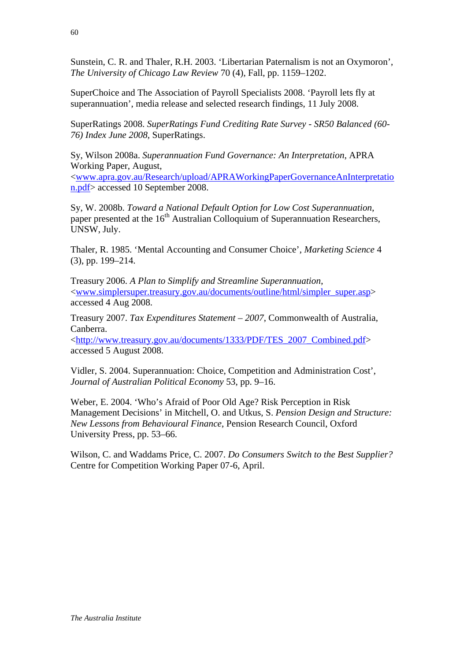Sunstein, C. R. and Thaler, R.H. 2003. 'Libertarian Paternalism is not an Oxymoron', *The University of Chicago Law Review* 70 (4), Fall, pp. 1159–1202.

SuperChoice and The Association of Payroll Specialists 2008. 'Payroll lets fly at superannuation', media release and selected research findings, 11 July 2008.

SuperRatings 2008. *SuperRatings Fund Crediting Rate Survey - SR50 Balanced (60- 76) Index June 2008*, SuperRatings.

Sy, Wilson 2008a. *Superannuation Fund Governance: An Interpretation*, APRA Working Paper, August,

<www.apra.gov.au/Research/upload/APRAWorkingPaperGovernanceAnInterpretatio n.pdf> accessed 10 September 2008.

Sy, W. 2008b. *Toward a National Default Option for Low Cost Superannuation*, paper presented at the  $16<sup>th</sup>$  Australian Colloquium of Superannuation Researchers, UNSW, July.

Thaler, R. 1985. 'Mental Accounting and Consumer Choice', *Marketing Science* 4 (3), pp. 199–214.

Treasury 2006. *A Plan to Simplify and Streamline Superannuation*, <www.simplersuper.treasury.gov.au/documents/outline/html/simpler\_super.asp> accessed 4 Aug 2008.

Treasury 2007. *Tax Expenditures Statement – 2007*, Commonwealth of Australia, Canberra.

<http://www.treasury.gov.au/documents/1333/PDF/TES\_2007\_Combined.pdf> accessed 5 August 2008.

Vidler, S. 2004. Superannuation: Choice, Competition and Administration Cost', *Journal of Australian Political Economy* 53, pp. 9–16.

Weber, E. 2004. 'Who's Afraid of Poor Old Age? Risk Perception in Risk Management Decisions' in Mitchell, O. and Utkus, S. *Pension Design and Structure: New Lessons from Behavioural Finance*, Pension Research Council, Oxford University Press, pp. 53–66.

Wilson, C. and Waddams Price, C. 2007. *Do Consumers Switch to the Best Supplier?* Centre for Competition Working Paper 07-6, April.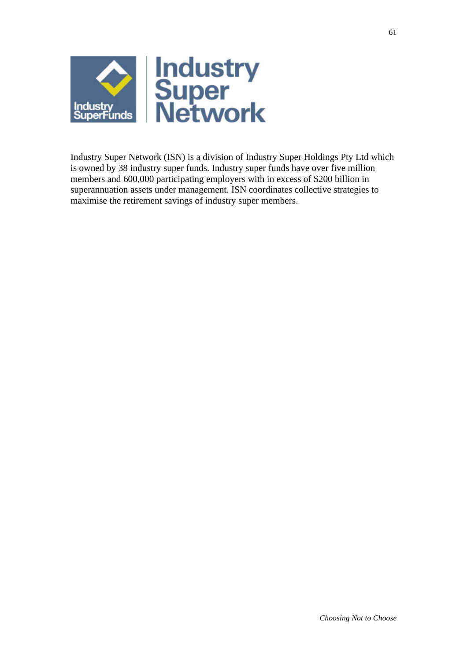

Industry Super Network (ISN) is a division of Industry Super Holdings Pty Ltd which is owned by 38 industry super funds. Industry super funds have over five million members and 600,000 participating employers with in excess of \$200 billion in superannuation assets under management. ISN coordinates collective strategies to maximise the retirement savings of industry super members.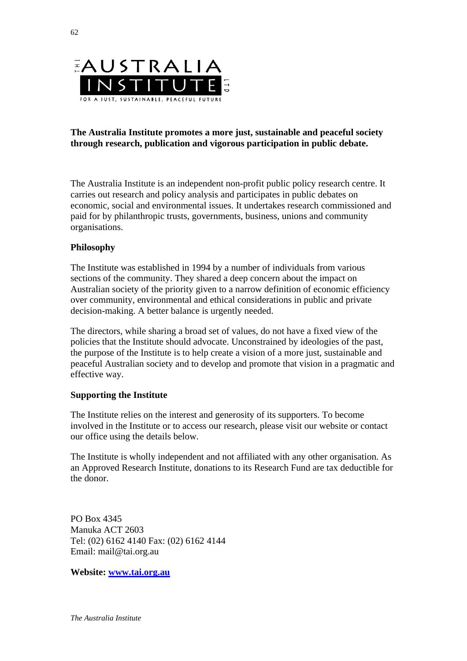

# **The Australia Institute promotes a more just, sustainable and peaceful society through research, publication and vigorous participation in public debate.**

The Australia Institute is an independent non-profit public policy research centre. It carries out research and policy analysis and participates in public debates on economic, social and environmental issues. It undertakes research commissioned and paid for by philanthropic trusts, governments, business, unions and community organisations.

#### **Philosophy**

The Institute was established in 1994 by a number of individuals from various sections of the community. They shared a deep concern about the impact on Australian society of the priority given to a narrow definition of economic efficiency over community, environmental and ethical considerations in public and private decision-making. A better balance is urgently needed.

The directors, while sharing a broad set of values, do not have a fixed view of the policies that the Institute should advocate. Unconstrained by ideologies of the past, the purpose of the Institute is to help create a vision of a more just, sustainable and peaceful Australian society and to develop and promote that vision in a pragmatic and effective way.

#### **Supporting the Institute**

The Institute relies on the interest and generosity of its supporters. To become involved in the Institute or to access our research, please visit our website or contact our office using the details below.

The Institute is wholly independent and not affiliated with any other organisation. As an Approved Research Institute, donations to its Research Fund are tax deductible for the donor.

PO Box 4345 Manuka ACT 2603 Tel: (02) 6162 4140 Fax: (02) 6162 4144 Email: mail@tai.org.au

**Website: www.tai.org.au**